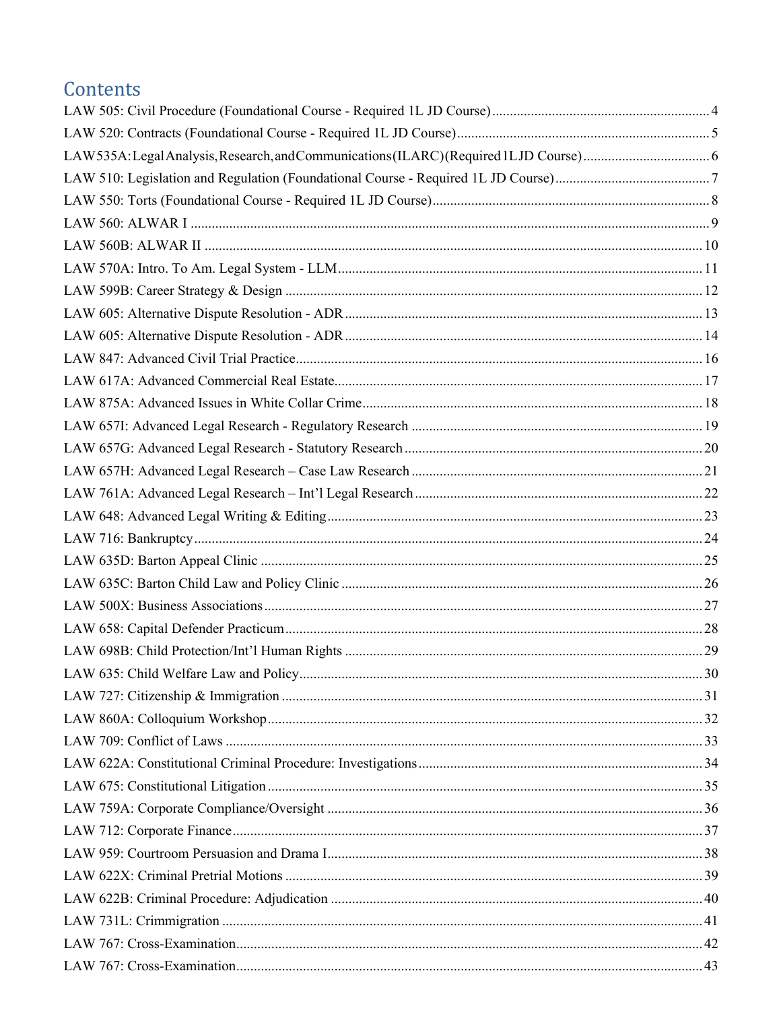# Contents

| 30 |
|----|
|    |
|    |
|    |
|    |
|    |
|    |
|    |
|    |
|    |
|    |
|    |
|    |
|    |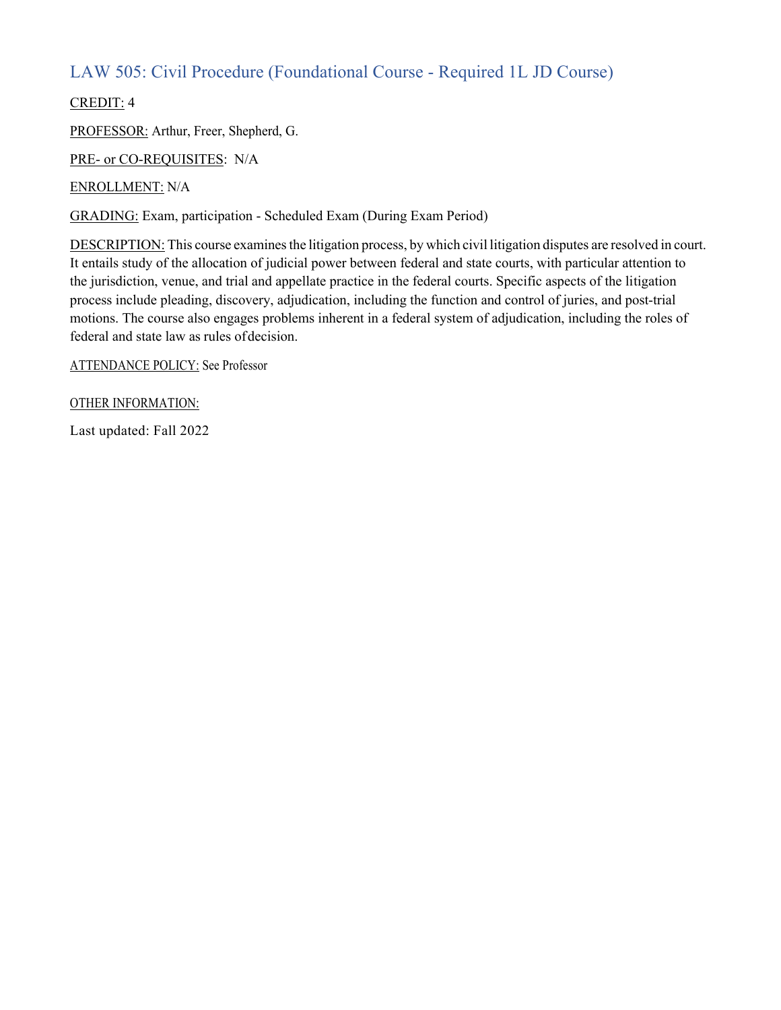### LAW 505: Civil Procedure (Foundational Course - Required 1L JD Course)

CREDIT: 4

PROFESSOR: Arthur, Freer, Shepherd, G.

PRE- or CO-REQUISITES: N/A

ENROLLMENT: N/A

GRADING: Exam, participation - Scheduled Exam (During Exam Period)

DESCRIPTION: This course examines the litigation process, by which civil litigation disputes are resolved in court. It entails study of the allocation of judicial power between federal and state courts, with particular attention to the jurisdiction, venue, and trial and appellate practice in the federal courts. Specific aspects of the litigation process include pleading, discovery, adjudication, including the function and control of juries, and post-trial motions. The course also engages problems inherent in a federal system of adjudication, including the roles of federal and state law as rules ofdecision.

ATTENDANCE POLICY: See Professor

OTHER INFORMATION: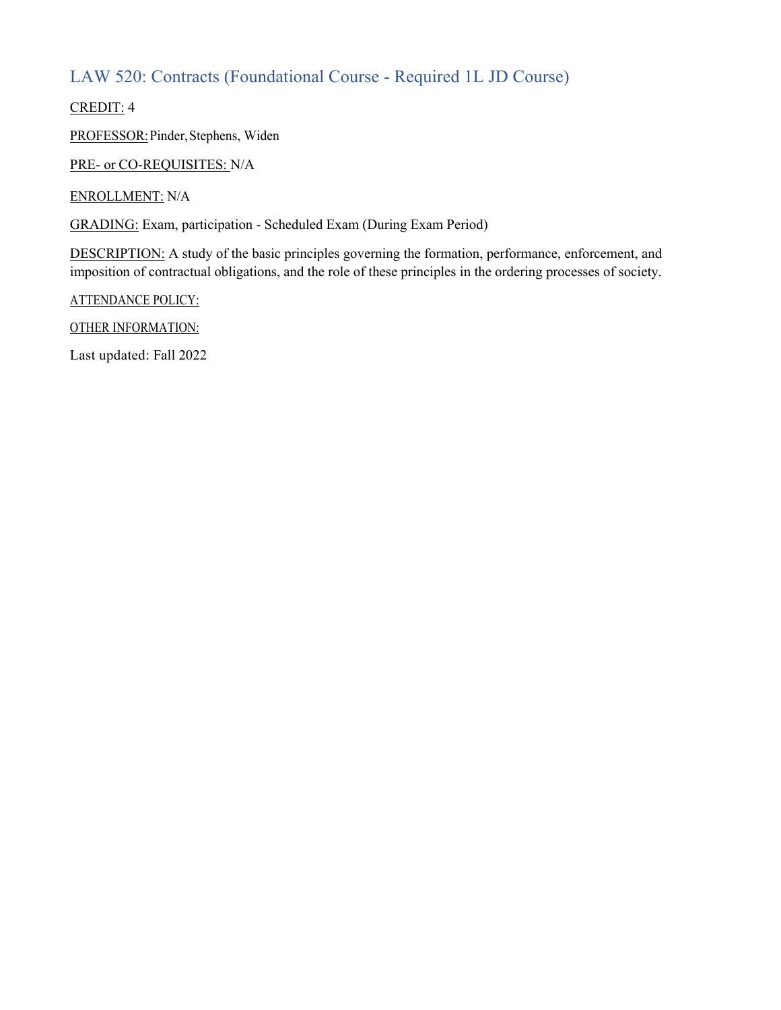### LAW 520: Contracts (Foundational Course - Required 1L JD Course)

CREDIT: 4

PROFESSOR:Pinder,Stephens, Widen

PRE- or CO-REQUISITES: N/A

ENROLLMENT: N/A

GRADING: Exam, participation - Scheduled Exam (During Exam Period)

DESCRIPTION: A study of the basic principles governing the formation, performance, enforcement, and imposition of contractual obligations, and the role of these principles in the ordering processes of society.

ATTENDANCE POLICY:

OTHER INFORMATION: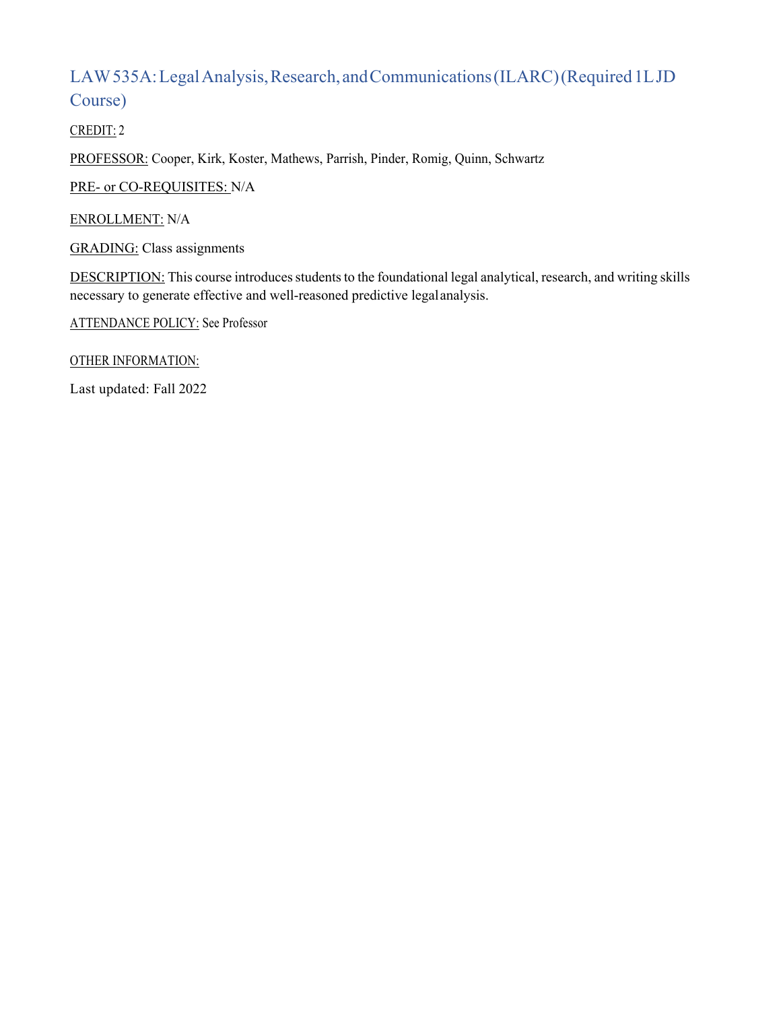## LAW 535A: Legal Analysis, Research, and Communications (ILARC) (Required 1LJD Course)

CREDIT: 2

PROFESSOR: Cooper, Kirk, Koster, Mathews, Parrish, Pinder, Romig, Quinn, Schwartz

PRE- or CO-REQUISITES: N/A

ENROLLMENT: N/A

GRADING: Class assignments

DESCRIPTION: This course introduces students to the foundational legal analytical, research, and writing skills necessary to generate effective and well-reasoned predictive legalanalysis.

ATTENDANCE POLICY: See Professor

OTHER INFORMATION: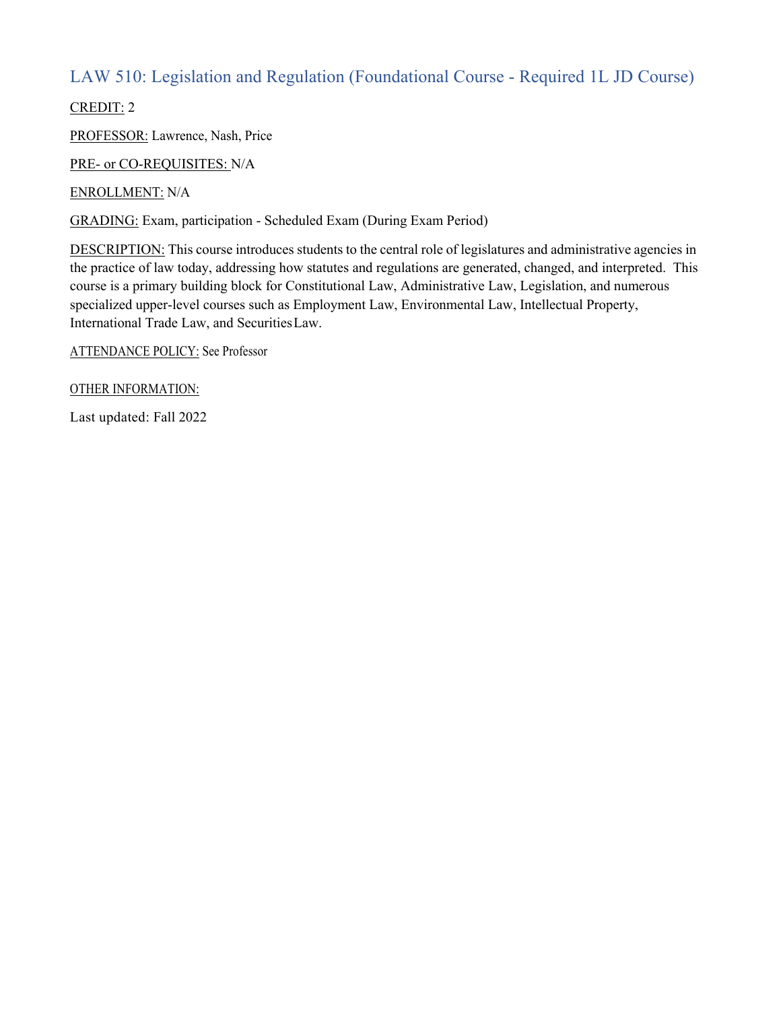### LAW 510: Legislation and Regulation (Foundational Course - Required 1L JD Course)

CREDIT: 2

PROFESSOR: Lawrence, Nash, Price

PRE- or CO-REQUISITES: N/A

ENROLLMENT: N/A

GRADING: Exam, participation - Scheduled Exam (During Exam Period)

DESCRIPTION: This course introduces students to the central role of legislatures and administrative agencies in the practice of law today, addressing how statutes and regulations are generated, changed, and interpreted. This course is a primary building block for Constitutional Law, Administrative Law, Legislation, and numerous specialized upper-level courses such as Employment Law, Environmental Law, Intellectual Property, International Trade Law, and SecuritiesLaw.

ATTENDANCE POLICY: See Professor

OTHER INFORMATION: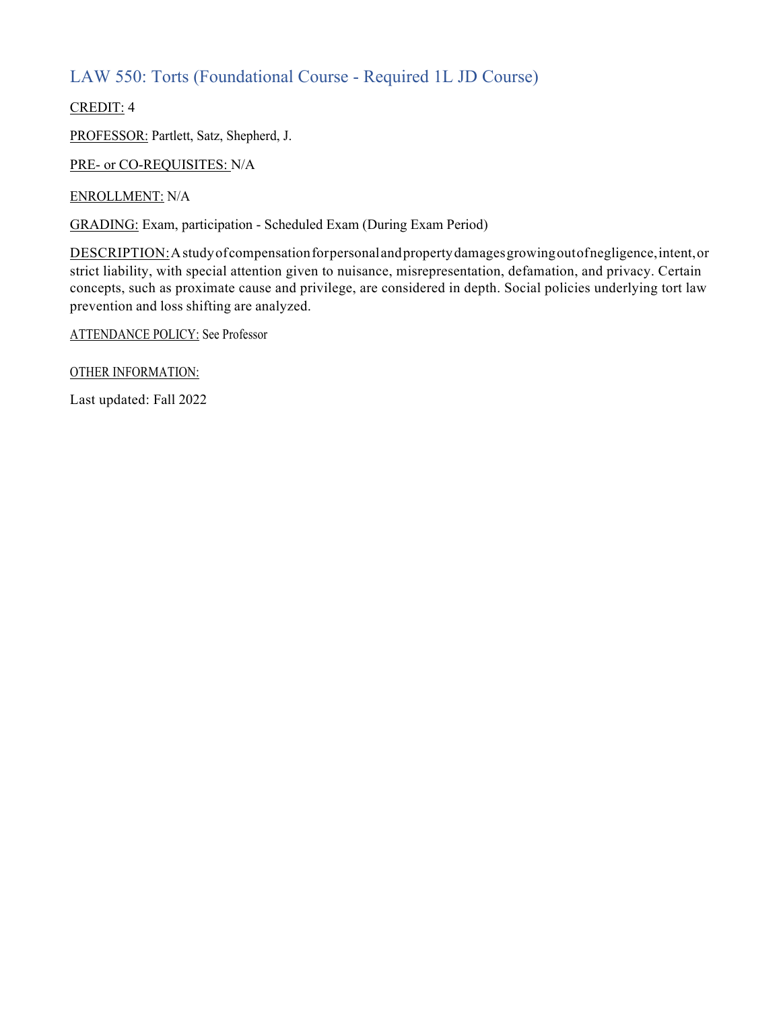### LAW 550: Torts (Foundational Course - Required 1L JD Course)

CREDIT: 4

PROFESSOR: Partlett, Satz, Shepherd, J.

PRE- or CO-REQUISITES: N/A

ENROLLMENT: N/A

GRADING: Exam, participation - Scheduled Exam (During Exam Period)

DESCRIPTION:Astudyofcompensationforpersonalandpropertydamagesgrowingoutofnegligence,intent,or strict liability, with special attention given to nuisance, misrepresentation, defamation, and privacy. Certain concepts, such as proximate cause and privilege, are considered in depth. Social policies underlying tort law prevention and loss shifting are analyzed.

ATTENDANCE POLICY: See Professor

OTHER INFORMATION: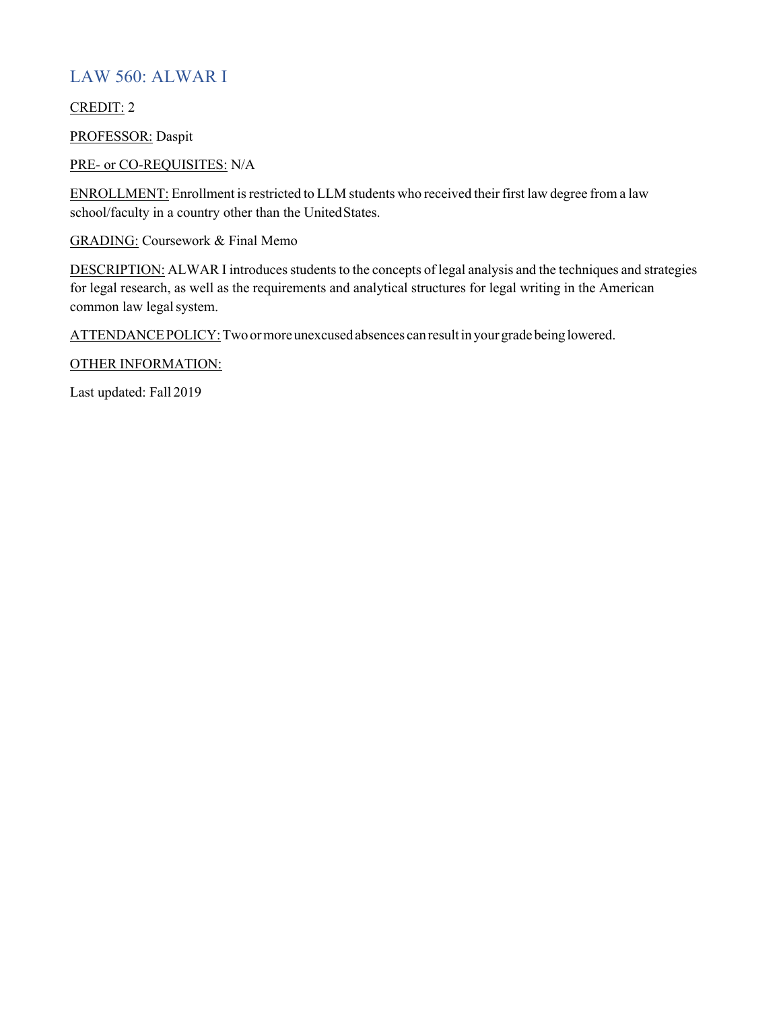#### LAW 560: ALWAR I

CREDIT: 2

PROFESSOR: Daspit

PRE- or CO-REQUISITES: N/A

ENROLLMENT: Enrollment is restricted to LLM students who received their first law degree from a law school/faculty in a country other than the UnitedStates.

GRADING: Coursework & Final Memo

DESCRIPTION: ALWAR I introduces students to the concepts of legal analysis and the techniques and strategies for legal research, as well as the requirements and analytical structures for legal writing in the American common law legal system.

ATTENDANCE POLICY: Two or more unexcused absences can result in your grade being lowered.

OTHER INFORMATION: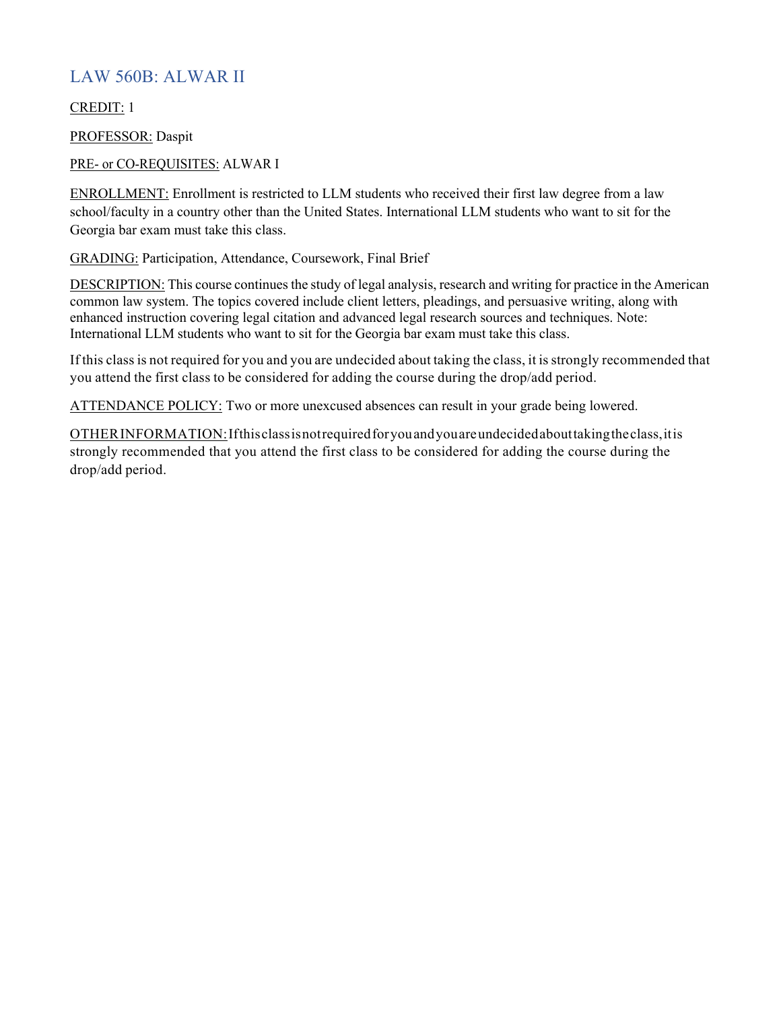#### LAW 560B: ALWAR II

CREDIT: 1

PROFESSOR: Daspit

PRE- or CO-REQUISITES: ALWAR I

ENROLLMENT: Enrollment is restricted to LLM students who received their first law degree from a law school/faculty in a country other than the United States. International LLM students who want to sit for the Georgia bar exam must take this class.

GRADING: Participation, Attendance, Coursework, Final Brief

DESCRIPTION: This course continues the study of legal analysis, research and writing for practice in the American common law system. The topics covered include client letters, pleadings, and persuasive writing, along with enhanced instruction covering legal citation and advanced legal research sources and techniques. Note: International LLM students who want to sit for the Georgia bar exam must take this class.

If this class is not required for you and you are undecided about taking the class, it is strongly recommended that you attend the first class to be considered for adding the course during the drop/add period.

ATTENDANCE POLICY: Two or more unexcused absences can result in your grade being lowered.

OTHERINFORMATION:Ifthisclassisnotrequiredforyouandyouareundecidedabouttakingtheclass,itis strongly recommended that you attend the first class to be considered for adding the course during the drop/add period.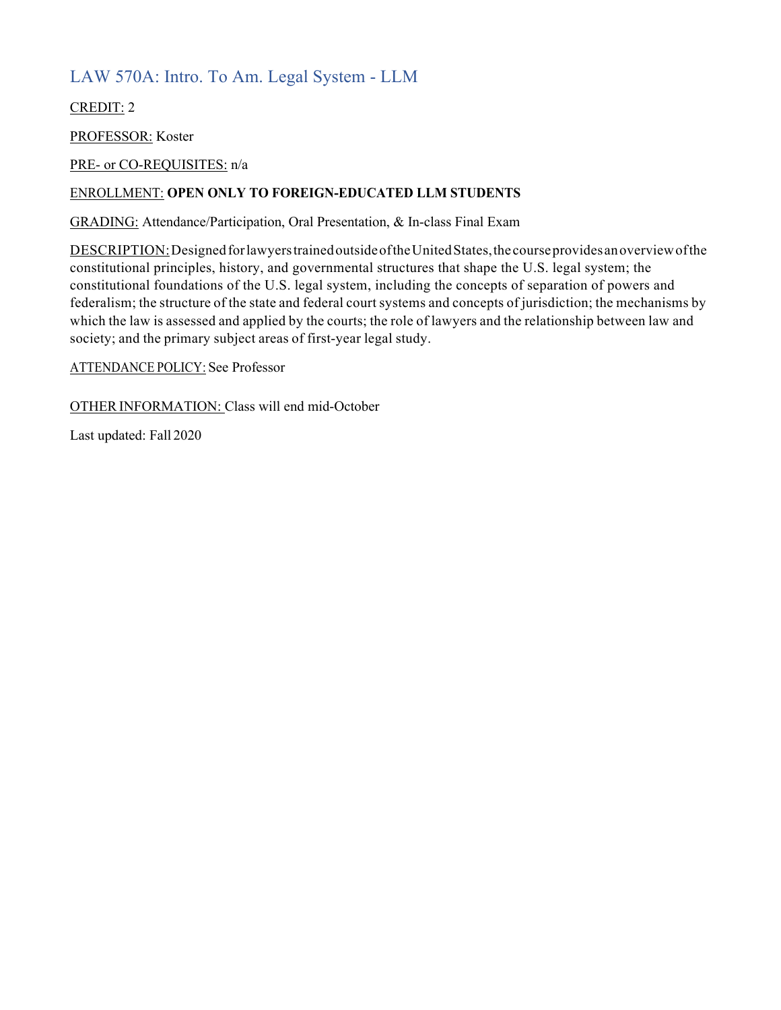### LAW 570A: Intro. To Am. Legal System - LLM

CREDIT: 2

PROFESSOR: Koster

PRE- or CO-REQUISITES: n/a

#### ENROLLMENT: **OPEN ONLY TO FOREIGN-EDUCATED LLM STUDENTS**

GRADING: Attendance/Participation, Oral Presentation, & In-class Final Exam

DESCRIPTION:DesignedforlawyerstrainedoutsideoftheUnitedStates,the courseprovidesanoverviewofthe constitutional principles, history, and governmental structures that shape the U.S. legal system; the constitutional foundations of the U.S. legal system, including the concepts of separation of powers and federalism; the structure of the state and federal court systems and concepts of jurisdiction; the mechanisms by which the law is assessed and applied by the courts; the role of lawyers and the relationship between law and society; and the primary subject areas of first-year legal study.

ATTENDANCE POLICY: See Professor

OTHERINFORMATION: Class will end mid-October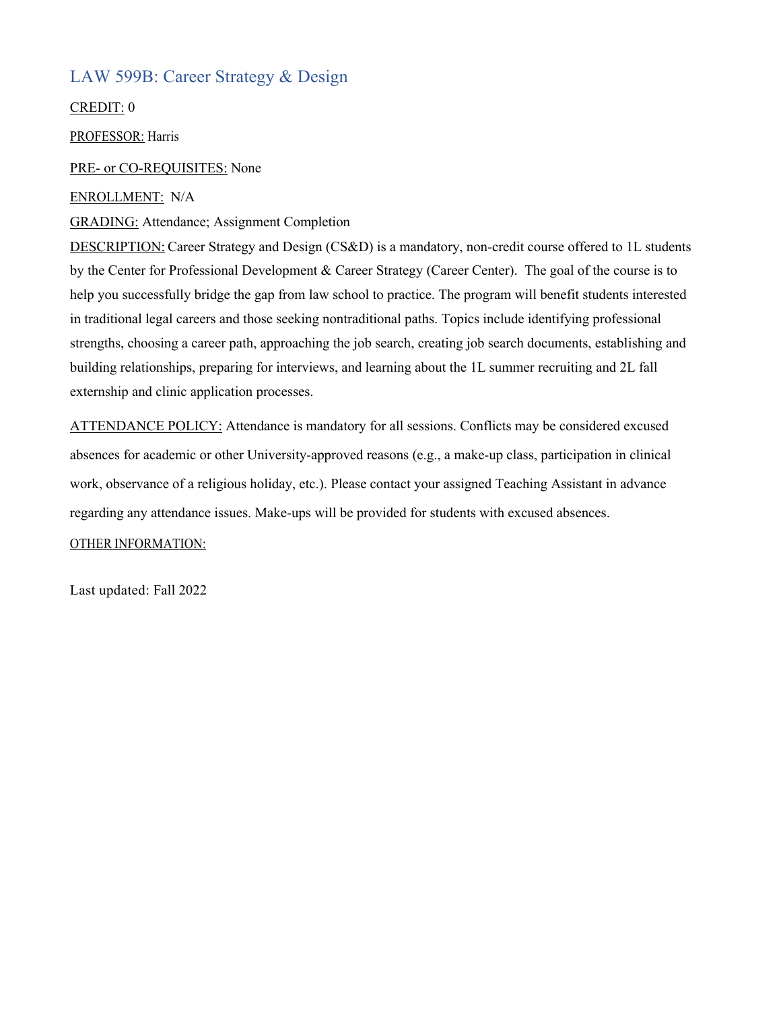#### LAW 599B: Career Strategy & Design

CREDIT: 0

PROFESSOR: Harris

#### PRE- or CO-REQUISITES: None

#### ENROLLMENT: N/A

#### GRADING: Attendance; Assignment Completion

DESCRIPTION: Career Strategy and Design (CS&D) is a mandatory, non-credit course offered to 1L students by the Center for Professional Development & Career Strategy (Career Center). The goal of the course is to help you successfully bridge the gap from law school to practice. The program will benefit students interested in traditional legal careers and those seeking nontraditional paths. Topics include identifying professional strengths, choosing a career path, approaching the job search, creating job search documents, establishing and building relationships, preparing for interviews, and learning about the 1L summer recruiting and 2L fall externship and clinic application processes.

ATTENDANCE POLICY: Attendance is mandatory for all sessions. Conflicts may be considered excused absences for academic or other University-approved reasons (e.g., a make-up class, participation in clinical work, observance of a religious holiday, etc.). Please contact your assigned Teaching Assistant in advance regarding any attendance issues. Make-ups will be provided for students with excused absences.

#### OTHER INFORMATION: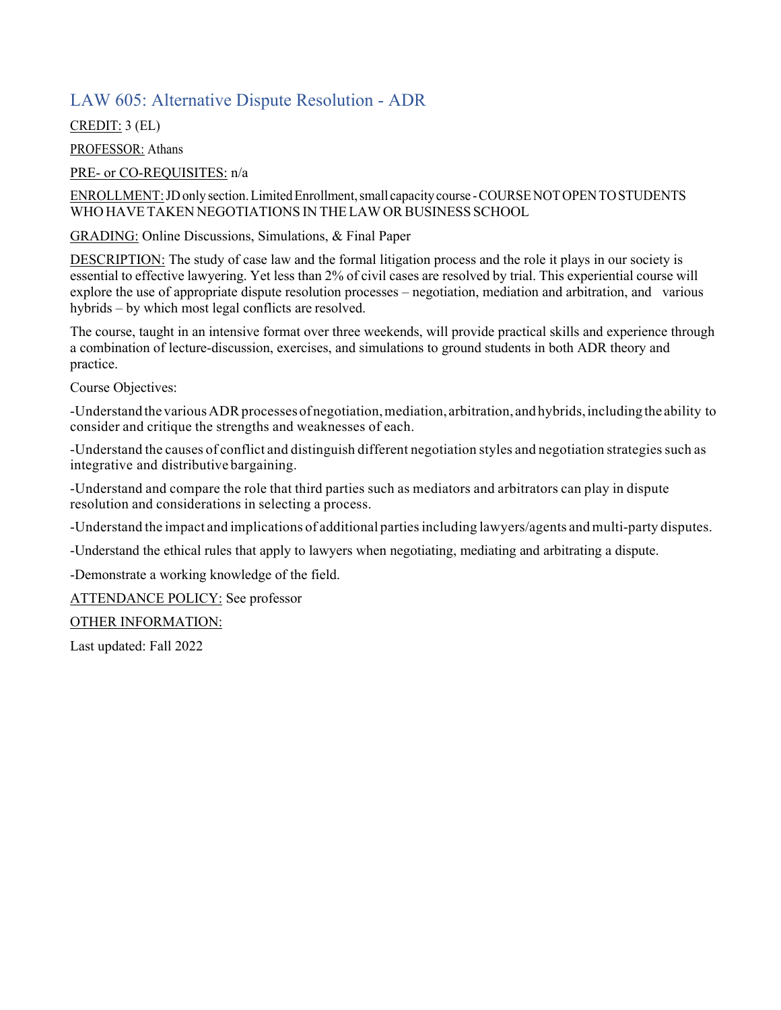#### LAW 605: Alternative Dispute Resolution - ADR

CREDIT: 3 (EL)

PROFESSOR: Athans

PRE- or CO-REQUISITES: n/a

ENROLLMENT: JD only section. Limited Enrollment, small capacity course - COURSE NOT OPEN TO STUDENTS WHO HAVETAKEN NEGOTIATIONS IN THELAWORBUSINESS SCHOOL

GRADING: Online Discussions, Simulations, & Final Paper

DESCRIPTION: The study of case law and the formal litigation process and the role it plays in our society is essential to effective lawyering. Yet less than 2% of civil cases are resolved by trial. This experiential course will explore the use of appropriate dispute resolution processes – negotiation, mediation and arbitration, and various hybrids – by which most legal conflicts are resolved.

The course, taught in an intensive format over three weekends, will provide practical skills and experience through a combination of lecture-discussion, exercises, and simulations to ground students in both ADR theory and practice.

Course Objectives:

-Understand the various ADR processes of negotiation, mediation, arbitration, and hybrids, including the ability to consider and critique the strengths and weaknesses of each.

-Understand the causes of conflict and distinguish different negotiation styles and negotiation strategiessuch as integrative and distributive bargaining.

-Understand and compare the role that third parties such as mediators and arbitrators can play in dispute resolution and considerations in selecting a process.

-Understand the impact and implications of additional partiesincluding lawyers/agents and multi-party disputes.

-Understand the ethical rules that apply to lawyers when negotiating, mediating and arbitrating a dispute.

-Demonstrate a working knowledge of the field.

ATTENDANCE POLICY: See professor

OTHER INFORMATION: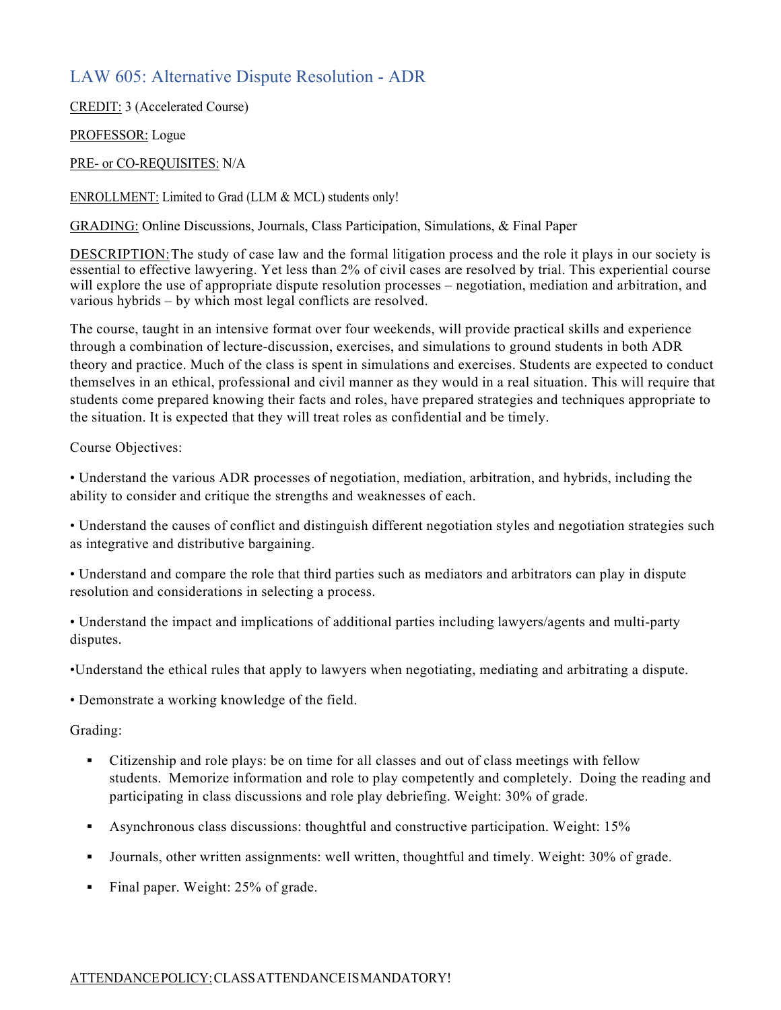#### LAW 605: Alternative Dispute Resolution - ADR

CREDIT: 3 (Accelerated Course)

PROFESSOR: Logue

PRE- or CO-REQUISITES: N/A

ENROLLMENT: Limited to Grad (LLM & MCL) students only!

GRADING: Online Discussions, Journals, Class Participation, Simulations, & Final Paper

DESCRIPTION:The study of case law and the formal litigation process and the role it plays in our society is essential to effective lawyering. Yet less than 2% of civil cases are resolved by trial. This experiential course will explore the use of appropriate dispute resolution processes – negotiation, mediation and arbitration, and various hybrids – by which most legal conflicts are resolved.

The course, taught in an intensive format over four weekends, will provide practical skills and experience through a combination of lecture-discussion, exercises, and simulations to ground students in both ADR theory and practice. Much of the class is spent in simulations and exercises. Students are expected to conduct themselves in an ethical, professional and civil manner as they would in a real situation. This will require that students come prepared knowing their facts and roles, have prepared strategies and techniques appropriate to the situation. It is expected that they will treat roles as confidential and be timely.

Course Objectives:

• Understand the various ADR processes of negotiation, mediation, arbitration, and hybrids, including the ability to consider and critique the strengths and weaknesses of each.

• Understand the causes of conflict and distinguish different negotiation styles and negotiation strategies such as integrative and distributive bargaining.

• Understand and compare the role that third parties such as mediators and arbitrators can play in dispute resolution and considerations in selecting a process.

• Understand the impact and implications of additional parties including lawyers/agents and multi-party disputes.

•Understand the ethical rules that apply to lawyers when negotiating, mediating and arbitrating a dispute.

• Demonstrate a working knowledge of the field.

Grading:

- Citizenship and role plays: be on time for all classes and out of class meetings with fellow students. Memorize information and role to play competently and completely. Doing the reading and participating in class discussions and role play debriefing. Weight: 30% of grade.
- Asynchronous class discussions: thoughtful and constructive participation. Weight: 15%
- § Journals, other written assignments: well written, thoughtful and timely. Weight: 30% of grade.
- Final paper. Weight: 25% of grade.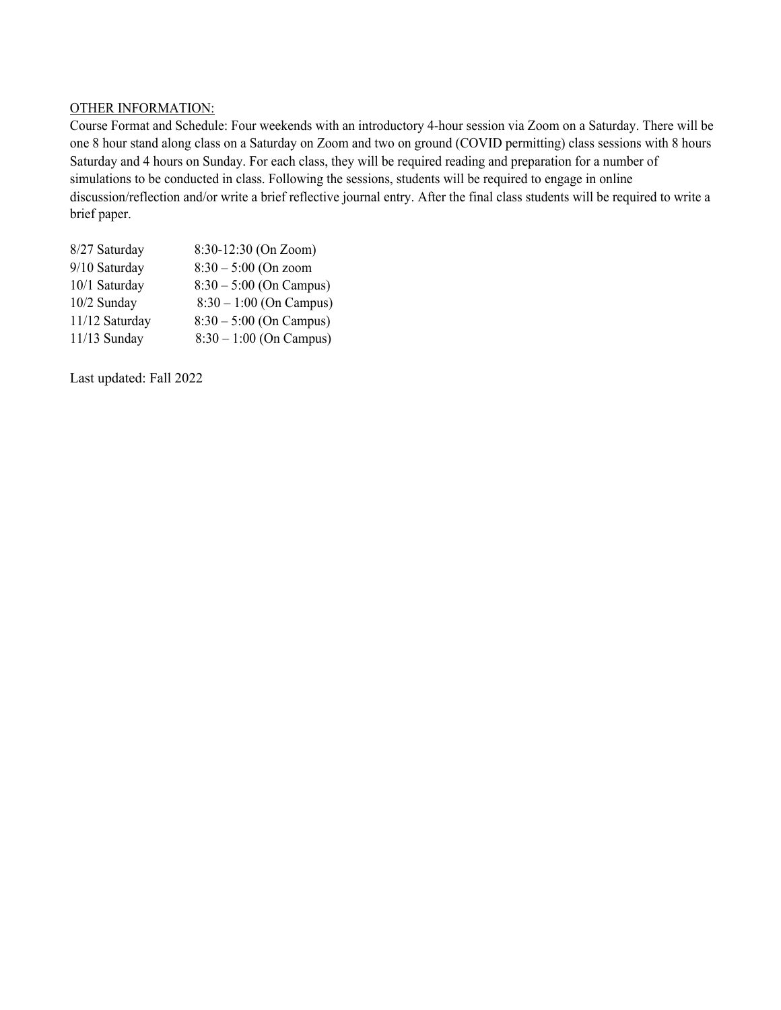#### OTHER INFORMATION:

Course Format and Schedule: Four weekends with an introductory 4-hour session via Zoom on a Saturday. There will be one 8 hour stand along class on a Saturday on Zoom and two on ground (COVID permitting) class sessions with 8 hours Saturday and 4 hours on Sunday. For each class, they will be required reading and preparation for a number of simulations to be conducted in class. Following the sessions, students will be required to engage in online discussion/reflection and/or write a brief reflective journal entry. After the final class students will be required to write a brief paper.

| 8/27 Saturday  | 8:30-12:30 (On Zoom)      |
|----------------|---------------------------|
| 9/10 Saturday  | $8:30 - 5:00$ (On zoom    |
| 10/1 Saturday  | $8:30 - 5:00$ (On Campus) |
| 10/2 Sunday    | $8:30 - 1:00$ (On Campus) |
| 11/12 Saturday | $8:30 - 5:00$ (On Campus) |
| 11/13 Sunday   | $8:30 - 1:00$ (On Campus) |
|                |                           |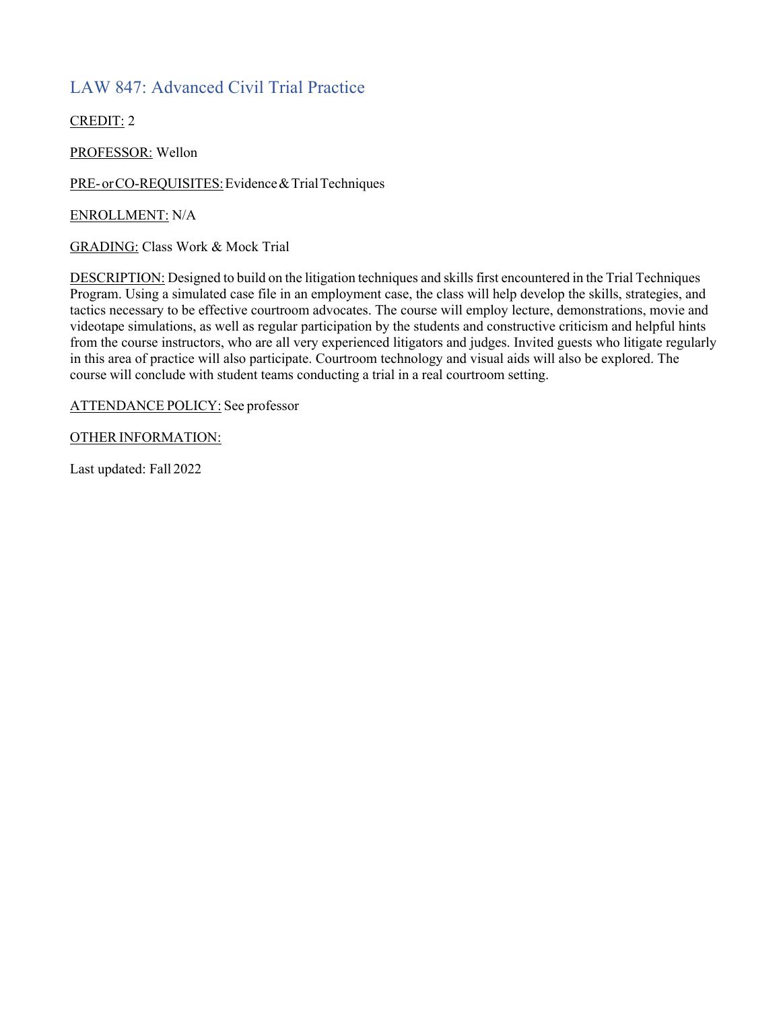### LAW 847: Advanced Civil Trial Practice

CREDIT: 2

PROFESSOR: Wellon

PRE-orCO-REQUISITES: Evidence & Trial Techniques

ENROLLMENT: N/A

GRADING: Class Work & Mock Trial

DESCRIPTION: Designed to build on the litigation techniques and skills first encountered in the Trial Techniques Program. Using a simulated case file in an employment case, the class will help develop the skills, strategies, and tactics necessary to be effective courtroom advocates. The course will employ lecture, demonstrations, movie and videotape simulations, as well as regular participation by the students and constructive criticism and helpful hints from the course instructors, who are all very experienced litigators and judges. Invited guests who litigate regularly in this area of practice will also participate. Courtroom technology and visual aids will also be explored. The course will conclude with student teams conducting a trial in a real courtroom setting.

ATTENDANCE POLICY: See professor

OTHER INFORMATION: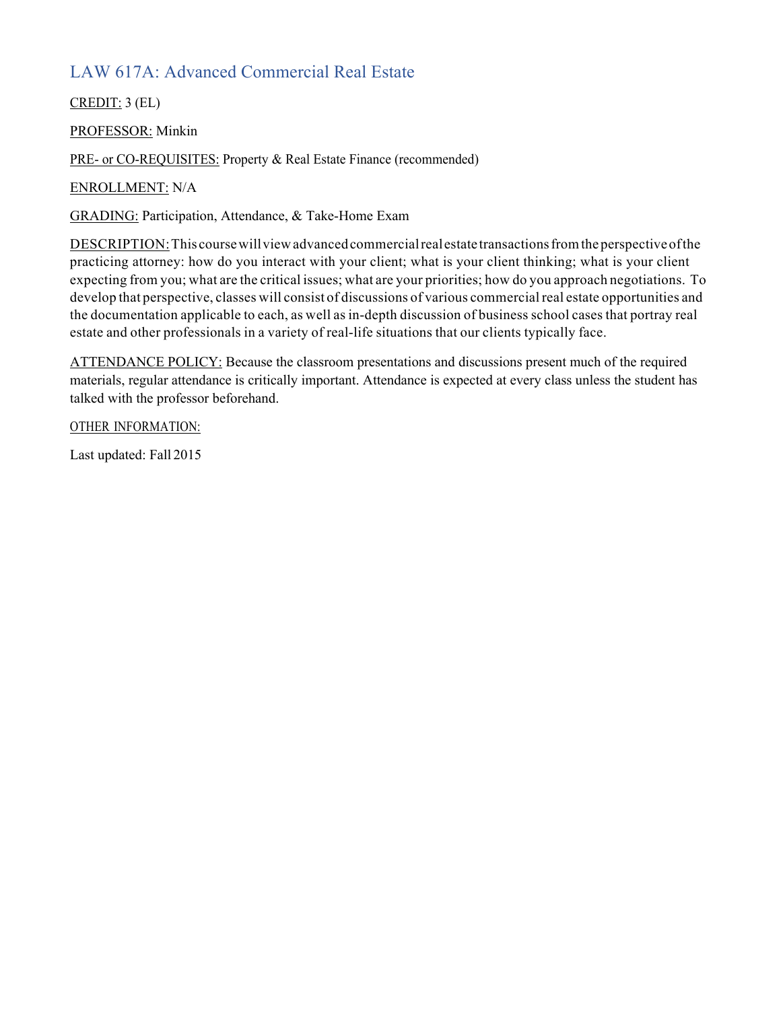## LAW 617A: Advanced Commercial Real Estate

CREDIT: 3 (EL)

PROFESSOR: Minkin

PRE- or CO-REQUISITES: Property & Real Estate Finance (recommended)

ENROLLMENT: N/A

GRADING: Participation, Attendance, & Take-Home Exam

DESCRIPTION:This coursewillviewadvancedcommercialrealestate transactionsfromthe perspectiveofthe practicing attorney: how do you interact with your client; what is your client thinking; what is your client expecting from you; what are the critical issues; what are your priorities; how do you approach negotiations. To develop that perspective, classes will consist of discussions of various commercial real estate opportunities and the documentation applicable to each, as well as in-depth discussion of business school cases that portray real estate and other professionals in a variety of real-life situations that our clients typically face.

ATTENDANCE POLICY: Because the classroom presentations and discussions present much of the required materials, regular attendance is critically important. Attendance is expected at every class unless the student has talked with the professor beforehand.

OTHER INFORMATION: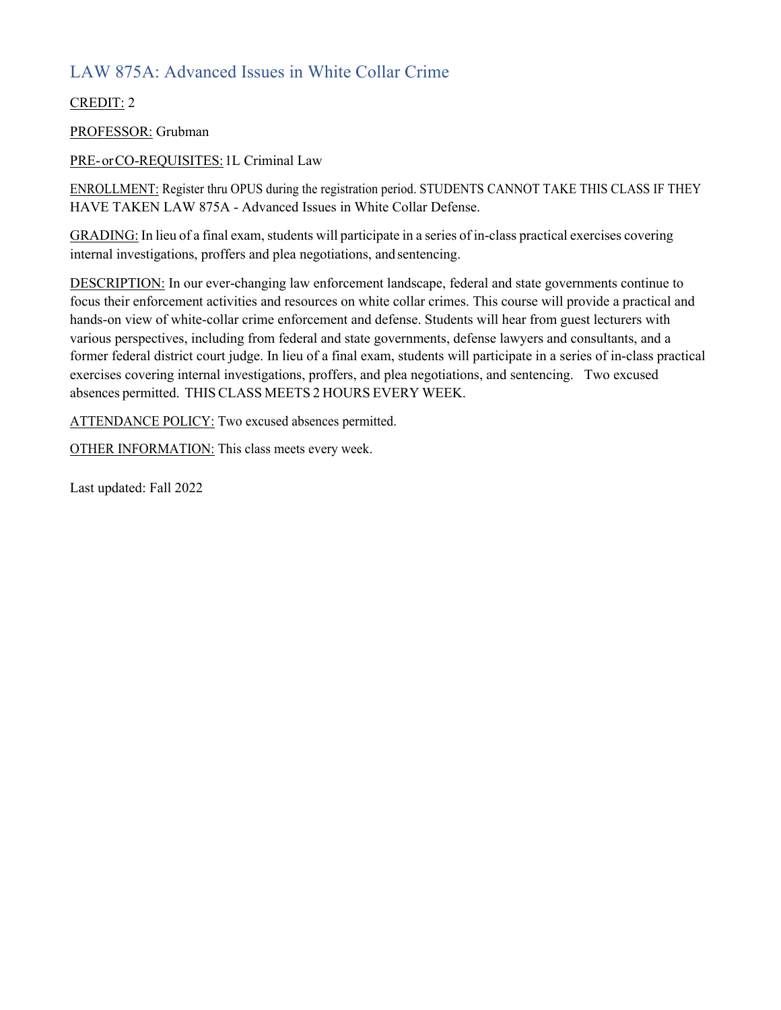## LAW 875A: Advanced Issues in White Collar Crime

CREDIT: 2

PROFESSOR: Grubman

PRE-orCO-REQUISITES:1L Criminal Law

ENROLLMENT: Register thru OPUS during the registration period. STUDENTS CANNOT TAKE THIS CLASS IF THEY HAVE TAKEN LAW 875A - Advanced Issues in White Collar Defense.

GRADING: In lieu of a final exam, students will participate in a series of in-class practical exercises covering internal investigations, proffers and plea negotiations, and sentencing.

DESCRIPTION: In our ever-changing law enforcement landscape, federal and state governments continue to focus their enforcement activities and resources on white collar crimes. This course will provide a practical and hands-on view of white-collar crime enforcement and defense. Students will hear from guest lecturers with various perspectives, including from federal and state governments, defense lawyers and consultants, and a former federal district court judge. In lieu of a final exam, students will participate in a series of in-class practical exercises covering internal investigations, proffers, and plea negotiations, and sentencing. Two excused absences permitted. THISCLASS MEETS 2 HOURS EVERY WEEK.

ATTENDANCE POLICY: Two excused absences permitted.

OTHER INFORMATION: This class meets every week.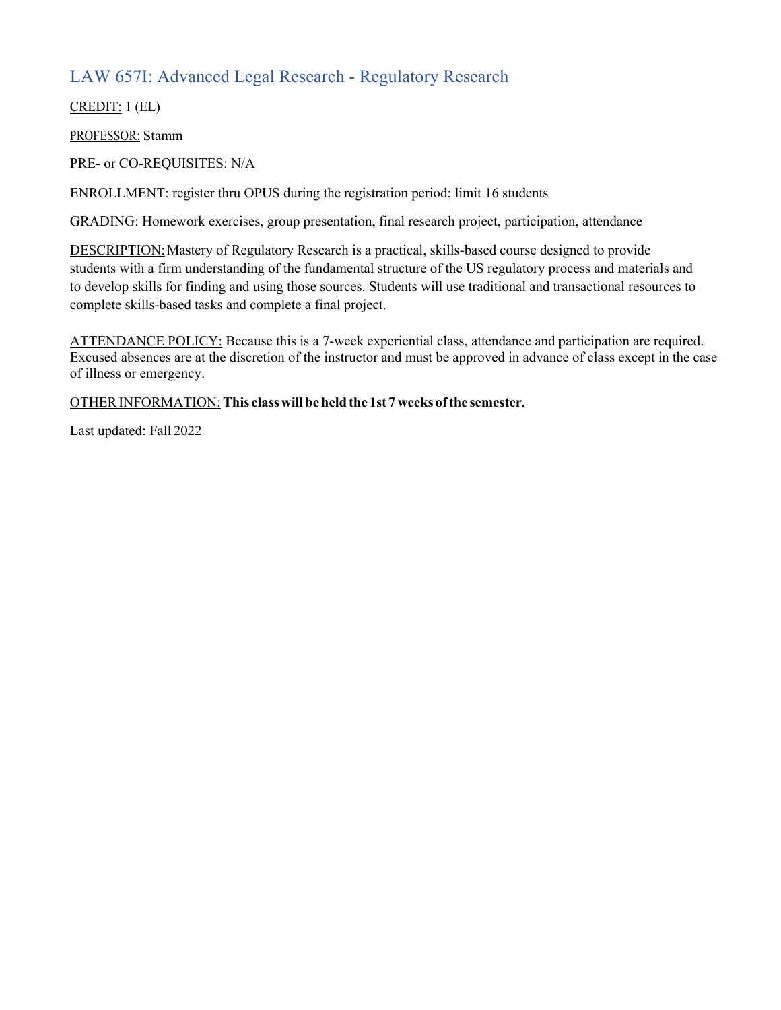## LAW 657I: Advanced Legal Research - Regulatory Research

CREDIT: 1 (EL)

PROFESSOR: Stamm

PRE- or CO-REQUISITES: N/A

ENROLLMENT: register thru OPUS during the registration period; limit 16 students

GRADING: Homework exercises, group presentation, final research project, participation, attendance

DESCRIPTION: Mastery of Regulatory Research is a practical, skills-based course designed to provide students with a firm understanding of the fundamental structure of the US regulatory process and materials and to develop skills for finding and using those sources. Students will use traditional and transactional resources to complete skills-based tasks and complete a final project.

ATTENDANCE POLICY: Because this is a 7-week experiential class, attendance and participation are required. Excused absences are at the discretion of the instructor and must be approved in advance of class except in the case of illness or emergency.

#### OTHERINFORMATION:**This classwill beheldthe 1st 7 weeks ofthe semester.**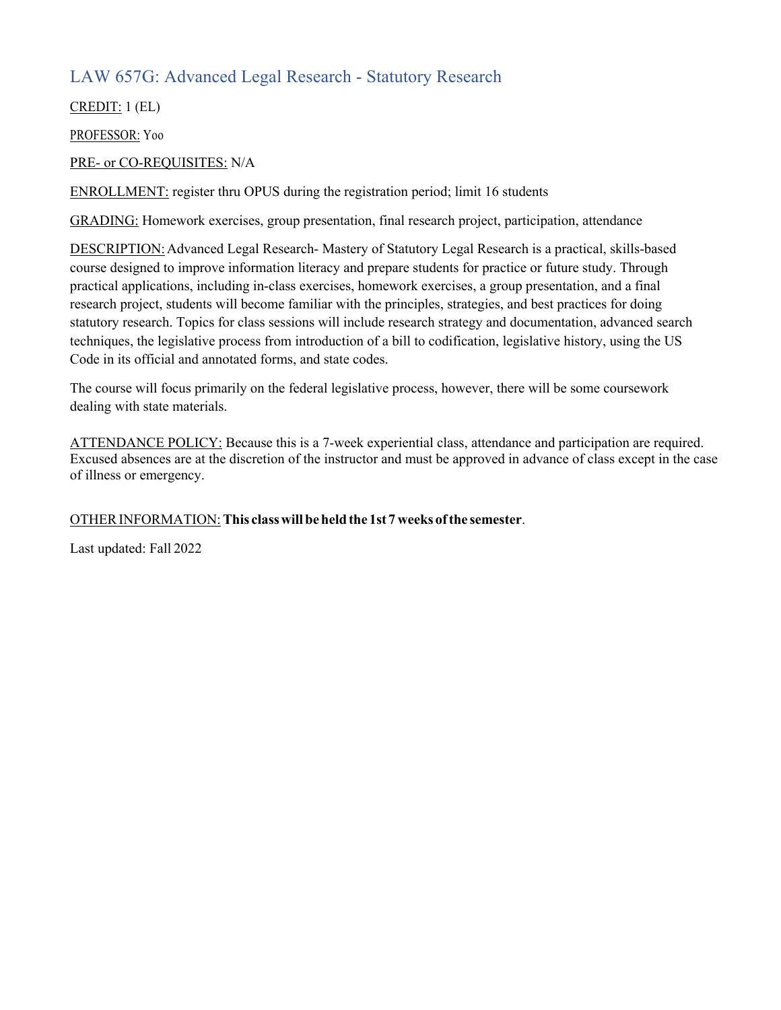### LAW 657G: Advanced Legal Research - Statutory Research

CREDIT: 1 (EL)

PROFESSOR: Yoo

PRE- or CO-REQUISITES: N/A

ENROLLMENT: register thru OPUS during the registration period; limit 16 students

GRADING: Homework exercises, group presentation, final research project, participation, attendance

DESCRIPTION:Advanced Legal Research- Mastery of Statutory Legal Research is a practical, skills-based course designed to improve information literacy and prepare students for practice or future study. Through practical applications, including in-class exercises, homework exercises, a group presentation, and a final research project, students will become familiar with the principles, strategies, and best practices for doing statutory research. Topics for class sessions will include research strategy and documentation, advanced search techniques, the legislative process from introduction of a bill to codification, legislative history, using the US Code in its official and annotated forms, and state codes.

The course will focus primarily on the federal legislative process, however, there will be some coursework dealing with state materials.

ATTENDANCE POLICY: Because this is a 7-week experiential class, attendance and participation are required. Excused absences are at the discretion of the instructor and must be approved in advance of class except in the case of illness or emergency.

#### OTHERINFORMATION:**This classwill beheldthe 1st 7 weeks ofthe semester**.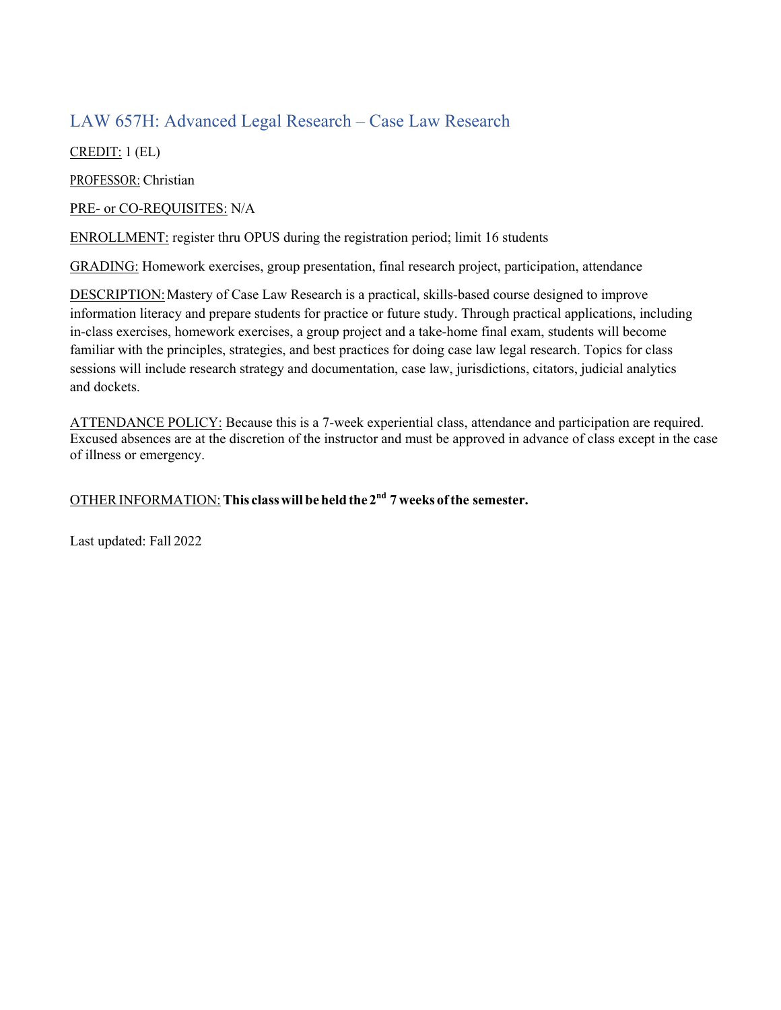#### LAW 657H: Advanced Legal Research – Case Law Research

CREDIT: 1 (EL)

PROFESSOR: Christian

PRE- or CO-REQUISITES: N/A

ENROLLMENT: register thru OPUS during the registration period; limit 16 students

GRADING: Homework exercises, group presentation, final research project, participation, attendance

DESCRIPTION: Mastery of Case Law Research is a practical, skills-based course designed to improve information literacy and prepare students for practice or future study. Through practical applications, including in-class exercises, homework exercises, a group project and a take-home final exam, students will become familiar with the principles, strategies, and best practices for doing case law legal research. Topics for class sessions will include research strategy and documentation, case law, jurisdictions, citators, judicial analytics and dockets.

ATTENDANCE POLICY: Because this is a 7-week experiential class, attendance and participation are required. Excused absences are at the discretion of the instructor and must be approved in advance of class except in the case of illness or emergency.

#### OTHERINFORMATION:**This classwill beheldthe 2nd 7 weeks ofthe semester.**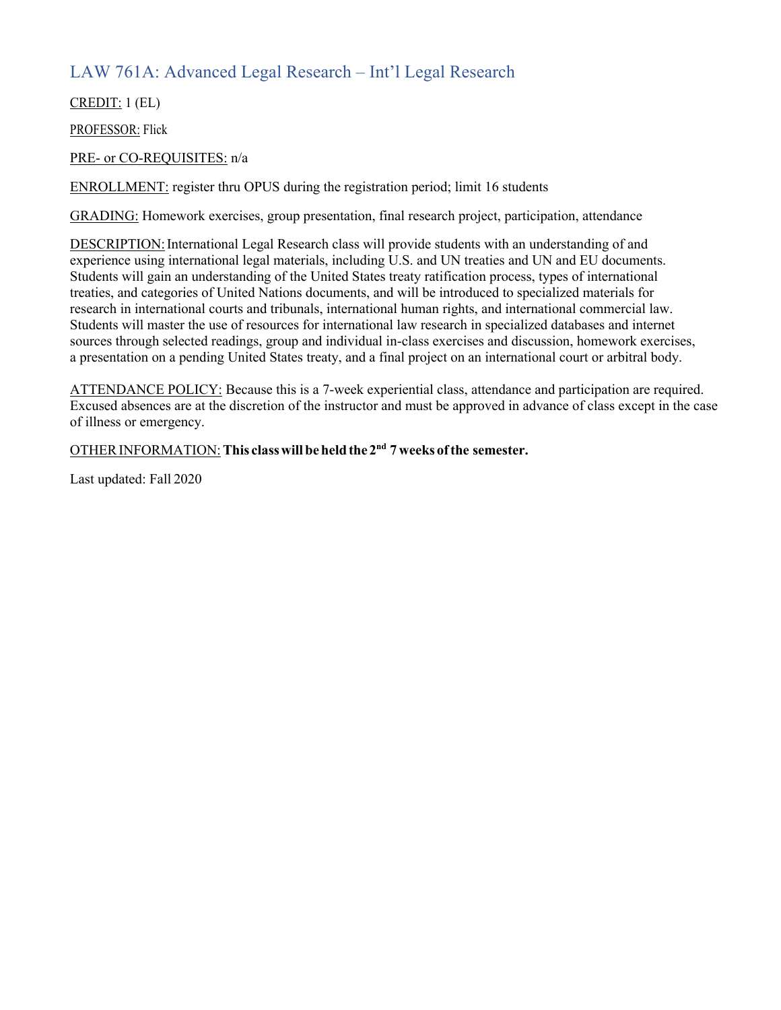## LAW 761A: Advanced Legal Research – Int'l Legal Research

CREDIT: 1 (EL)

PROFESSOR: Flick

#### PRE- or CO-REQUISITES: n/a

ENROLLMENT: register thru OPUS during the registration period; limit 16 students

GRADING: Homework exercises, group presentation, final research project, participation, attendance

DESCRIPTION: International Legal Research class will provide students with an understanding of and experience using international legal materials, including U.S. and UN treaties and UN and EU documents. Students will gain an understanding of the United States treaty ratification process, types of international treaties, and categories of United Nations documents, and will be introduced to specialized materials for research in international courts and tribunals, international human rights, and international commercial law. Students will master the use of resources for international law research in specialized databases and internet sources through selected readings, group and individual in-class exercises and discussion, homework exercises, a presentation on a pending United States treaty, and a final project on an international court or arbitral body.

ATTENDANCE POLICY: Because this is a 7-week experiential class, attendance and participation are required. Excused absences are at the discretion of the instructor and must be approved in advance of class except in the case of illness or emergency.

#### OTHERINFORMATION:**This classwill beheldthe 2nd 7 weeks ofthe semester.**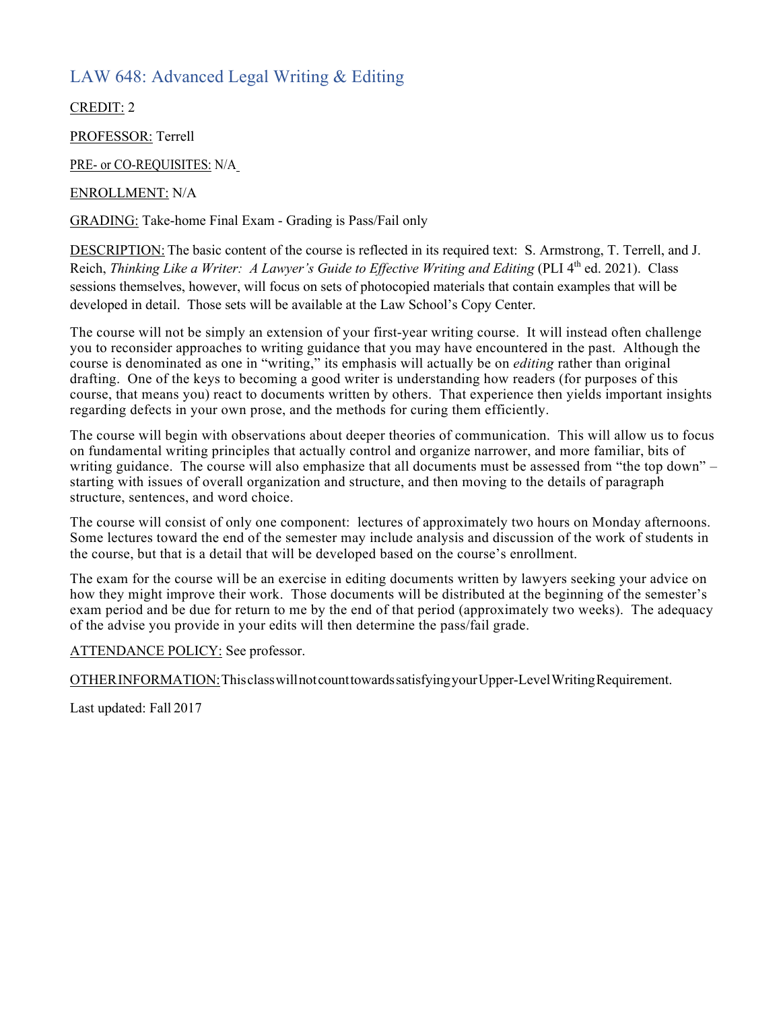### LAW 648: Advanced Legal Writing & Editing

CREDIT: 2

PROFESSOR: Terrell

PRE- or CO-REQUISITES: N/A

ENROLLMENT: N/A

GRADING: Take-home Final Exam - Grading is Pass/Fail only

DESCRIPTION: The basic content of the course is reflected in its required text: S. Armstrong, T. Terrell, and J. Reich, *Thinking Like a Writer: A Lawyer's Guide to Effective Writing and Editing* (PLI 4<sup>th</sup> ed. 2021). Class sessions themselves, however, will focus on sets of photocopied materials that contain examples that will be developed in detail. Those sets will be available at the Law School's Copy Center.

The course will not be simply an extension of your first-year writing course. It will instead often challenge you to reconsider approaches to writing guidance that you may have encountered in the past. Although the course is denominated as one in "writing," its emphasis will actually be on *editing* rather than original drafting. One of the keys to becoming a good writer is understanding how readers (for purposes of this course, that means you) react to documents written by others. That experience then yields important insights regarding defects in your own prose, and the methods for curing them efficiently.

The course will begin with observations about deeper theories of communication. This will allow us to focus on fundamental writing principles that actually control and organize narrower, and more familiar, bits of writing guidance. The course will also emphasize that all documents must be assessed from "the top down" – starting with issues of overall organization and structure, and then moving to the details of paragraph structure, sentences, and word choice.

The course will consist of only one component: lectures of approximately two hours on Monday afternoons. Some lectures toward the end of the semester may include analysis and discussion of the work of students in the course, but that is a detail that will be developed based on the course's enrollment.

The exam for the course will be an exercise in editing documents written by lawyers seeking your advice on how they might improve their work. Those documents will be distributed at the beginning of the semester's exam period and be due for return to me by the end of that period (approximately two weeks). The adequacy of the advise you provide in your edits will then determine the pass/fail grade.

ATTENDANCE POLICY: See professor.

OTHERINFORMATION:ThisclasswillnotcounttowardssatisfyingyourUpper-LevelWritingRequirement.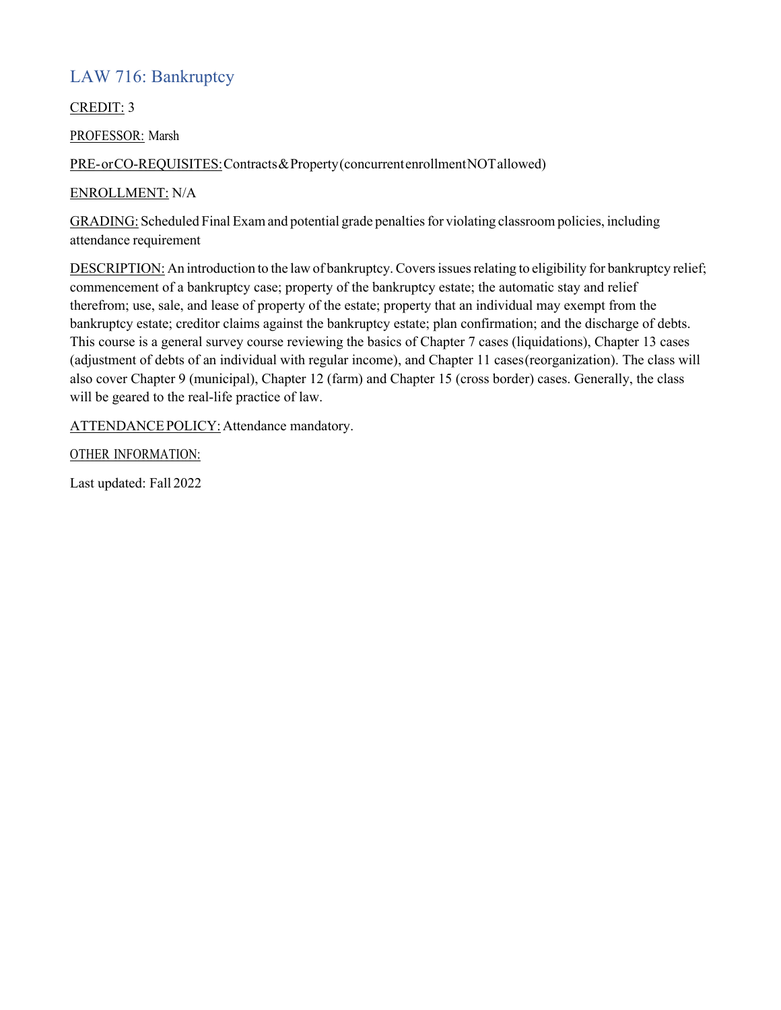### LAW 716: Bankruptcy

CREDIT: 3

PROFESSOR: Marsh

PRE-orCO-REQUISITES:Contracts&Property(concurrentenrollmentNOTallowed)

ENROLLMENT: N/A

GRADING: Scheduled Final Exam and potential grade penaltiesfor violating classroom policies, including attendance requirement

DESCRIPTION: An introduction to the law of bankruptcy. Covers issues relating to eligibility for bankruptcy relief; commencement of a bankruptcy case; property of the bankruptcy estate; the automatic stay and relief therefrom; use, sale, and lease of property of the estate; property that an individual may exempt from the bankruptcy estate; creditor claims against the bankruptcy estate; plan confirmation; and the discharge of debts. This course is a general survey course reviewing the basics of Chapter 7 cases (liquidations), Chapter 13 cases (adjustment of debts of an individual with regular income), and Chapter 11 cases(reorganization). The class will also cover Chapter 9 (municipal), Chapter 12 (farm) and Chapter 15 (cross border) cases. Generally, the class will be geared to the real-life practice of law.

ATTENDANCE POLICY: Attendance mandatory.

OTHER INFORMATION: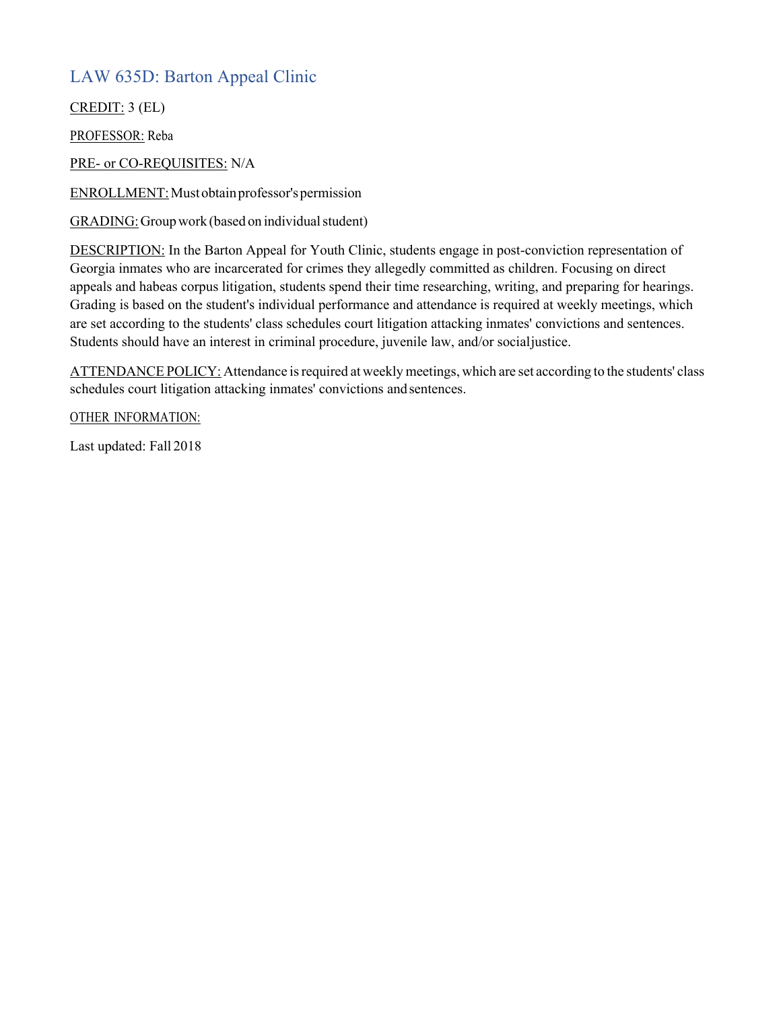### LAW 635D: Barton Appeal Clinic

CREDIT: 3 (EL)

PROFESSOR: Reba

PRE- or CO-REQUISITES: N/A

ENROLLMENT:Mustobtainprofessor'spermission

GRADING: Group work (based on individual student)

DESCRIPTION: In the Barton Appeal for Youth Clinic, students engage in post-conviction representation of Georgia inmates who are incarcerated for crimes they allegedly committed as children. Focusing on direct appeals and habeas corpus litigation, students spend their time researching, writing, and preparing for hearings. Grading is based on the student's individual performance and attendance is required at weekly meetings, which are set according to the students' class schedules court litigation attacking inmates' convictions and sentences. Students should have an interest in criminal procedure, juvenile law, and/or socialjustice.

ATTENDANCE POLICY: Attendance is required at weekly meetings, which are set according to the students' class schedules court litigation attacking inmates' convictions andsentences.

OTHER INFORMATION: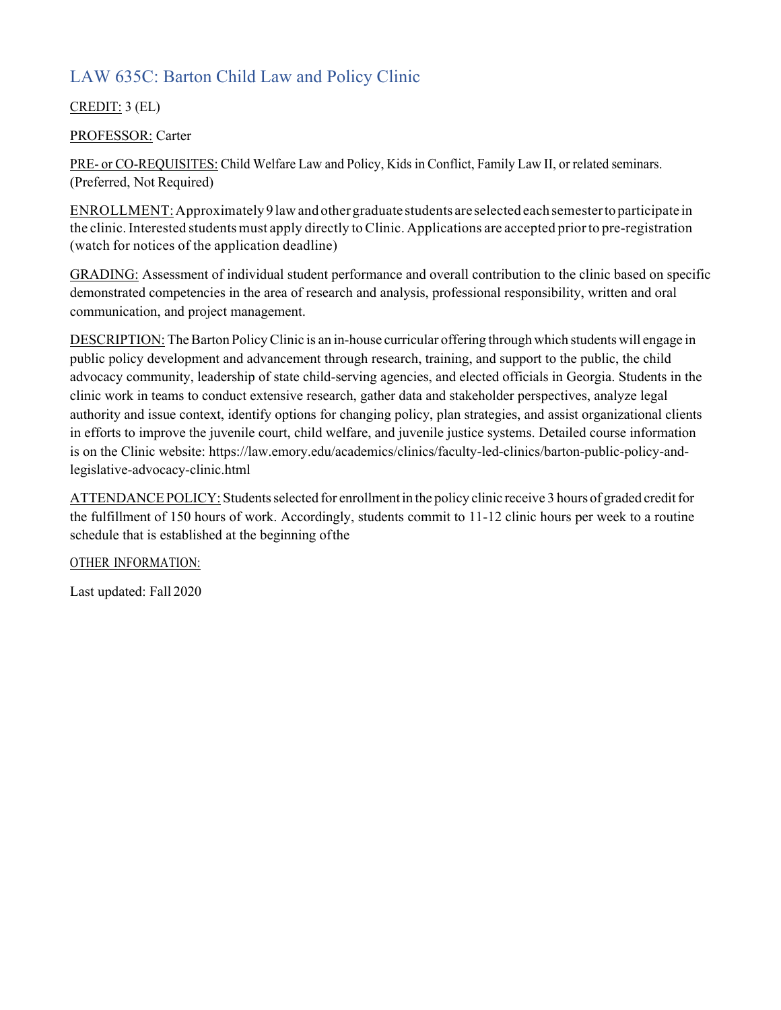## LAW 635C: Barton Child Law and Policy Clinic

CREDIT: 3 (EL)

#### PROFESSOR: Carter

PRE- or CO-REQUISITES: Child Welfare Law and Policy, Kids in Conflict, Family Law II, or related seminars. (Preferred, Not Required)

ENROLLMENT:Approximately 9 lawand othergraduate students are selected each semesterto participate in the clinic.Interested students must apply directly to Clinic. Applications are accepted priorto pre-registration (watch for notices of the application deadline)

GRADING: Assessment of individual student performance and overall contribution to the clinic based on specific demonstrated competencies in the area of research and analysis, professional responsibility, written and oral communication, and project management.

DESCRIPTION: The Barton Policy Clinic is an in-house curricular offering through which students will engage in public policy development and advancement through research, training, and support to the public, the child advocacy community, leadership of state child-serving agencies, and elected officials in Georgia. Students in the clinic work in teams to conduct extensive research, gather data and stakeholder perspectives, analyze legal authority and issue context, identify options for changing policy, plan strategies, and assist organizational clients in efforts to improve the juvenile court, child welfare, and juvenile justice systems. Detailed course information is on the Clinic website: https://law.emory.edu/academics/clinics/faculty-led-clinics/barton-public-policy-andlegislative-advocacy-clinic.html

ATTENDANCE POLICY: Students selected for enrollment in the policy clinic receive 3 hours of graded credit for the fulfillment of 150 hours of work. Accordingly, students commit to 11-12 clinic hours per week to a routine schedule that is established at the beginning ofthe

OTHER INFORMATION: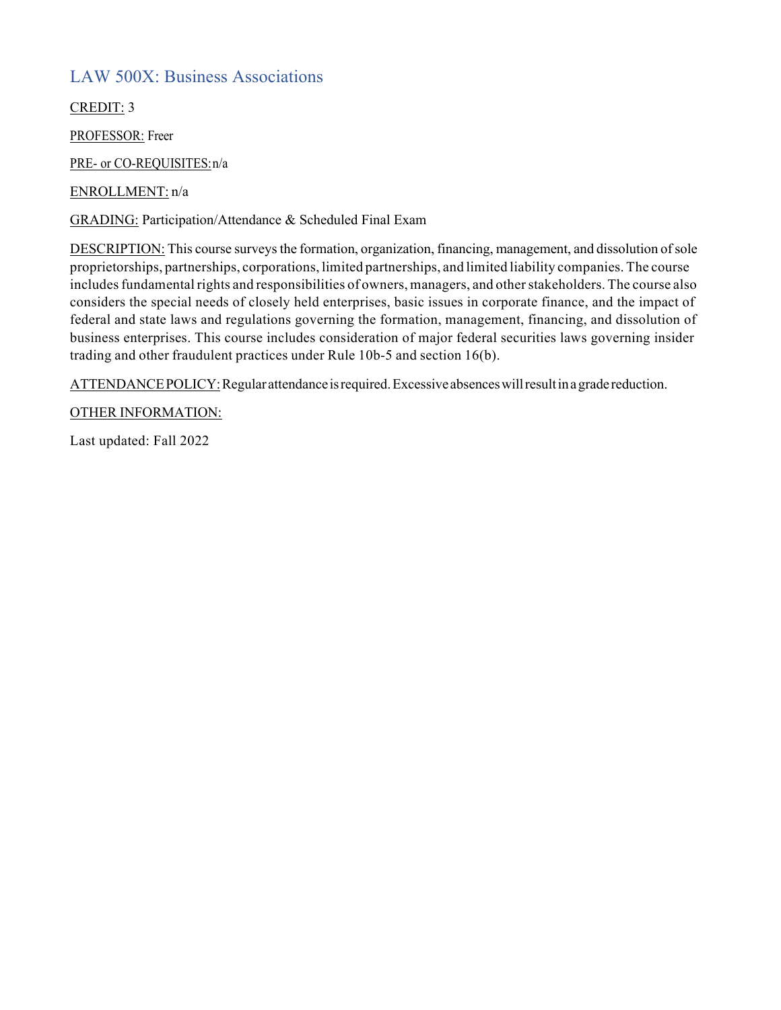#### LAW 500X: Business Associations

CREDIT: 3

PROFESSOR: Freer

PRE- or CO-REQUISITES:n/a

ENROLLMENT: n/a

GRADING: Participation/Attendance & Scheduled Final Exam

DESCRIPTION: This course surveys the formation, organization, financing, management, and dissolution of sole proprietorships, partnerships, corporations, limited partnerships, and limited liability companies. The course includes fundamental rights and responsibilities of owners, managers, and other stakeholders. The course also considers the special needs of closely held enterprises, basic issues in corporate finance, and the impact of federal and state laws and regulations governing the formation, management, financing, and dissolution of business enterprises. This course includes consideration of major federal securities laws governing insider trading and other fraudulent practices under Rule 10b-5 and section 16(b).

ATTENDANCE POLICY: Regular attendance is required. Excessive absences will result in a grade reduction.

OTHER INFORMATION: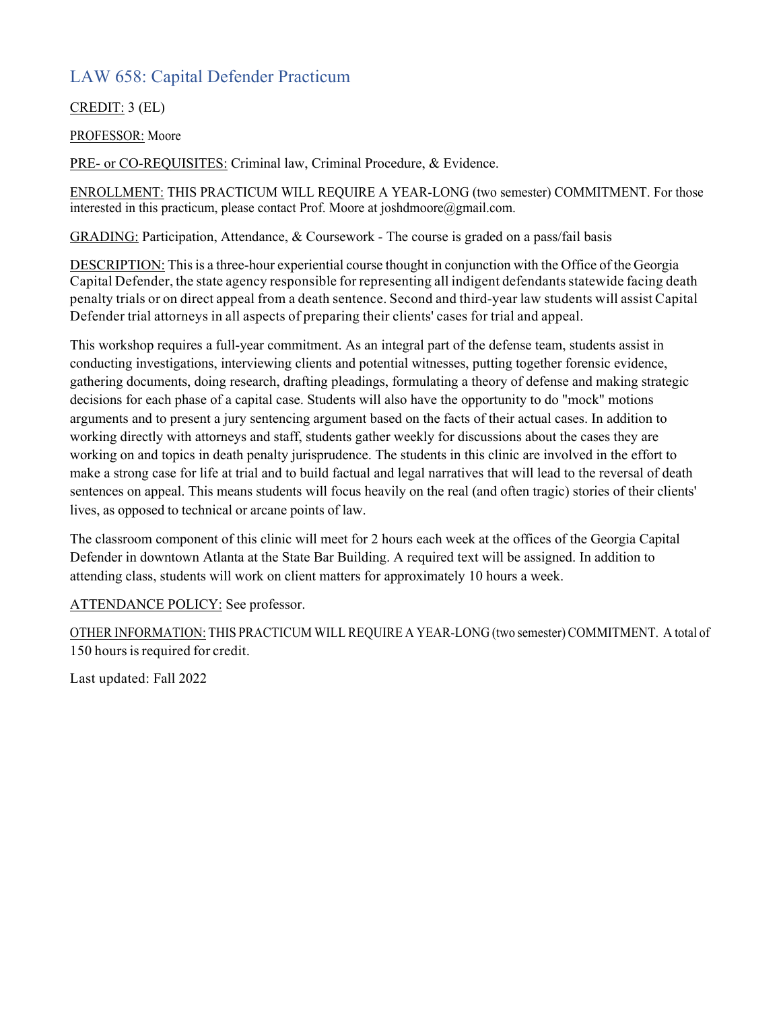### LAW 658: Capital Defender Practicum

#### CREDIT: 3 (EL)

#### PROFESSOR: Moore

PRE- or CO-REQUISITES: Criminal law, Criminal Procedure, & Evidence.

ENROLLMENT: THIS PRACTICUM WILL REQUIRE A YEAR-LONG (two semester) COMMITMENT. For those interested in this practicum, please contact Prof. Moore at joshdmoore@gmail.com.

GRADING: Participation, Attendance, & Coursework - The course is graded on a pass/fail basis

DESCRIPTION: Thisis a three-hour experiential course thought in conjunction with the Office of the Georgia Capital Defender, the state agency responsible for representing all indigent defendants statewide facing death penalty trials or on direct appeal from a death sentence. Second and third-year law students will assist Capital Defender trial attorneys in all aspects of preparing their clients' cases for trial and appeal.

This workshop requires a full-year commitment. As an integral part of the defense team, students assist in conducting investigations, interviewing clients and potential witnesses, putting together forensic evidence, gathering documents, doing research, drafting pleadings, formulating a theory of defense and making strategic decisions for each phase of a capital case. Students will also have the opportunity to do "mock" motions arguments and to present a jury sentencing argument based on the facts of their actual cases. In addition to working directly with attorneys and staff, students gather weekly for discussions about the cases they are working on and topics in death penalty jurisprudence. The students in this clinic are involved in the effort to make a strong case for life at trial and to build factual and legal narratives that will lead to the reversal of death sentences on appeal. This means students will focus heavily on the real (and often tragic) stories of their clients' lives, as opposed to technical or arcane points of law.

The classroom component of this clinic will meet for 2 hours each week at the offices of the Georgia Capital Defender in downtown Atlanta at the State Bar Building. A required text will be assigned. In addition to attending class, students will work on client matters for approximately 10 hours a week.

#### ATTENDANCE POLICY: See professor.

OTHER INFORMATION: THIS PRACTICUM WILL REQUIRE A YEAR-LONG (two semester) COMMITMENT. A total of 150 hours is required for credit.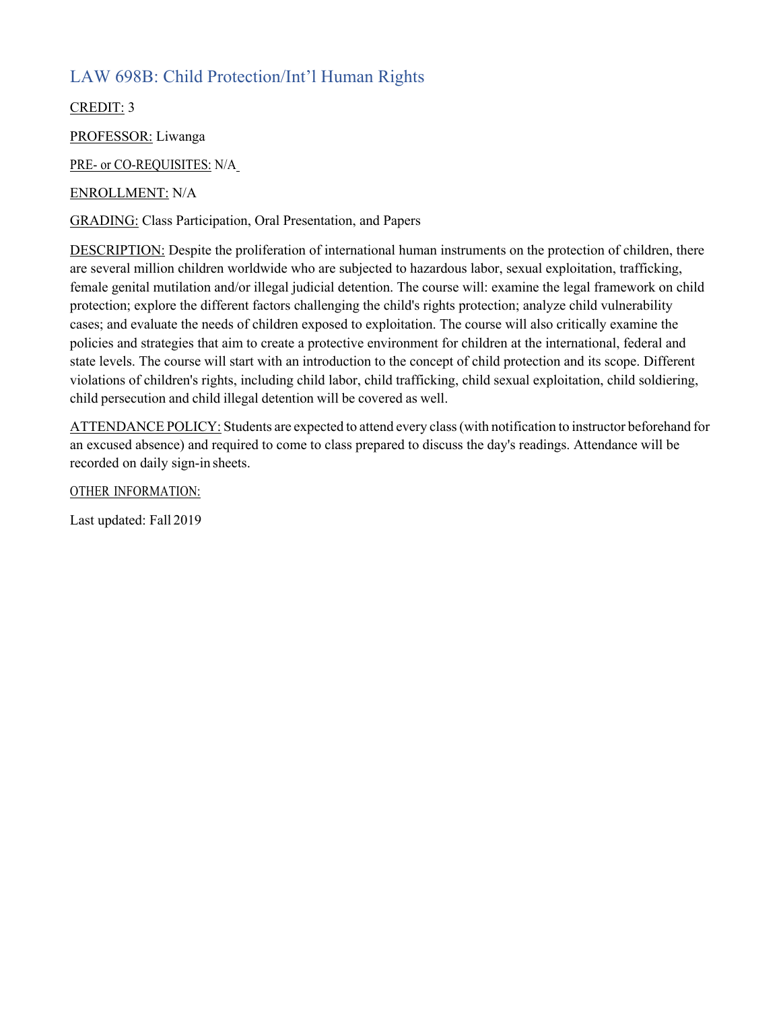## LAW 698B: Child Protection/Int'l Human Rights

CREDIT: 3

PROFESSOR: Liwanga

PRE- or CO-REQUISITES: N/A

ENROLLMENT: N/A

GRADING: Class Participation, Oral Presentation, and Papers

DESCRIPTION: Despite the proliferation of international human instruments on the protection of children, there are several million children worldwide who are subjected to hazardous labor, sexual exploitation, trafficking, female genital mutilation and/or illegal judicial detention. The course will: examine the legal framework on child protection; explore the different factors challenging the child's rights protection; analyze child vulnerability cases; and evaluate the needs of children exposed to exploitation. The course will also critically examine the policies and strategies that aim to create a protective environment for children at the international, federal and state levels. The course will start with an introduction to the concept of child protection and its scope. Different violations of children's rights, including child labor, child trafficking, child sexual exploitation, child soldiering, child persecution and child illegal detention will be covered as well.

ATTENDANCE POLICY: Students are expected to attend every class(with notification to instructor beforehand for an excused absence) and required to come to class prepared to discuss the day's readings. Attendance will be recorded on daily sign-in sheets.

OTHER INFORMATION: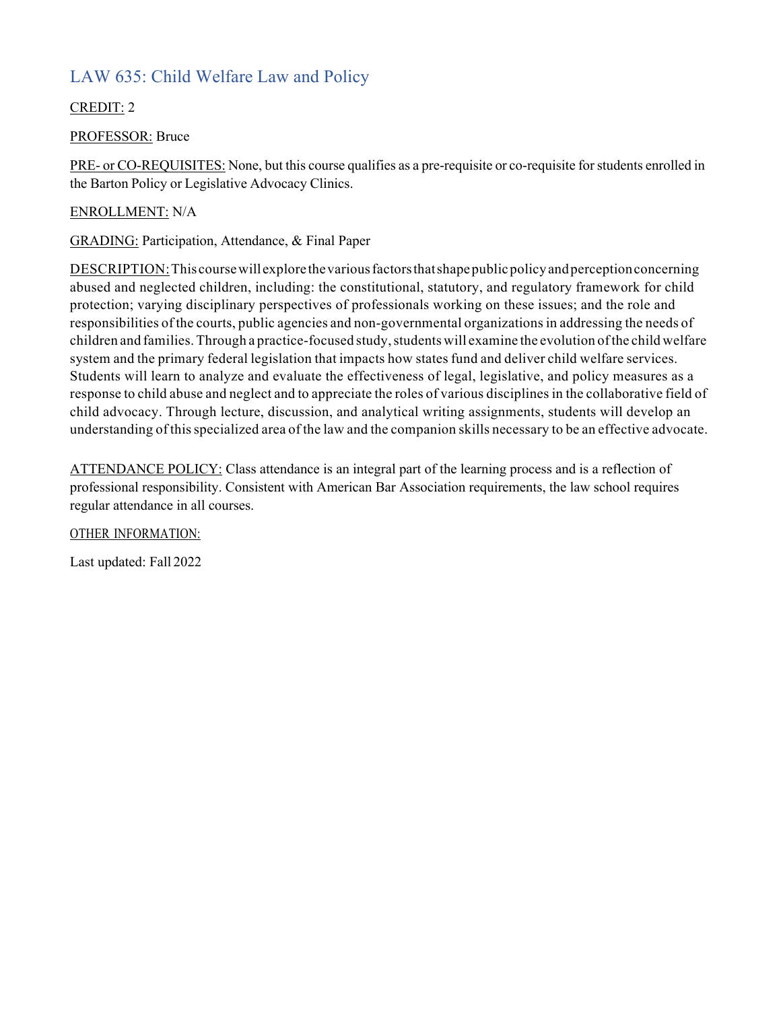## LAW 635: Child Welfare Law and Policy

#### CREDIT: 2

#### PROFESSOR: Bruce

PRE- or CO-REQUISITES: None, but this course qualifies as a pre-requisite or co-requisite for students enrolled in the Barton Policy or Legislative Advocacy Clinics.

#### ENROLLMENT: N/A

GRADING: Participation, Attendance, & Final Paper

DESCRIPTION:This coursewillexplore thevariousfactorsthatshapepublicpolicyandperceptionconcerning abused and neglected children, including: the constitutional, statutory, and regulatory framework for child protection; varying disciplinary perspectives of professionals working on these issues; and the role and responsibilities of the courts, public agencies and non-governmental organizations in addressing the needs of children and families. Through a practice-focused study, students will examine the evolution of the child welfare system and the primary federal legislation that impacts how states fund and deliver child welfare services. Students will learn to analyze and evaluate the effectiveness of legal, legislative, and policy measures as a response to child abuse and neglect and to appreciate the roles of various disciplines in the collaborative field of child advocacy. Through lecture, discussion, and analytical writing assignments, students will develop an understanding of thisspecialized area of the law and the companion skills necessary to be an effective advocate.

ATTENDANCE POLICY: Class attendance is an integral part of the learning process and is a reflection of professional responsibility. Consistent with American Bar Association requirements, the law school requires regular attendance in all courses.

OTHER INFORMATION: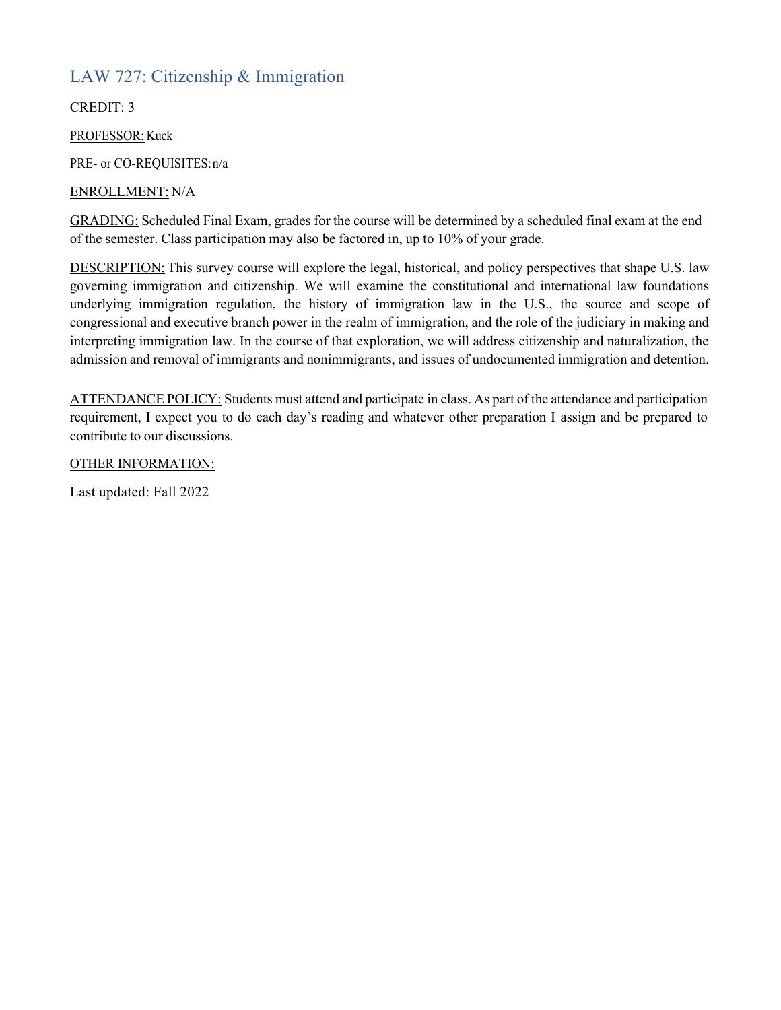### LAW 727: Citizenship & Immigration

CREDIT: 3

PROFESSOR: Kuck

PRE- or CO-REQUISITES:n/a

#### ENROLLMENT: N/A

GRADING: Scheduled Final Exam, grades for the course will be determined by a scheduled final exam at the end of the semester. Class participation may also be factored in, up to 10% of your grade.

DESCRIPTION: This survey course will explore the legal, historical, and policy perspectives that shape U.S. law governing immigration and citizenship. We will examine the constitutional and international law foundations underlying immigration regulation, the history of immigration law in the U.S., the source and scope of congressional and executive branch power in the realm of immigration, and the role of the judiciary in making and interpreting immigration law. In the course of that exploration, we will address citizenship and naturalization, the admission and removal of immigrants and nonimmigrants, and issues of undocumented immigration and detention.

ATTENDANCE POLICY: Students must attend and participate in class. As part of the attendance and participation requirement, I expect you to do each day's reading and whatever other preparation I assign and be prepared to contribute to our discussions.

OTHER INFORMATION: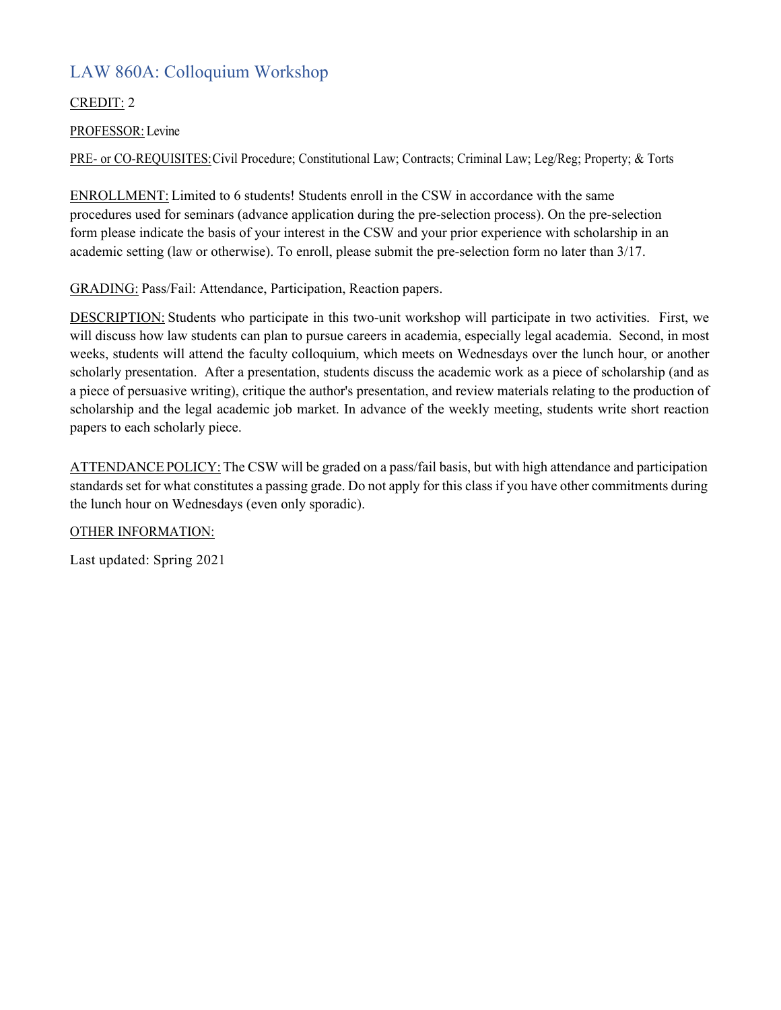## LAW 860A: Colloquium Workshop

#### CREDIT: 2

#### PROFESSOR: Levine

PRE- or CO-REQUISITES:Civil Procedure; Constitutional Law; Contracts; Criminal Law; Leg/Reg; Property; & Torts

ENROLLMENT: Limited to 6 students! Students enroll in the CSW in accordance with the same procedures used for seminars (advance application during the pre-selection process). On the pre-selection form please indicate the basis of your interest in the CSW and your prior experience with scholarship in an academic setting (law or otherwise). To enroll, please submit the pre-selection form no later than 3/17.

GRADING: Pass/Fail: Attendance, Participation, Reaction papers.

DESCRIPTION: Students who participate in this two-unit workshop will participate in two activities. First, we will discuss how law students can plan to pursue careers in academia, especially legal academia. Second, in most weeks, students will attend the faculty colloquium, which meets on Wednesdays over the lunch hour, or another scholarly presentation. After a presentation, students discuss the academic work as a piece of scholarship (and as a piece of persuasive writing), critique the author's presentation, and review materials relating to the production of scholarship and the legal academic job market. In advance of the weekly meeting, students write short reaction papers to each scholarly piece.

ATTENDANCEPOLICY: The CSW will be graded on a pass/fail basis, but with high attendance and participation standards set for what constitutes a passing grade. Do not apply for this class if you have other commitments during the lunch hour on Wednesdays (even only sporadic).

OTHER INFORMATION:

Last updated: Spring 2021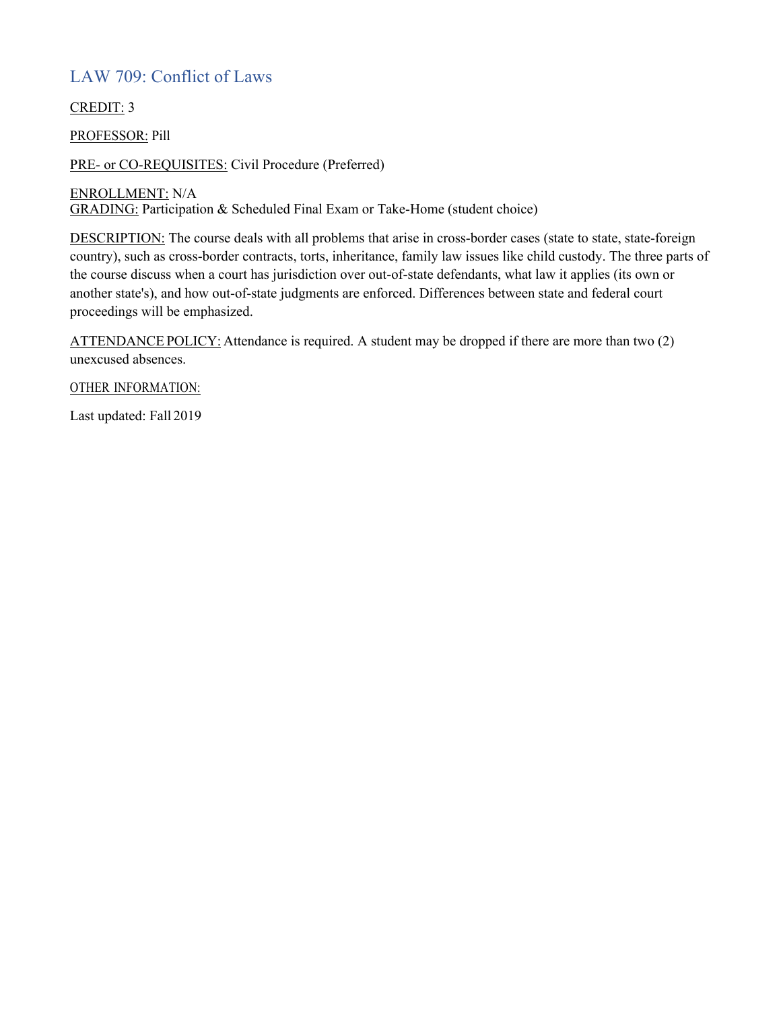### LAW 709: Conflict of Laws

CREDIT: 3

PROFESSOR: Pill

PRE- or CO-REQUISITES: Civil Procedure (Preferred)

ENROLLMENT: N/A

GRADING: Participation & Scheduled Final Exam or Take-Home (student choice)

DESCRIPTION: The course deals with all problems that arise in cross-border cases (state to state, state-foreign country), such as cross-border contracts, torts, inheritance, family law issues like child custody. The three parts of the course discuss when a court has jurisdiction over out-of-state defendants, what law it applies (its own or another state's), and how out-of-state judgments are enforced. Differences between state and federal court proceedings will be emphasized.

ATTENDANCE POLICY: Attendance is required. A student may be dropped if there are more than two (2) unexcused absences.

OTHER INFORMATION: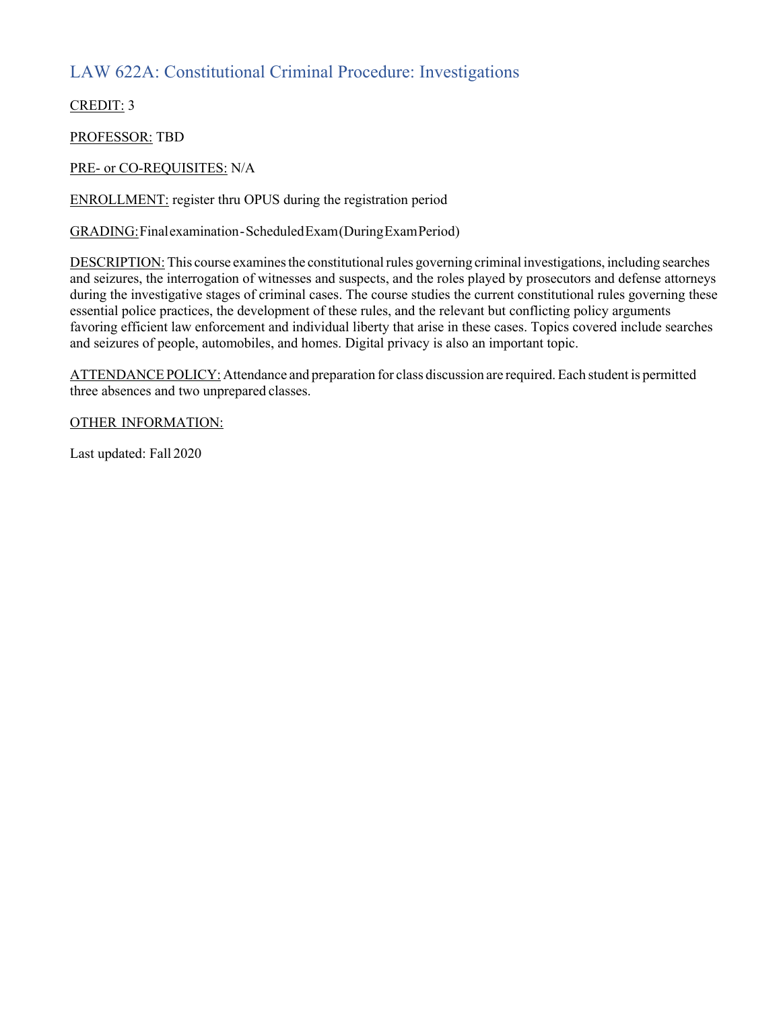### LAW 622A: Constitutional Criminal Procedure: Investigations

CREDIT: 3

PROFESSOR: TBD

PRE- or CO-REQUISITES: N/A

ENROLLMENT: register thru OPUS during the registration period

GRADING:Finalexamination-ScheduledExam(DuringExamPeriod)

DESCRIPTION: This course examines the constitutional rules governing criminal investigations, including searches and seizures, the interrogation of witnesses and suspects, and the roles played by prosecutors and defense attorneys during the investigative stages of criminal cases. The course studies the current constitutional rules governing these essential police practices, the development of these rules, and the relevant but conflicting policy arguments favoring efficient law enforcement and individual liberty that arise in these cases. Topics covered include searches and seizures of people, automobiles, and homes. Digital privacy is also an important topic.

ATTENDANCE POLICY: Attendance and preparation for class discussion are required. Each student is permitted three absences and two unprepared classes.

OTHER INFORMATION: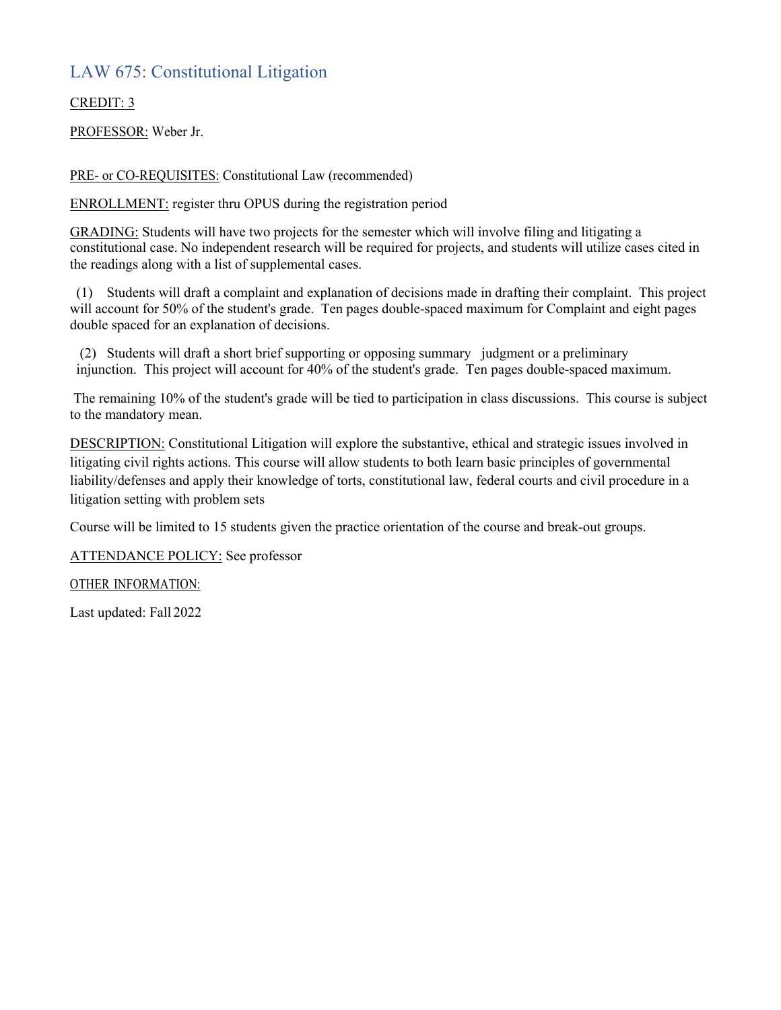#### LAW 675: Constitutional Litigation

#### CREDIT: 3

PROFESSOR: Weber Jr.

PRE- or CO-REQUISITES: Constitutional Law (recommended)

ENROLLMENT: register thru OPUS during the registration period

GRADING: Students will have two projects for the semester which will involve filing and litigating a constitutional case. No independent research will be required for projects, and students will utilize cases cited in the readings along with a list of supplemental cases.

(1) Students will draft a complaint and explanation of decisions made in drafting their complaint. This project will account for 50% of the student's grade. Ten pages double-spaced maximum for Complaint and eight pages double spaced for an explanation of decisions.

(2) Students will draft a short brief supporting or opposing summary judgment or a preliminary injunction. This project will account for 40% of the student's grade. Ten pages double-spaced maximum.

The remaining 10% of the student's grade will be tied to participation in class discussions. This course is subject to the mandatory mean.

DESCRIPTION: Constitutional Litigation will explore the substantive, ethical and strategic issues involved in litigating civil rights actions. This course will allow students to both learn basic principles of governmental liability/defenses and apply their knowledge of torts, constitutional law, federal courts and civil procedure in a litigation setting with problem sets

Course will be limited to 15 students given the practice orientation of the course and break-out groups.

ATTENDANCE POLICY: See professor

OTHER INFORMATION: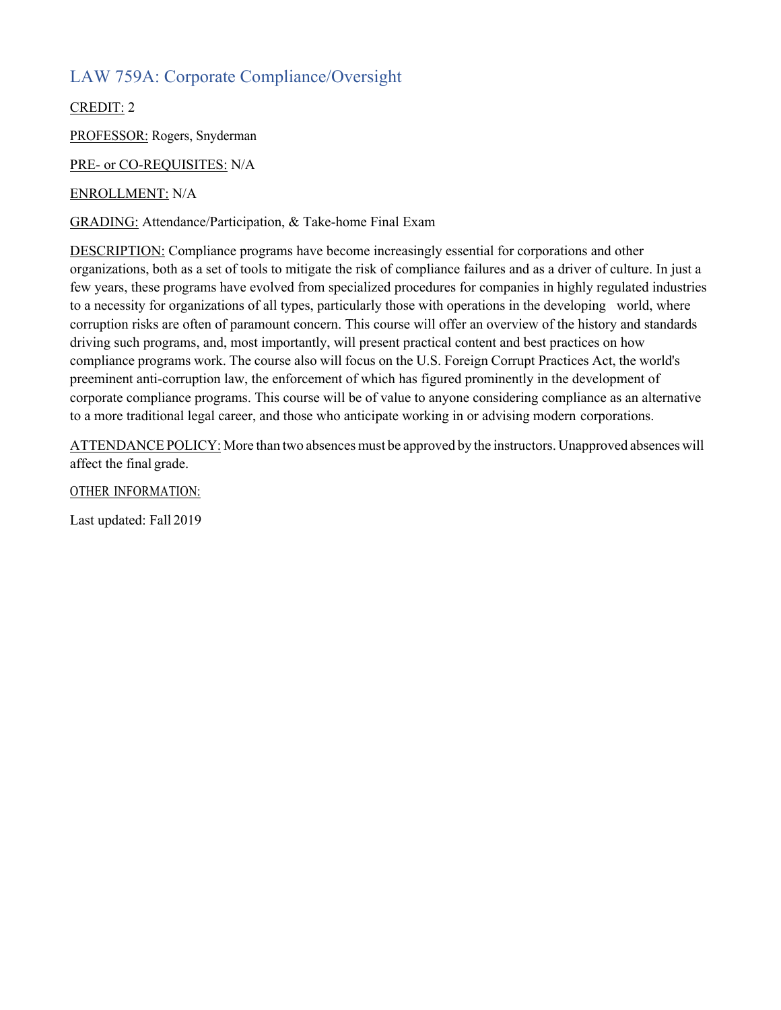### LAW 759A: Corporate Compliance/Oversight

CREDIT: 2

PROFESSOR: Rogers, Snyderman

PRE- or CO-REQUISITES: N/A

ENROLLMENT: N/A

GRADING: Attendance/Participation, & Take-home Final Exam

DESCRIPTION: Compliance programs have become increasingly essential for corporations and other organizations, both as a set of tools to mitigate the risk of compliance failures and as a driver of culture. In just a few years, these programs have evolved from specialized procedures for companies in highly regulated industries to a necessity for organizations of all types, particularly those with operations in the developing world, where corruption risks are often of paramount concern. This course will offer an overview of the history and standards driving such programs, and, most importantly, will present practical content and best practices on how compliance programs work. The course also will focus on the U.S. Foreign Corrupt Practices Act, the world's preeminent anti-corruption law, the enforcement of which has figured prominently in the development of corporate compliance programs. This course will be of value to anyone considering compliance as an alternative to a more traditional legal career, and those who anticipate working in or advising modern corporations.

ATTENDANCE POLICY: More than two absences must be approved by the instructors. Unapproved absences will affect the final grade.

OTHER INFORMATION: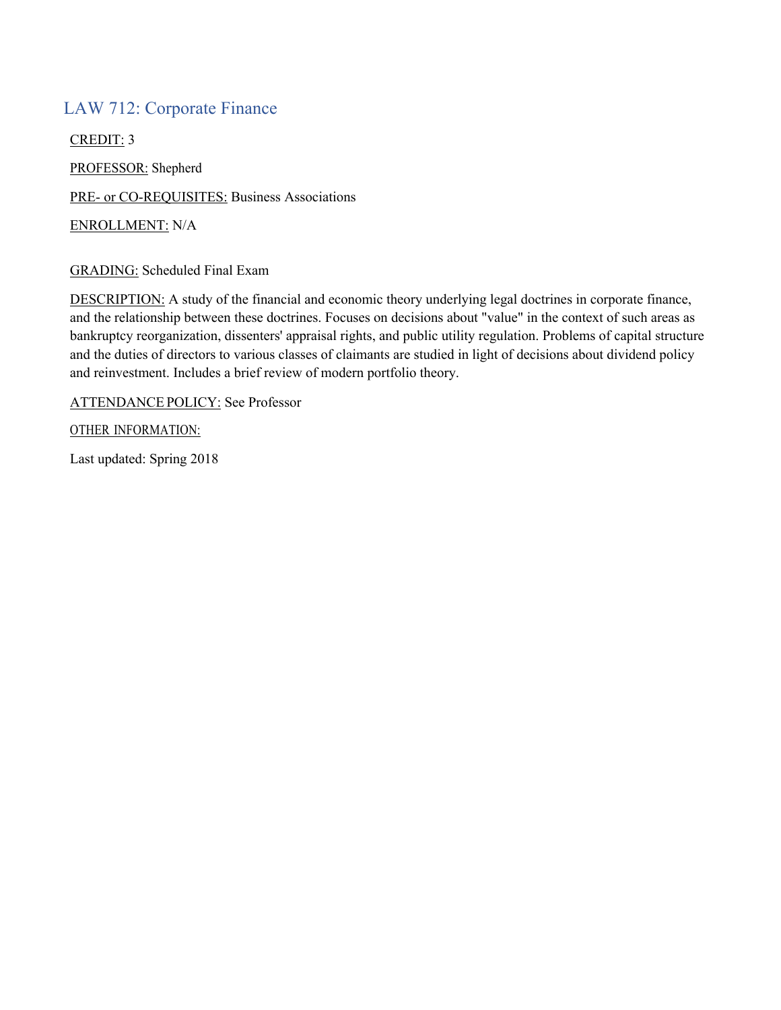#### LAW 712: Corporate Finance

CREDIT: 3 PROFESSOR: Shepherd PRE- or CO-REQUISITES: Business Associations ENROLLMENT: N/A

#### GRADING: Scheduled Final Exam

DESCRIPTION: A study of the financial and economic theory underlying legal doctrines in corporate finance, and the relationship between these doctrines. Focuses on decisions about "value" in the context of such areas as bankruptcy reorganization, dissenters' appraisal rights, and public utility regulation. Problems of capital structure and the duties of directors to various classes of claimants are studied in light of decisions about dividend policy and reinvestment. Includes a brief review of modern portfolio theory.

ATTENDANCE POLICY: See Professor

OTHER INFORMATION:

Last updated: Spring 2018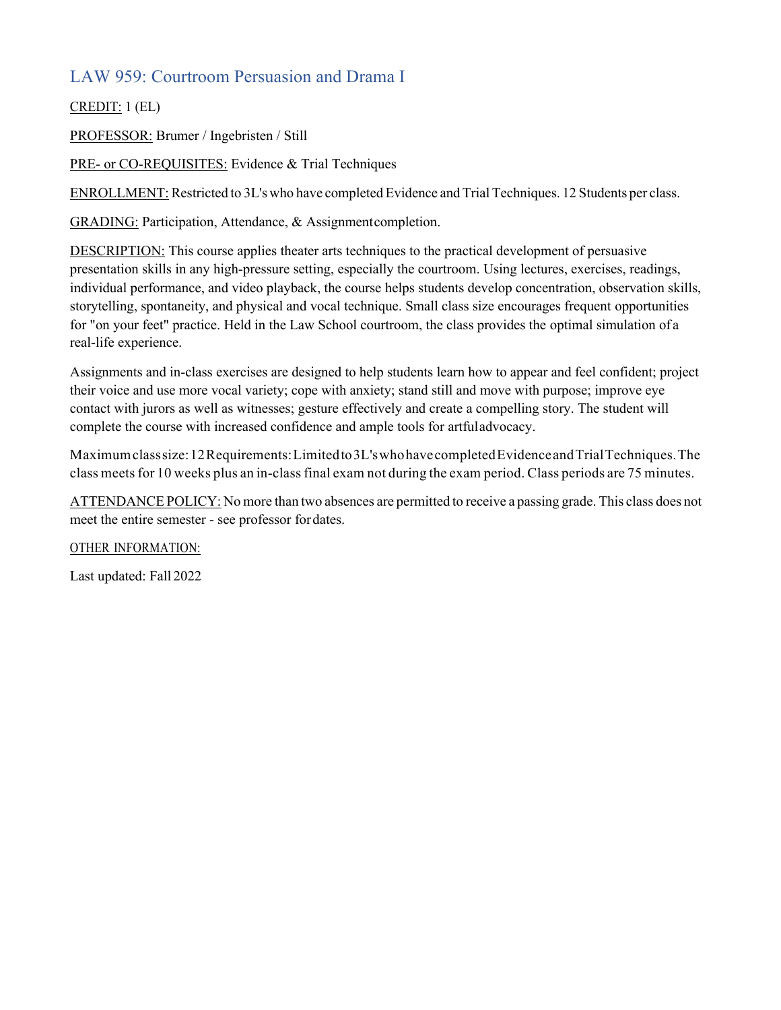### LAW 959: Courtroom Persuasion and Drama I

CREDIT: 1 (EL)

PROFESSOR: Brumer / Ingebristen / Still

PRE- or CO-REQUISITES: Evidence & Trial Techniques

ENROLLMENT: Restricted to 3L's who have completed Evidence and Trial Techniques. 12 Students per class.

GRADING: Participation, Attendance, & Assignmentcompletion.

DESCRIPTION: This course applies theater arts techniques to the practical development of persuasive presentation skills in any high-pressure setting, especially the courtroom. Using lectures, exercises, readings, individual performance, and video playback, the course helps students develop concentration, observation skills, storytelling, spontaneity, and physical and vocal technique. Small class size encourages frequent opportunities for "on your feet" practice. Held in the Law School courtroom, the class provides the optimal simulation of a real-life experience.

Assignments and in-class exercises are designed to help students learn how to appear and feel confident; project their voice and use more vocal variety; cope with anxiety; stand still and move with purpose; improve eye contact with jurors as well as witnesses; gesture effectively and create a compelling story. The student will complete the course with increased confidence and ample tools for artfuladvocacy.

Maximumclasssize:12Requirements:Limitedto3L'swhohavecompletedEvidenceandTrialTechniques.The class meets for 10 weeks plus an in-classfinal exam not during the exam period. Class periods are 75 minutes.

ATTENDANCE POLICY: No more than two absences are permitted to receive a passing grade. This class does not meet the entire semester - see professor fordates.

OTHER INFORMATION: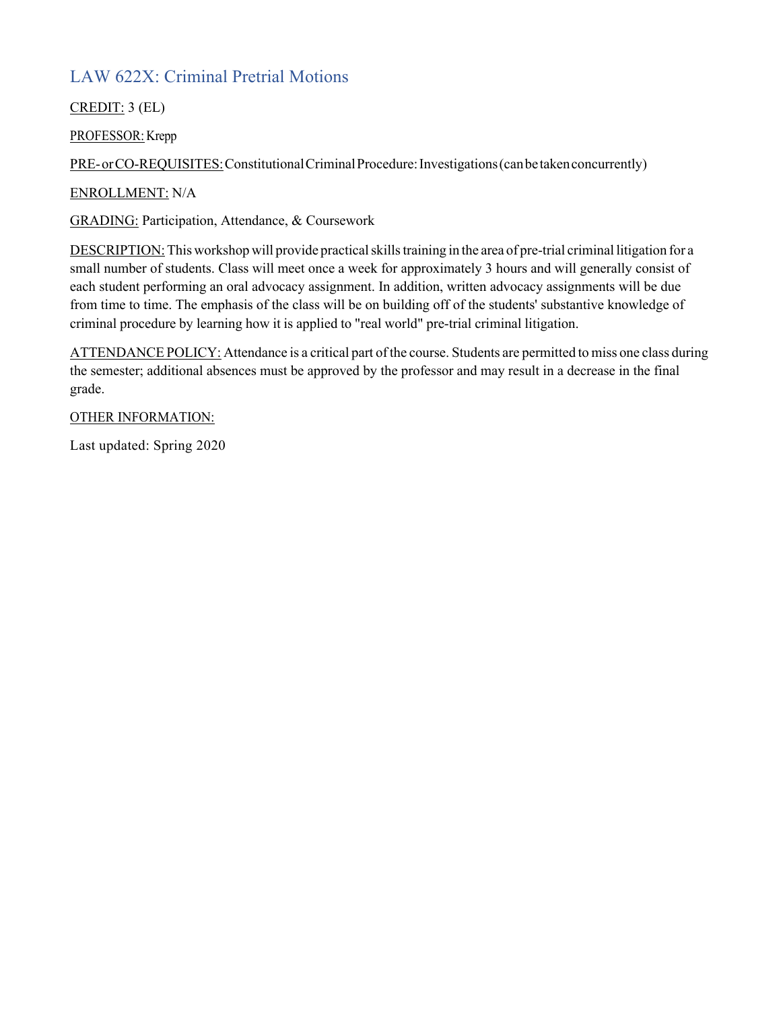# LAW 622X: Criminal Pretrial Motions

CREDIT: 3 (EL)

PROFESSOR: Krepp

PRE-orCO-REQUISITES: Constitutional Criminal Procedure: Investigations (can be taken concurrently)

ENROLLMENT: N/A

GRADING: Participation, Attendance, & Coursework

DESCRIPTION: This workshop will provide practical skills training in the area of pre-trial criminal litigation for a small number of students. Class will meet once a week for approximately 3 hours and will generally consist of each student performing an oral advocacy assignment. In addition, written advocacy assignments will be due from time to time. The emphasis of the class will be on building off of the students' substantive knowledge of criminal procedure by learning how it is applied to "real world" pre-trial criminal litigation.

ATTENDANCE POLICY: Attendance is a critical part of the course. Students are permitted to miss one class during the semester; additional absences must be approved by the professor and may result in a decrease in the final grade.

OTHER INFORMATION:

Last updated: Spring 2020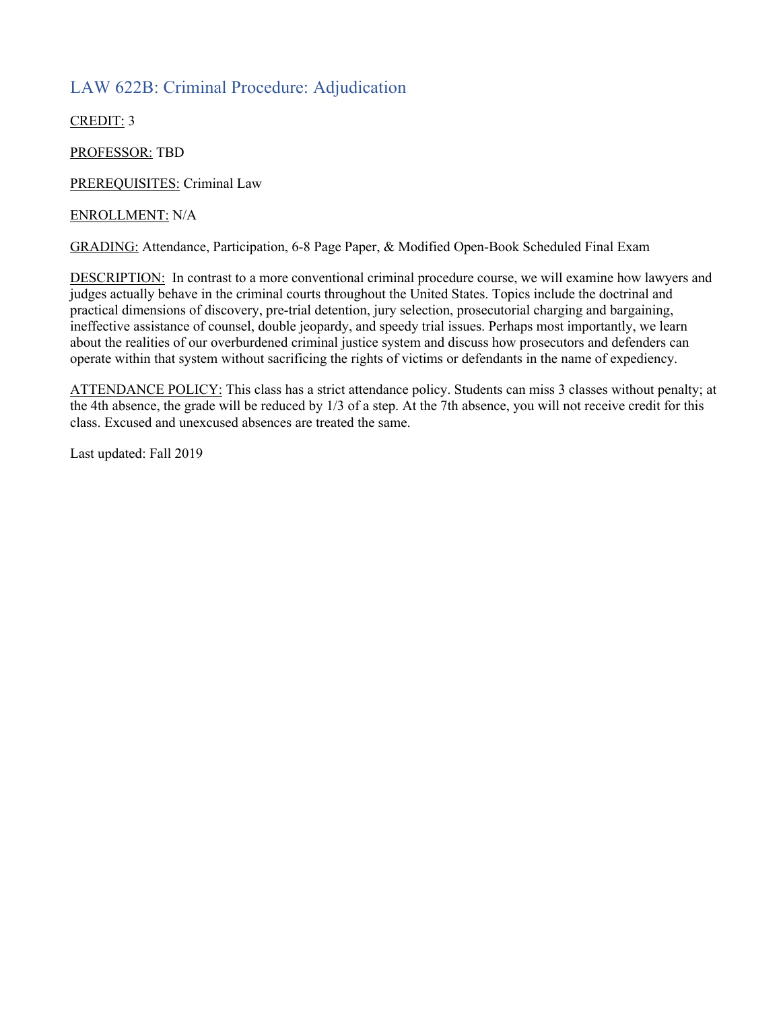### LAW 622B: Criminal Procedure: Adjudication

CREDIT: 3

PROFESSOR: TBD

PREREQUISITES: Criminal Law

#### ENROLLMENT: N/A

GRADING: Attendance, Participation, 6-8 Page Paper, & Modified Open-Book Scheduled Final Exam

DESCRIPTION: In contrast to a more conventional criminal procedure course, we will examine how lawyers and judges actually behave in the criminal courts throughout the United States. Topics include the doctrinal and practical dimensions of discovery, pre-trial detention, jury selection, prosecutorial charging and bargaining, ineffective assistance of counsel, double jeopardy, and speedy trial issues. Perhaps most importantly, we learn about the realities of our overburdened criminal justice system and discuss how prosecutors and defenders can operate within that system without sacrificing the rights of victims or defendants in the name of expediency.

ATTENDANCE POLICY: This class has a strict attendance policy. Students can miss 3 classes without penalty; at the 4th absence, the grade will be reduced by 1/3 of a step. At the 7th absence, you will not receive credit for this class. Excused and unexcused absences are treated the same.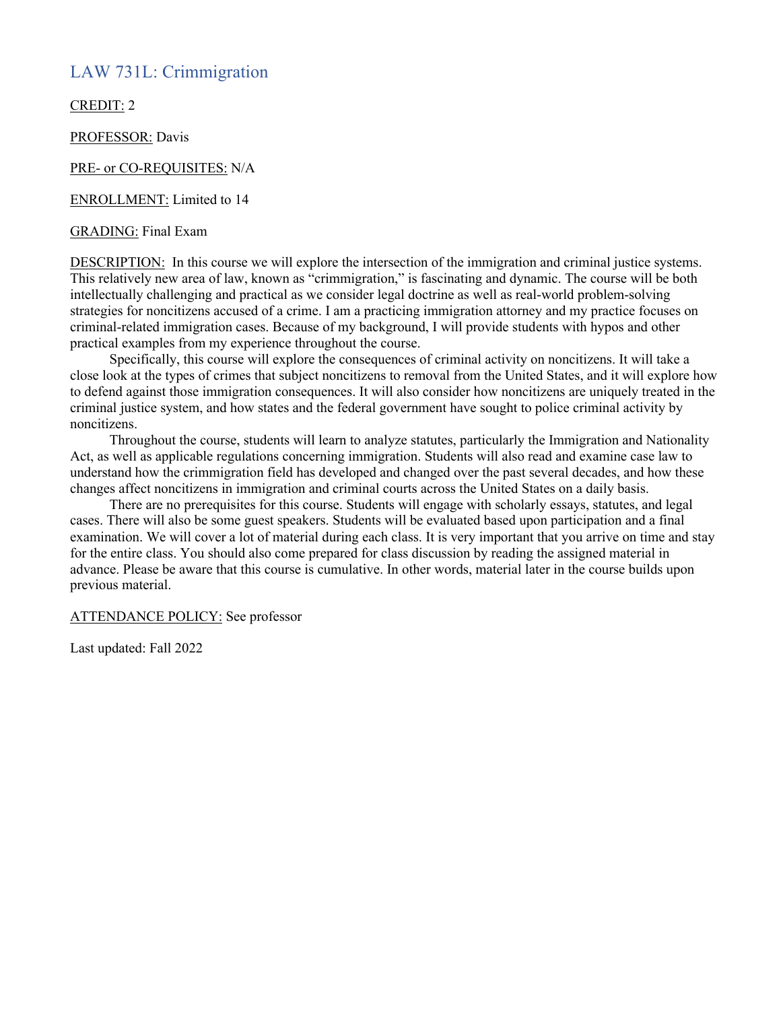#### LAW 731L: Crimmigration

CREDIT: 2

PROFESSOR: Davis

#### PRE- or CO-REQUISITES: N/A

ENROLLMENT: Limited to 14

#### GRADING: Final Exam

DESCRIPTION: In this course we will explore the intersection of the immigration and criminal justice systems. This relatively new area of law, known as "crimmigration," is fascinating and dynamic. The course will be both intellectually challenging and practical as we consider legal doctrine as well as real-world problem-solving strategies for noncitizens accused of a crime. I am a practicing immigration attorney and my practice focuses on criminal-related immigration cases. Because of my background, I will provide students with hypos and other practical examples from my experience throughout the course.

Specifically, this course will explore the consequences of criminal activity on noncitizens. It will take a close look at the types of crimes that subject noncitizens to removal from the United States, and it will explore how to defend against those immigration consequences. It will also consider how noncitizens are uniquely treated in the criminal justice system, and how states and the federal government have sought to police criminal activity by noncitizens.

Throughout the course, students will learn to analyze statutes, particularly the Immigration and Nationality Act, as well as applicable regulations concerning immigration. Students will also read and examine case law to understand how the crimmigration field has developed and changed over the past several decades, and how these changes affect noncitizens in immigration and criminal courts across the United States on a daily basis.

There are no prerequisites for this course. Students will engage with scholarly essays, statutes, and legal cases. There will also be some guest speakers. Students will be evaluated based upon participation and a final examination. We will cover a lot of material during each class. It is very important that you arrive on time and stay for the entire class. You should also come prepared for class discussion by reading the assigned material in advance. Please be aware that this course is cumulative. In other words, material later in the course builds upon previous material.

#### ATTENDANCE POLICY: See professor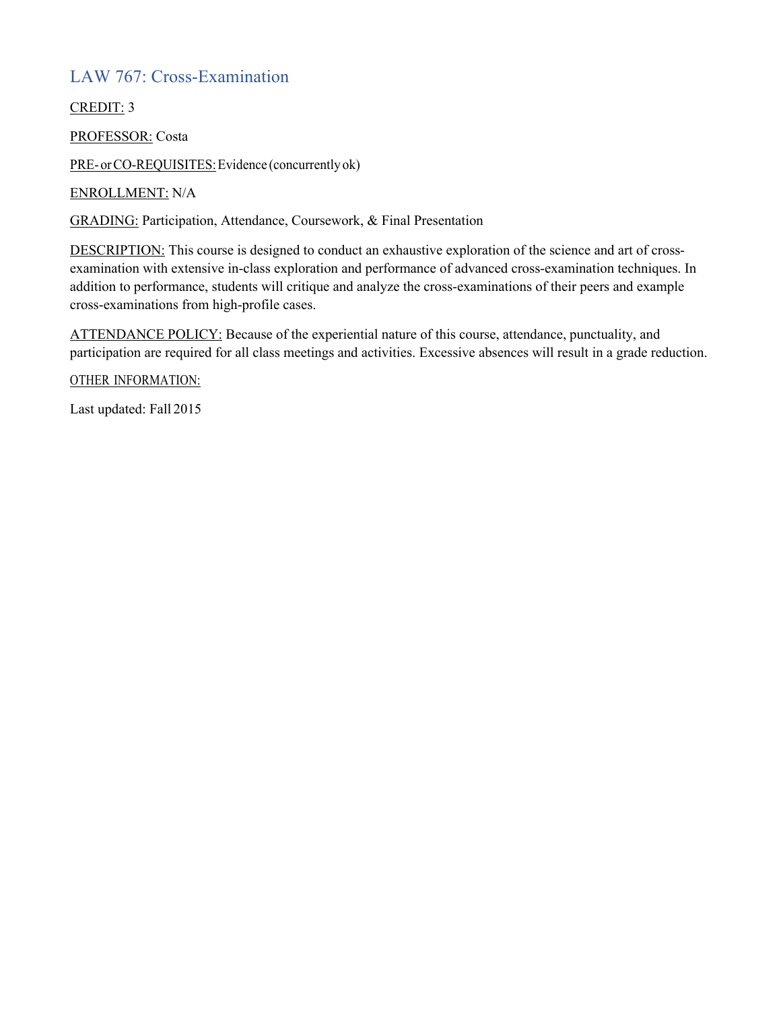## LAW 767: Cross-Examination

CREDIT: 3

PROFESSOR: Costa

PRE- or CO-REQUISITES: Evidence (concurrently ok)

ENROLLMENT: N/A

GRADING: Participation, Attendance, Coursework, & Final Presentation

DESCRIPTION: This course is designed to conduct an exhaustive exploration of the science and art of crossexamination with extensive in-class exploration and performance of advanced cross-examination techniques. In addition to performance, students will critique and analyze the cross-examinations of their peers and example cross-examinations from high-profile cases.

ATTENDANCE POLICY: Because of the experiential nature of this course, attendance, punctuality, and participation are required for all class meetings and activities. Excessive absences will result in a grade reduction.

OTHER INFORMATION: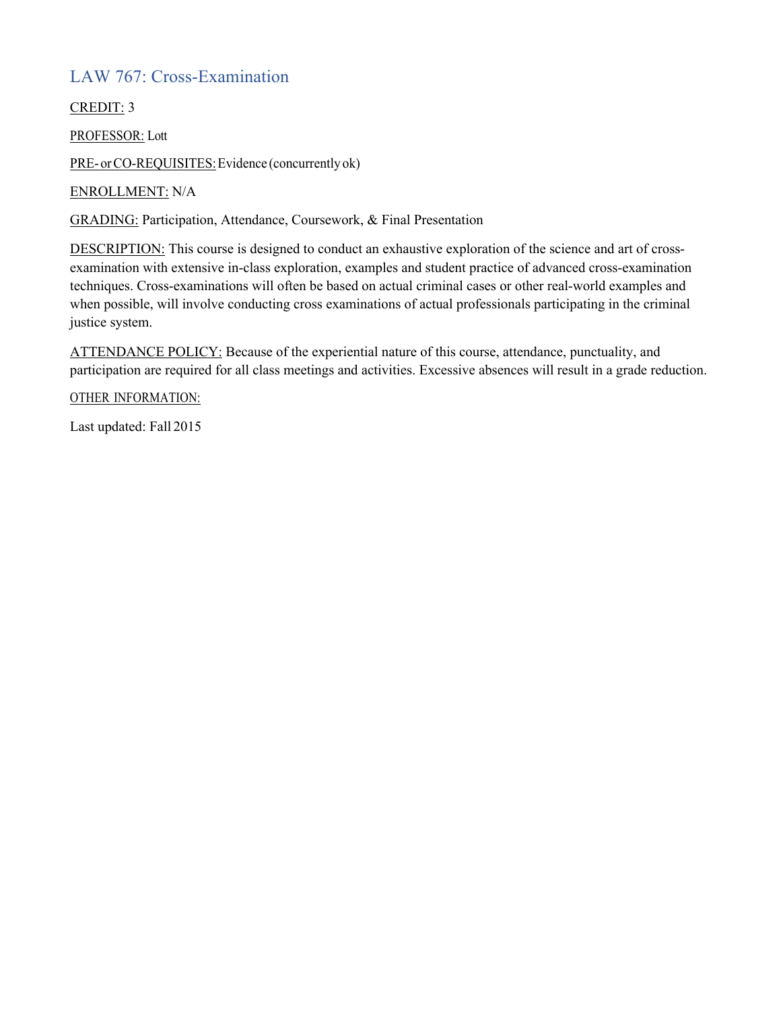## LAW 767: Cross-Examination

CREDIT: 3

PROFESSOR: Lott

PRE- or CO-REQUISITES: Evidence (concurrently ok)

ENROLLMENT: N/A

GRADING: Participation, Attendance, Coursework, & Final Presentation

DESCRIPTION: This course is designed to conduct an exhaustive exploration of the science and art of crossexamination with extensive in-class exploration, examples and student practice of advanced cross-examination techniques. Cross-examinations will often be based on actual criminal cases or other real-world examples and when possible, will involve conducting cross examinations of actual professionals participating in the criminal justice system.

ATTENDANCE POLICY: Because of the experiential nature of this course, attendance, punctuality, and participation are required for all class meetings and activities. Excessive absences will result in a grade reduction.

OTHER INFORMATION: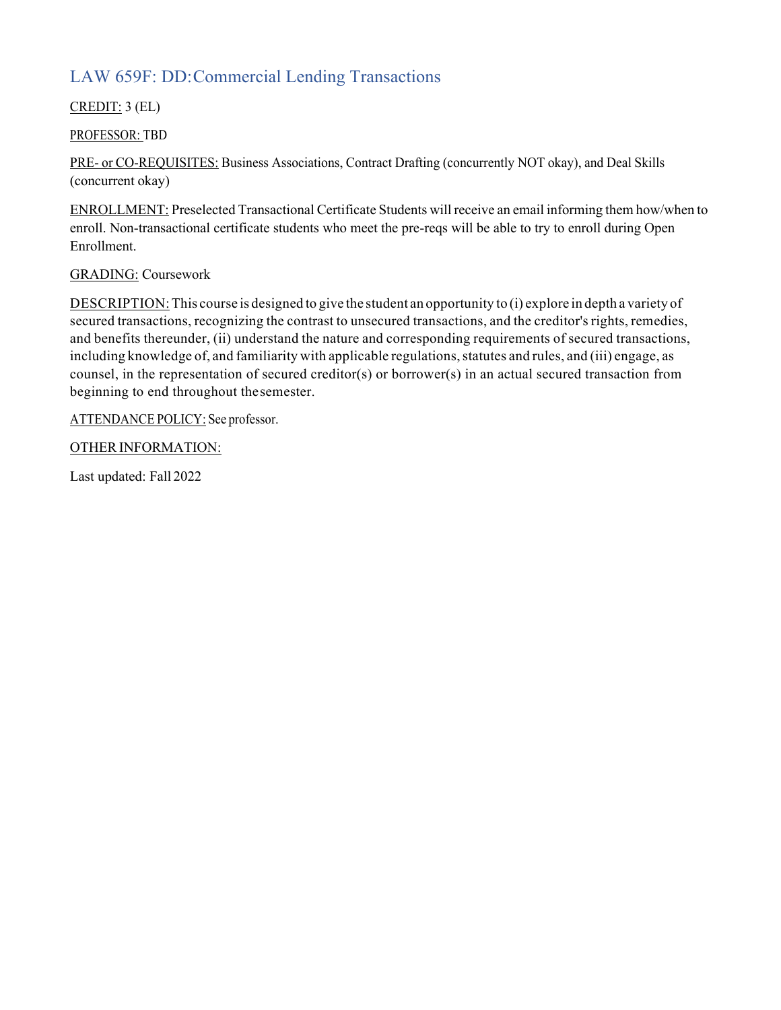# LAW 659F: DD:Commercial Lending Transactions

CREDIT: 3 (EL)

PROFESSOR: TBD

PRE- or CO-REQUISITES: Business Associations, Contract Drafting (concurrently NOT okay), and Deal Skills (concurrent okay)

ENROLLMENT: Preselected Transactional Certificate Students will receive an email informing them how/when to enroll. Non-transactional certificate students who meet the pre-reqs will be able to try to enroll during Open Enrollment.

#### GRADING: Coursework

DESCRIPTION:This course is designed to give the student an opportunity to (i) explore in depth a variety of secured transactions, recognizing the contrast to unsecured transactions, and the creditor's rights, remedies, and benefits thereunder, (ii) understand the nature and corresponding requirements of secured transactions, including knowledge of, and familiarity with applicable regulations, statutes and rules, and (iii) engage, as counsel, in the representation of secured creditor(s) or borrower(s) in an actual secured transaction from beginning to end throughout thesemester.

ATTENDANCE POLICY: See professor.

OTHER INFORMATION: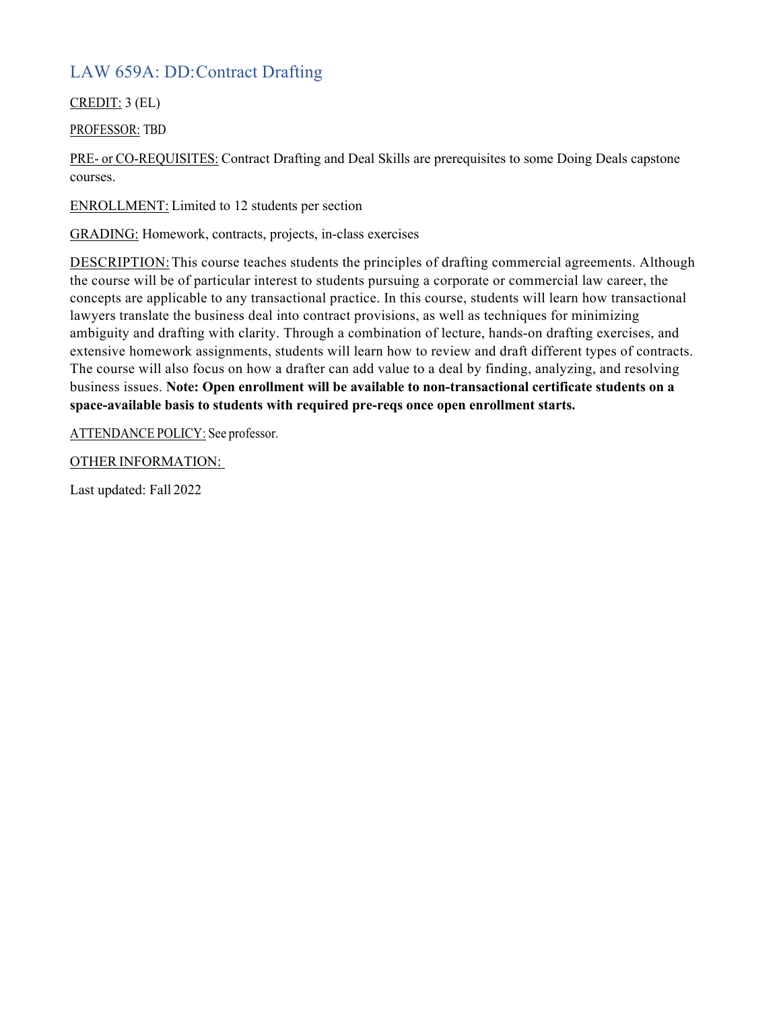## LAW 659A: DD:Contract Drafting

CREDIT: 3 (EL)

PROFESSOR: TBD

PRE- or CO-REQUISITES: Contract Drafting and Deal Skills are prerequisites to some Doing Deals capstone courses.

ENROLLMENT: Limited to 12 students per section

GRADING: Homework, contracts, projects, in-class exercises

DESCRIPTION:This course teaches students the principles of drafting commercial agreements. Although the course will be of particular interest to students pursuing a corporate or commercial law career, the concepts are applicable to any transactional practice. In this course, students will learn how transactional lawyers translate the business deal into contract provisions, as well as techniques for minimizing ambiguity and drafting with clarity. Through a combination of lecture, hands-on drafting exercises, and extensive homework assignments, students will learn how to review and draft different types of contracts. The course will also focus on how a drafter can add value to a deal by finding, analyzing, and resolving business issues. **Note: Open enrollment will be available to non-transactional certificate students on a space-available basis to students with required pre-reqs once open enrollment starts.**

ATTENDANCE POLICY: See professor.

OTHER INFORMATION: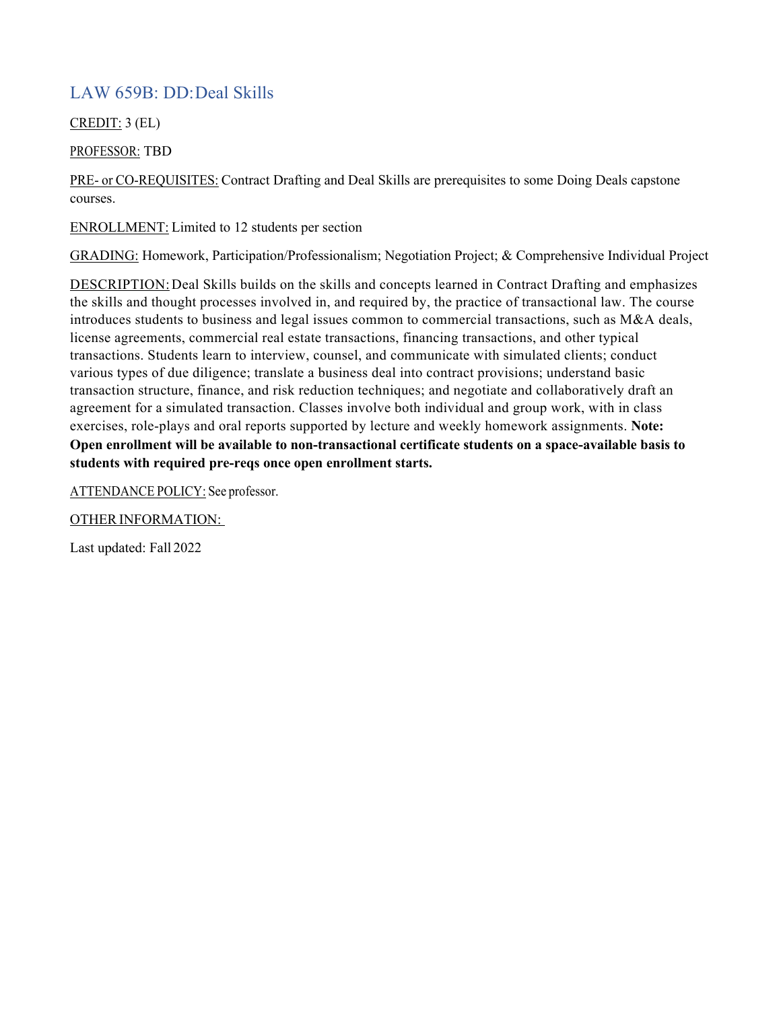## LAW 659B: DD:Deal Skills

CREDIT: 3 (EL)

#### PROFESSOR: TBD

PRE- or CO-REQUISITES: Contract Drafting and Deal Skills are prerequisites to some Doing Deals capstone courses.

ENROLLMENT: Limited to 12 students per section

GRADING: Homework, Participation/Professionalism; Negotiation Project; & Comprehensive Individual Project

DESCRIPTION:Deal Skills builds on the skills and concepts learned in Contract Drafting and emphasizes the skills and thought processes involved in, and required by, the practice of transactional law. The course introduces students to business and legal issues common to commercial transactions, such as M&A deals, license agreements, commercial real estate transactions, financing transactions, and other typical transactions. Students learn to interview, counsel, and communicate with simulated clients; conduct various types of due diligence; translate a business deal into contract provisions; understand basic transaction structure, finance, and risk reduction techniques; and negotiate and collaboratively draft an agreement for a simulated transaction. Classes involve both individual and group work, with in class exercises, role-plays and oral reports supported by lecture and weekly homework assignments. **Note: Open enrollment will be available to non-transactional certificate students on a space-available basis to students with required pre-reqs once open enrollment starts.**

ATTENDANCE POLICY: See professor.

OTHER INFORMATION: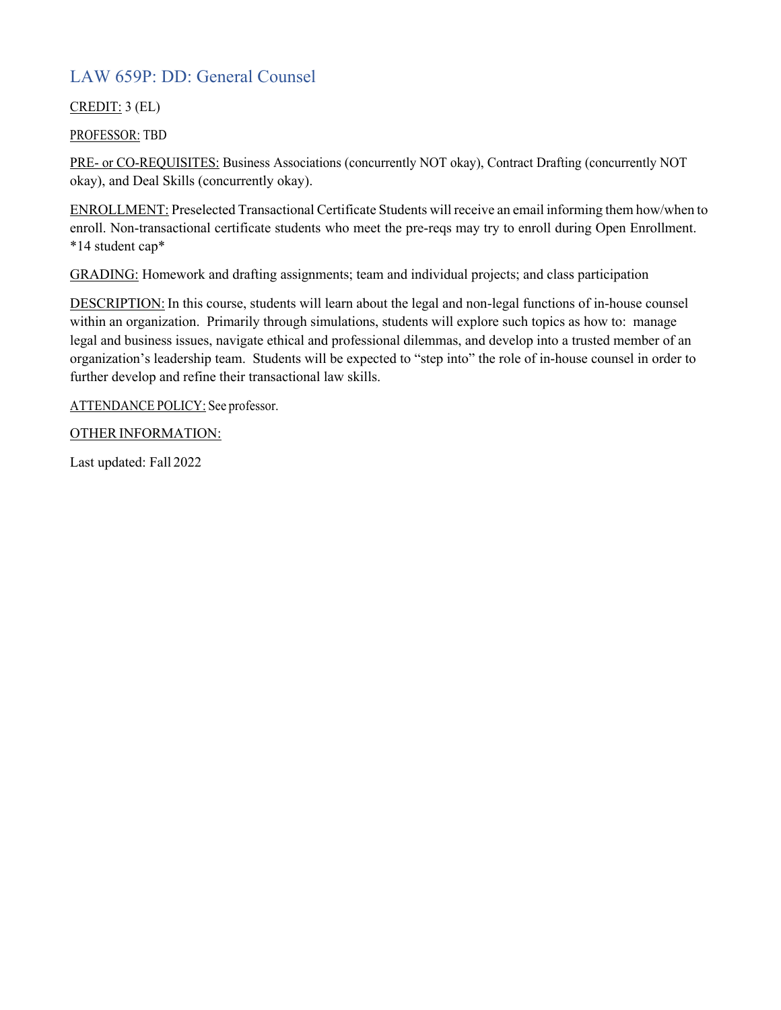### LAW 659P: DD: General Counsel

#### CREDIT: 3 (EL)

PROFESSOR: TBD

PRE- or CO-REQUISITES: Business Associations (concurrently NOT okay), Contract Drafting (concurrently NOT okay), and Deal Skills (concurrently okay).

ENROLLMENT: Preselected Transactional Certificate Students will receive an email informing them how/when to enroll. Non-transactional certificate students who meet the pre-reqs may try to enroll during Open Enrollment. \*14 student cap\*

GRADING: Homework and drafting assignments; team and individual projects; and class participation

DESCRIPTION: In this course, students will learn about the legal and non-legal functions of in-house counsel within an organization. Primarily through simulations, students will explore such topics as how to: manage legal and business issues, navigate ethical and professional dilemmas, and develop into a trusted member of an organization's leadership team. Students will be expected to "step into" the role of in-house counsel in order to further develop and refine their transactional law skills.

ATTENDANCE POLICY: See professor.

#### OTHER INFORMATION: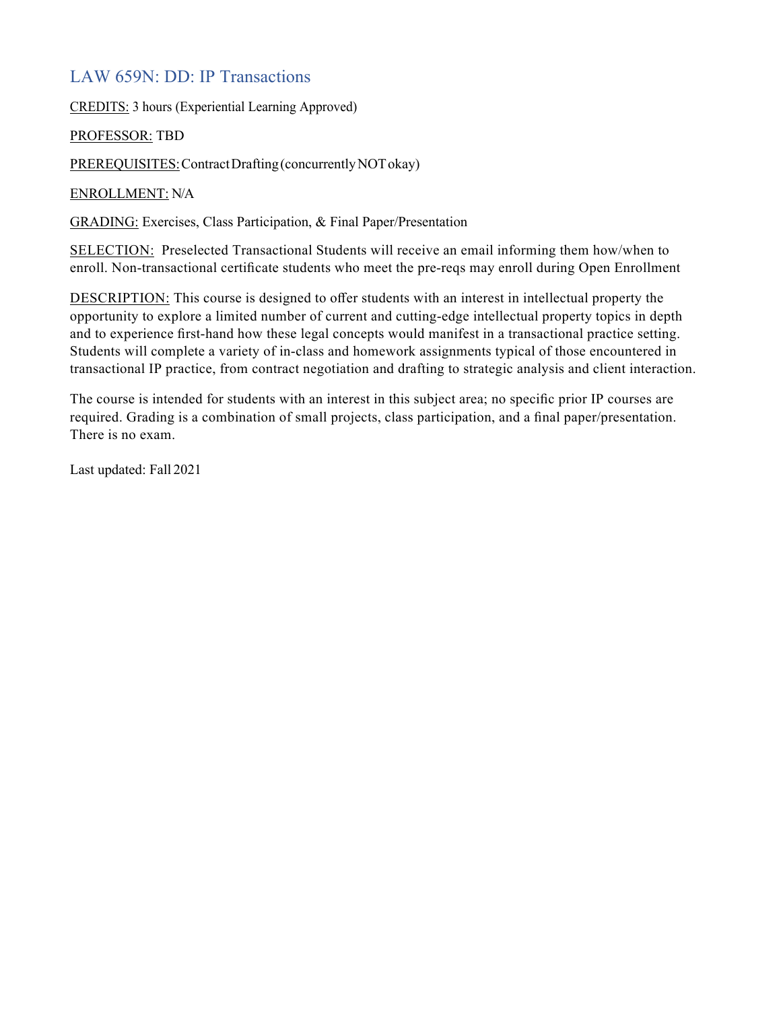#### LAW 659N: DD: IP Transactions

CREDITS: 3 hours (Experiential Learning Approved)

PROFESSOR: TBD

PREREQUISITES: Contract Drafting (concurrently NOT okay)

ENROLLMENT: N/A

GRADING: Exercises, Class Participation, & Final Paper/Presentation

SELECTION: Preselected Transactional Students will receive an email informing them how/when to enroll. Non-transactional certificate students who meet the pre-reqs may enroll during Open Enrollment

DESCRIPTION: This course is designed to offer students with an interest in intellectual property the opportunity to explore a limited number of current and cutting-edge intellectual property topics in depth and to experience first-hand how these legal concepts would manifest in a transactional practice setting. Students will complete a variety of in-class and homework assignments typical of those encountered in transactional IP practice, from contract negotiation and drafting to strategic analysis and client interaction.

The course is intended for students with an interest in this subject area; no specific prior IP courses are required. Grading is a combination of small projects, class participation, and a final paper/presentation. There is no exam.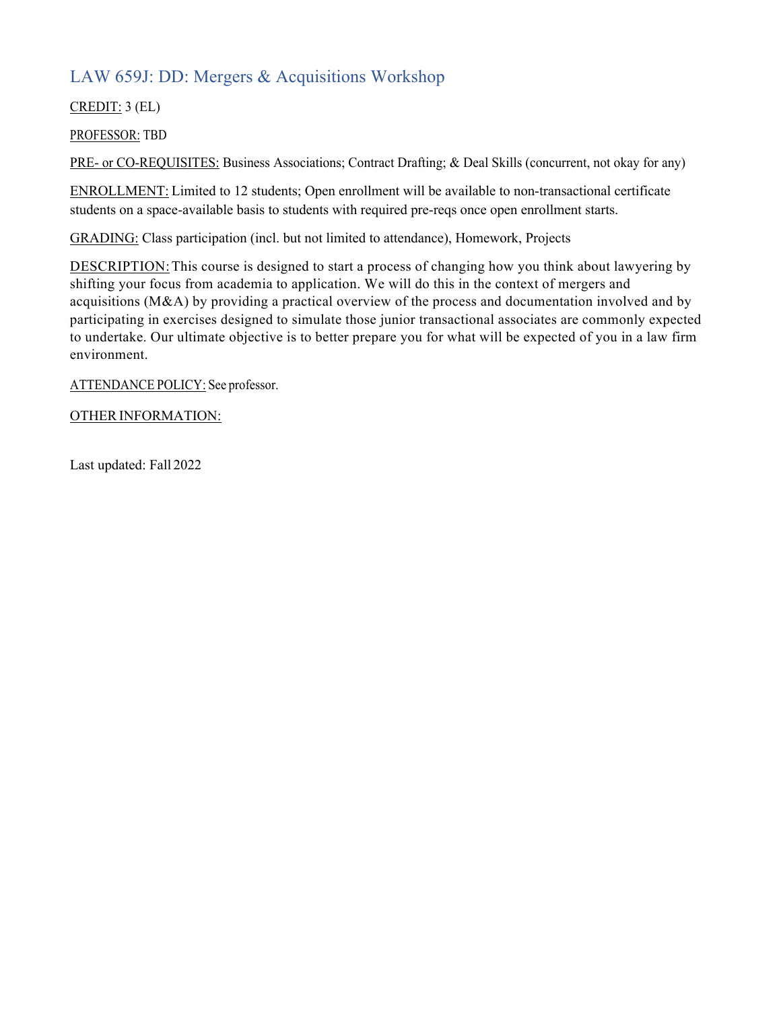## LAW 659J: DD: Mergers & Acquisitions Workshop

CREDIT: 3 (EL)

PROFESSOR: TBD

PRE- or CO-REQUISITES: Business Associations; Contract Drafting; & Deal Skills (concurrent, not okay for any)

ENROLLMENT: Limited to 12 students; Open enrollment will be available to non-transactional certificate students on a space-available basis to students with required pre-reqs once open enrollment starts.

GRADING: Class participation (incl. but not limited to attendance), Homework, Projects

DESCRIPTION: This course is designed to start a process of changing how you think about lawyering by shifting your focus from academia to application. We will do this in the context of mergers and acquisitions (M&A) by providing a practical overview of the process and documentation involved and by participating in exercises designed to simulate those junior transactional associates are commonly expected to undertake. Our ultimate objective is to better prepare you for what will be expected of you in a law firm environment.

ATTENDANCE POLICY: See professor.

#### OTHER INFORMATION: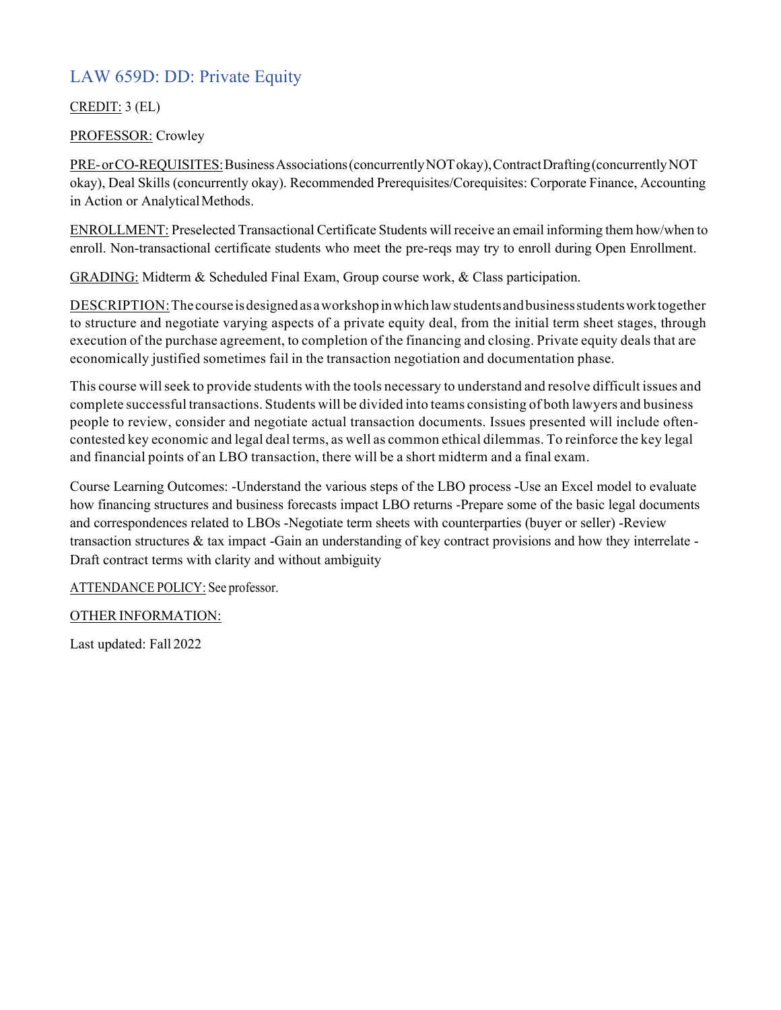## LAW 659D: DD: Private Equity

#### CREDIT: 3 (EL)

#### PROFESSOR: Crowley

PRE-orCO-REQUISITES: Business Associations (concurrently NOT okay), Contract Drafting (concurrently NOT okay), Deal Skills (concurrently okay). Recommended Prerequisites/Corequisites: Corporate Finance, Accounting in Action or Analytical Methods.

ENROLLMENT: Preselected Transactional Certificate Students will receive an email informing them how/when to enroll. Non-transactional certificate students who meet the pre-reqs may try to enroll during Open Enrollment.

GRADING: Midterm & Scheduled Final Exam, Group course work, & Class participation.

DESCRIPTION:The course isdesignedas aworkshopinwhichlawstudentsandbusinessstudentsworktogether to structure and negotiate varying aspects of a private equity deal, from the initial term sheet stages, through execution of the purchase agreement, to completion of the financing and closing. Private equity deals that are economically justified sometimes fail in the transaction negotiation and documentation phase.

This course willseek to provide students with the tools necessary to understand and resolve difficult issues and complete successful transactions. Students will be divided into teams consisting of both lawyers and business people to review, consider and negotiate actual transaction documents. Issues presented will include oftencontested key economic and legal deal terms, as well as common ethical dilemmas. To reinforce the key legal and financial points of an LBO transaction, there will be a short midterm and a final exam.

Course Learning Outcomes: -Understand the various steps of the LBO process -Use an Excel model to evaluate how financing structures and business forecasts impact LBO returns -Prepare some of the basic legal documents and correspondences related to LBOs -Negotiate term sheets with counterparties (buyer or seller) -Review transaction structures & tax impact -Gain an understanding of key contract provisions and how they interrelate - Draft contract terms with clarity and without ambiguity

ATTENDANCE POLICY: See professor.

#### OTHER INFORMATION: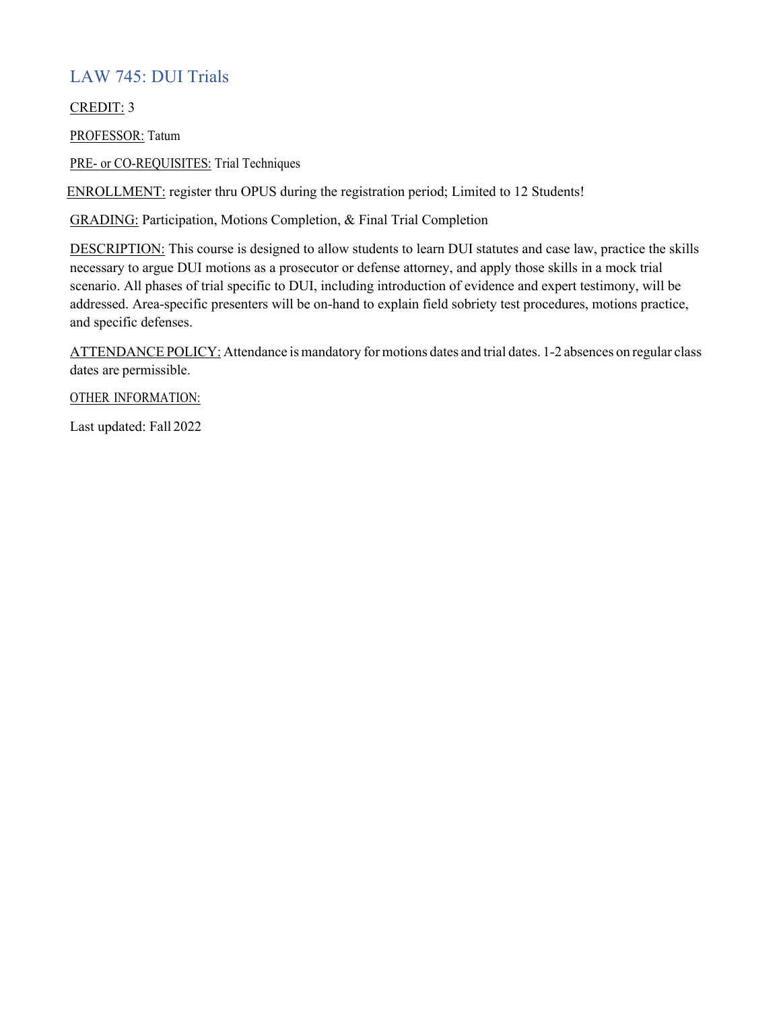## LAW 745: DUI Trials

CREDIT: 3

PROFESSOR: Tatum

PRE- or CO-REQUISITES: Trial Techniques

ENROLLMENT: register thru OPUS during the registration period; Limited to 12 Students!

GRADING: Participation, Motions Completion, & Final Trial Completion

DESCRIPTION: This course is designed to allow students to learn DUI statutes and case law, practice the skills necessary to argue DUI motions as a prosecutor or defense attorney, and apply those skills in a mock trial scenario. All phases of trial specific to DUI, including introduction of evidence and expert testimony, will be addressed. Area-specific presenters will be on-hand to explain field sobriety test procedures, motions practice, and specific defenses.

ATTENDANCE POLICY: Attendance is mandatory for motions dates and trial dates. 1-2 absences on regular class dates are permissible.

OTHER INFORMATION: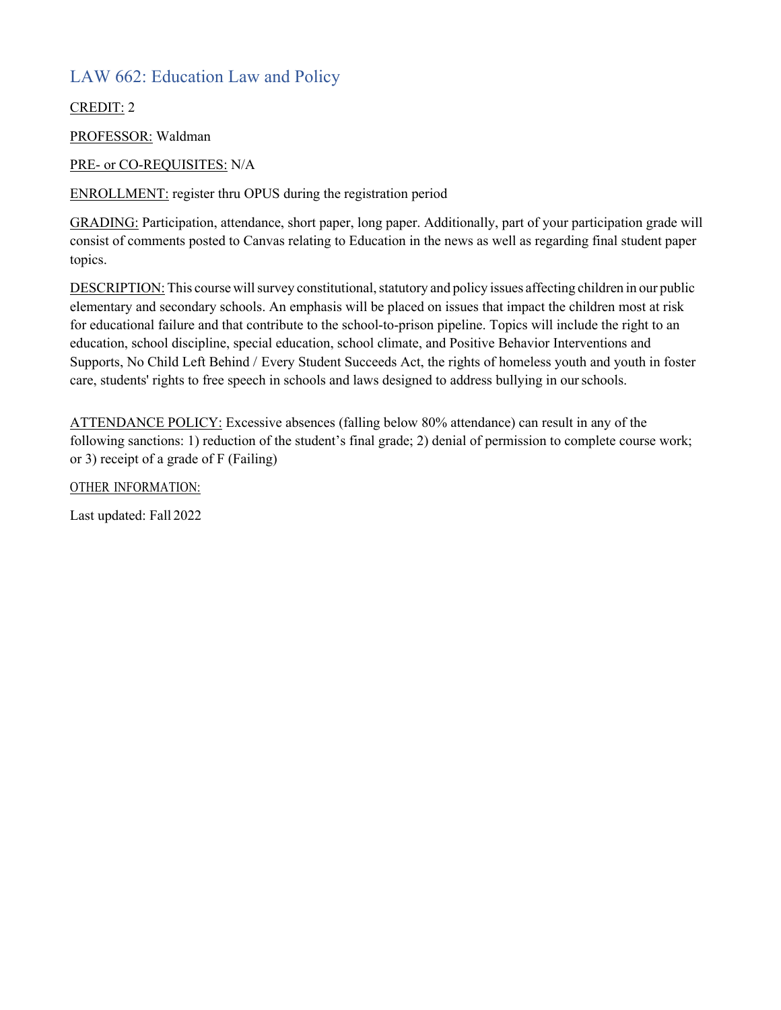## LAW 662: Education Law and Policy

CREDIT: 2

PROFESSOR: Waldman

PRE- or CO-REQUISITES: N/A

ENROLLMENT: register thru OPUS during the registration period

GRADING: Participation, attendance, short paper, long paper. Additionally, part of your participation grade will consist of comments posted to Canvas relating to Education in the news as well as regarding final student paper topics.

DESCRIPTION: This course will survey constitutional, statutory and policy issues affecting children in our public elementary and secondary schools. An emphasis will be placed on issues that impact the children most at risk for educational failure and that contribute to the school-to-prison pipeline. Topics will include the right to an education, school discipline, special education, school climate, and Positive Behavior Interventions and Supports, No Child Left Behind / Every Student Succeeds Act, the rights of homeless youth and youth in foster care, students' rights to free speech in schools and laws designed to address bullying in ourschools.

ATTENDANCE POLICY: Excessive absences (falling below 80% attendance) can result in any of the following sanctions: 1) reduction of the student's final grade; 2) denial of permission to complete course work; or 3) receipt of a grade of F (Failing)

OTHER INFORMATION: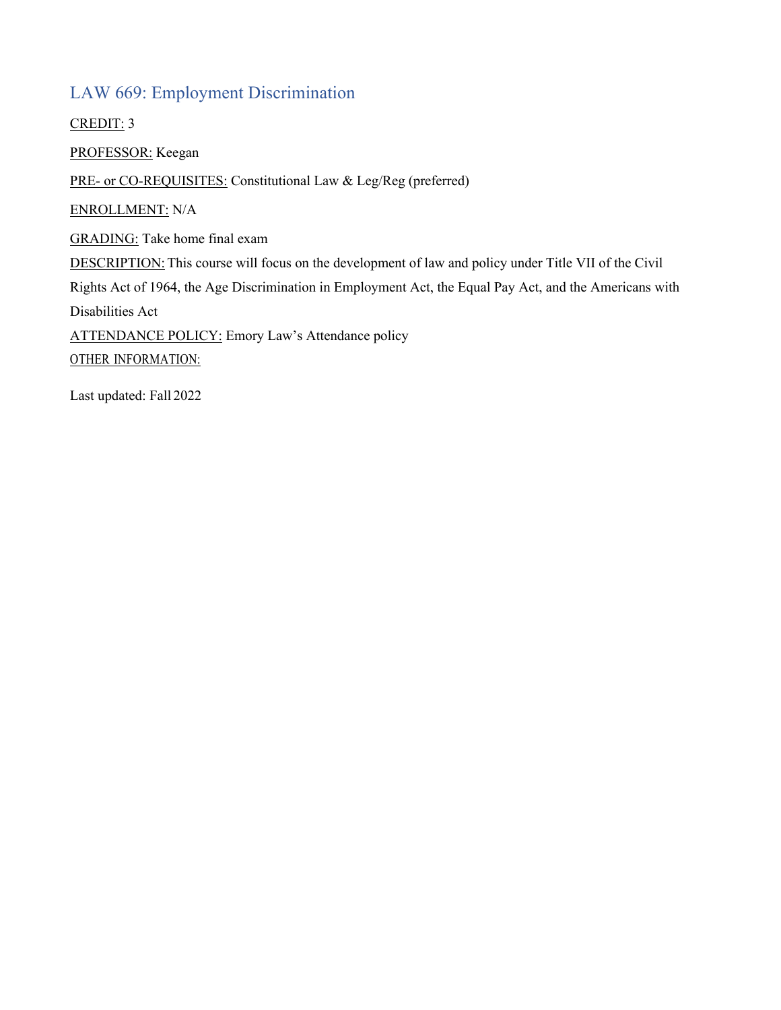#### LAW 669: Employment Discrimination

CREDIT: 3

PROFESSOR: Keegan

PRE- or CO-REQUISITES: Constitutional Law & Leg/Reg (preferred)

ENROLLMENT: N/A

GRADING: Take home final exam

DESCRIPTION: This course will focus on the development of law and policy under Title VII of the Civil

Rights Act of 1964, the Age Discrimination in Employment Act, the Equal Pay Act, and the Americans with Disabilities Act

ATTENDANCE POLICY: Emory Law's Attendance policy

OTHER INFORMATION: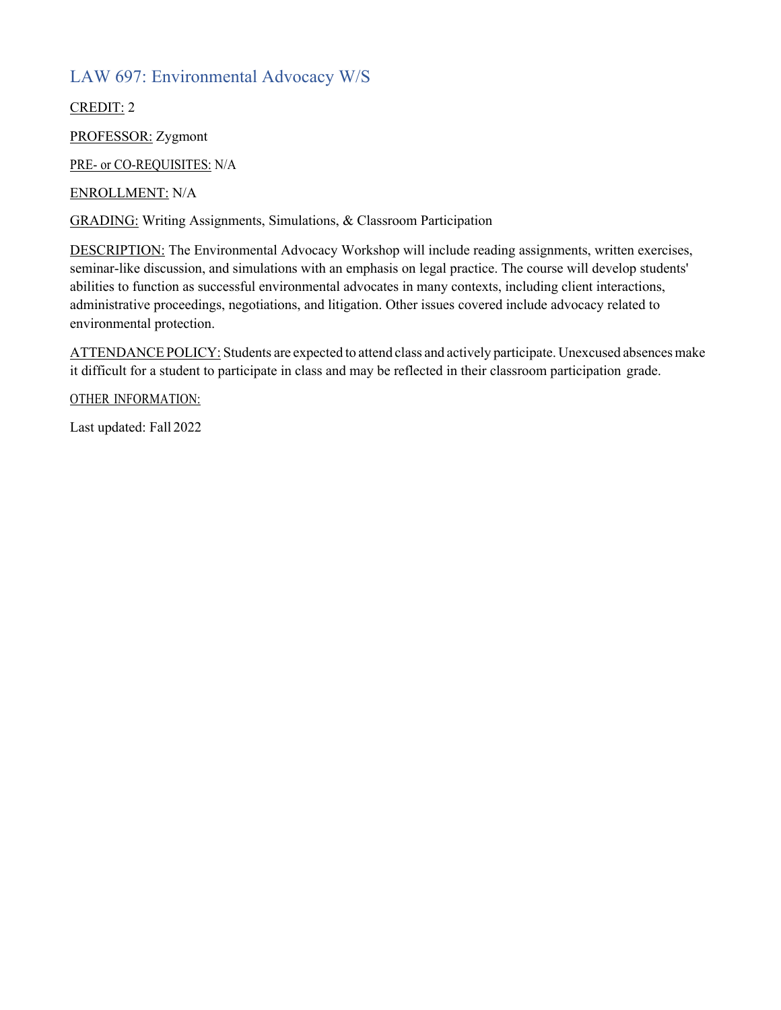## LAW 697: Environmental Advocacy W/S

CREDIT: 2

PROFESSOR: Zygmont

PRE- or CO-REQUISITES: N/A

ENROLLMENT: N/A

GRADING: Writing Assignments, Simulations, & Classroom Participation

DESCRIPTION: The Environmental Advocacy Workshop will include reading assignments, written exercises, seminar-like discussion, and simulations with an emphasis on legal practice. The course will develop students' abilities to function as successful environmental advocates in many contexts, including client interactions, administrative proceedings, negotiations, and litigation. Other issues covered include advocacy related to environmental protection.

ATTENDANCE POLICY: Students are expected to attend class and actively participate. Unexcused absences make it difficult for a student to participate in class and may be reflected in their classroom participation grade.

OTHER INFORMATION: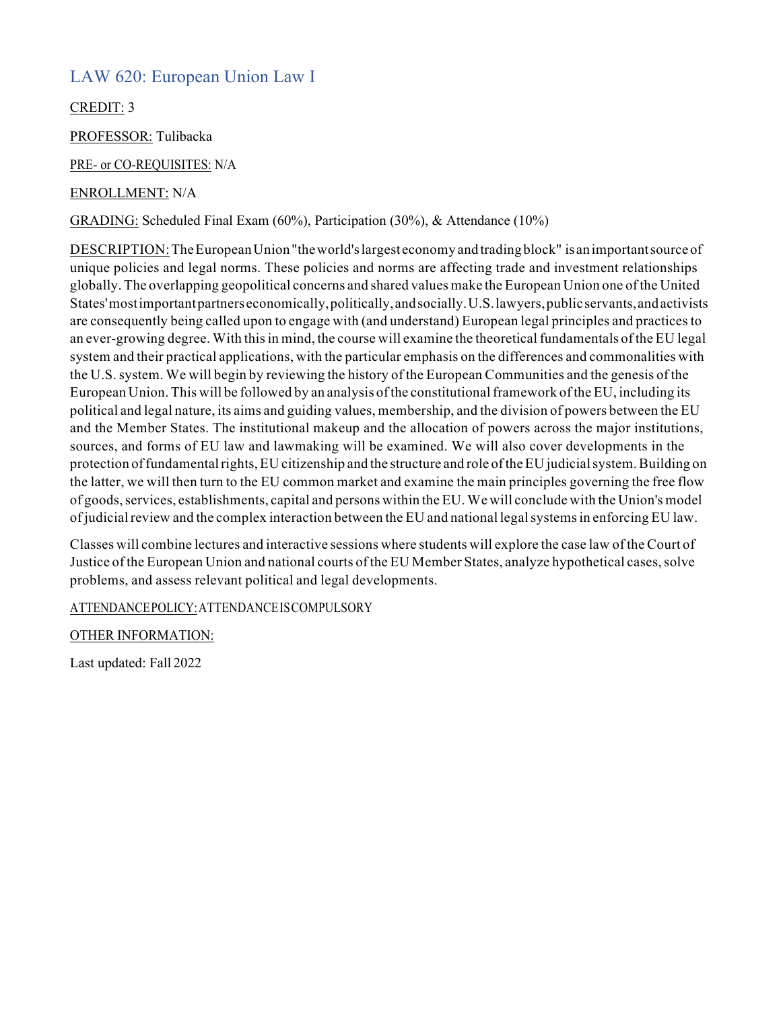### LAW 620: European Union Law I

CREDIT: 3

PROFESSOR: Tulibacka

PRE- or CO-REQUISITES: N/A

#### ENROLLMENT: N/A

GRADING: Scheduled Final Exam (60%), Participation (30%), & Attendance (10%)

DESCRIPTION:TheEuropeanUnion "theworld'slargest economy and trading block" is animportantsourceof unique policies and legal norms. These policies and norms are affecting trade and investment relationships globally. The overlapping geopolitical concerns and shared values make the European Union one ofthe United States' most important partners economically, politically, and socially, U.S. lawyers, public servants, and activists are consequently being called upon to engage with (and understand) European legal principles and practicesto an ever-growing degree. With this in mind, the course will examine the theoretical fundamentals of the EU legal system and their practical applications, with the particular emphasis on the differences and commonalities with the U.S.system. We will begin by reviewing the history of the European Communities and the genesis of the European Union. This will be followed by an analysis of the constitutional framework of the EU, including its political and legal nature, its aims and guiding values, membership, and the division of powers between the EU and the Member States. The institutional makeup and the allocation of powers across the major institutions, sources, and forms of EU law and lawmaking will be examined. We will also cover developments in the protection of fundamental rights, EU citizenship and the structure and role of the EU judicial system. Building on the latter, we will then turn to the EU common market and examine the main principles governing the free flow of goods,services, establishments, capital and persons within the EU.We will conclude with the Union's model of judicial review and the complex interaction between the EU and national legal systems in enforcing EU law.

Classes will combine lectures and interactive sessions where students will explore the case law of the Court of Justice of the European Union and national courts of the EU Member States, analyze hypothetical cases, solve problems, and assess relevant political and legal developments.

ATTENDANCEPOLICY:ATTENDANCEISCOMPULSORY

OTHER INFORMATION: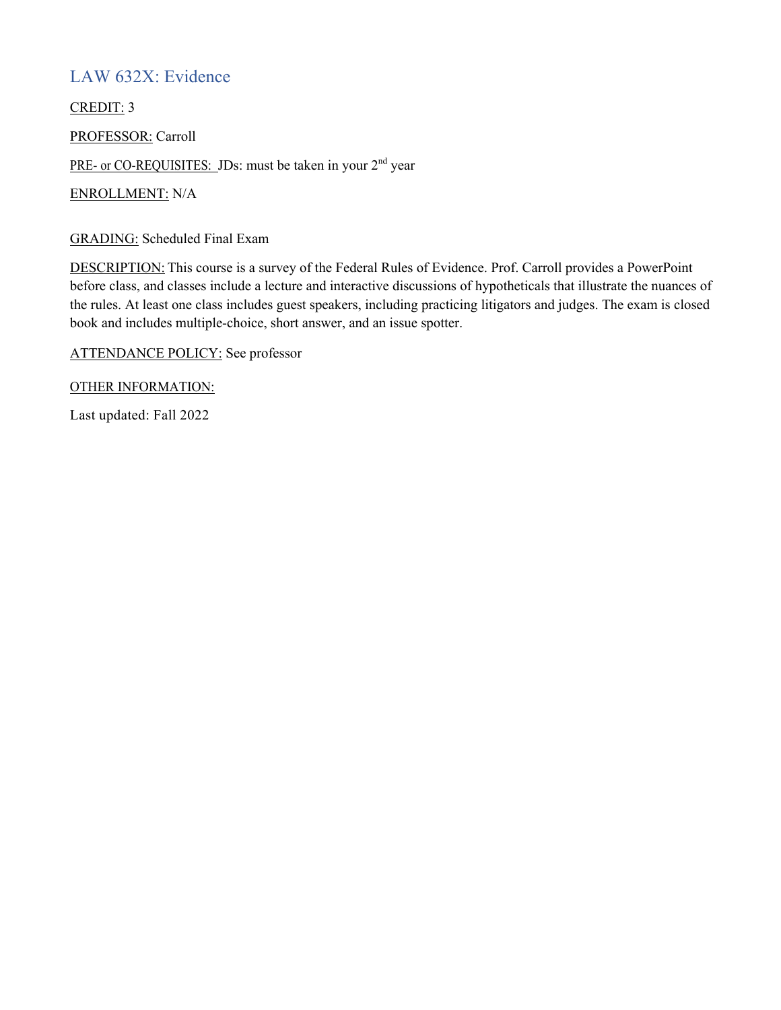### LAW 632X: Evidence

CREDIT: 3

PROFESSOR: Carroll

PRE- or CO-REQUISITES: JDs: must be taken in your 2<sup>nd</sup> year

ENROLLMENT: N/A

GRADING: Scheduled Final Exam

DESCRIPTION: This course is a survey of the Federal Rules of Evidence. Prof. Carroll provides a PowerPoint before class, and classes include a lecture and interactive discussions of hypotheticals that illustrate the nuances of the rules. At least one class includes guest speakers, including practicing litigators and judges. The exam is closed book and includes multiple-choice, short answer, and an issue spotter.

ATTENDANCE POLICY: See professor

OTHER INFORMATION: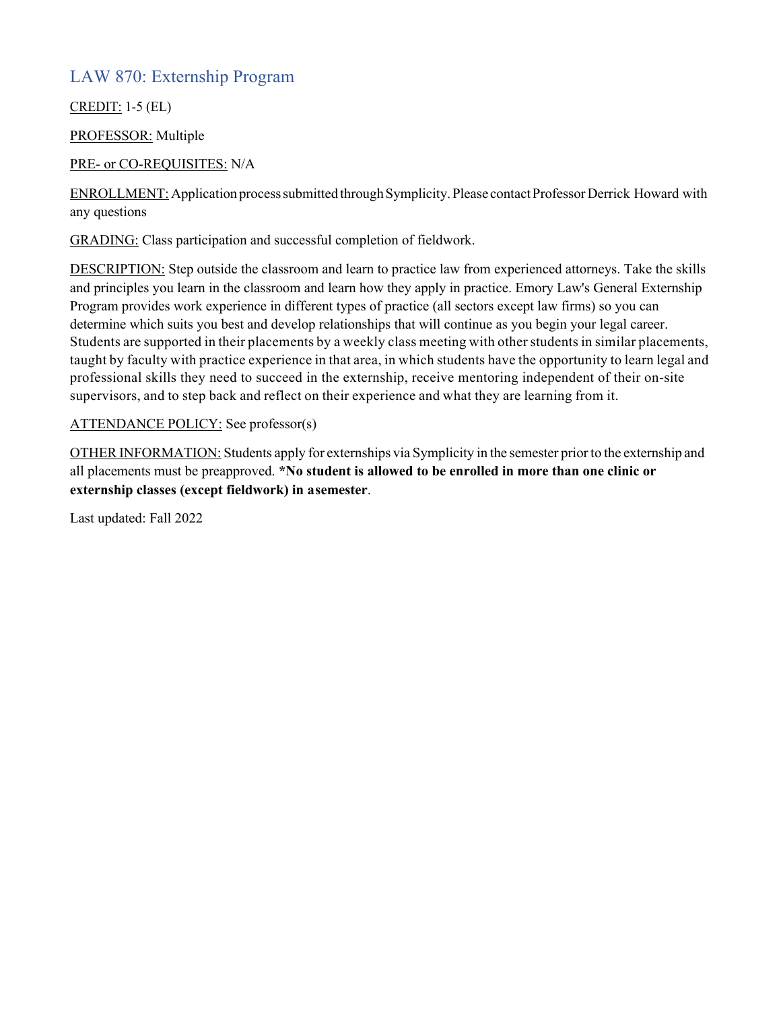### LAW 870: Externship Program

CREDIT: 1-5 (EL)

PROFESSOR: Multiple

#### PRE- or CO-REQUISITES: N/A

ENROLLMENT: Application process submitted through Symplicity. Please contact Professor Derrick Howard with any questions

GRADING: Class participation and successful completion of fieldwork.

DESCRIPTION: Step outside the classroom and learn to practice law from experienced attorneys. Take the skills and principles you learn in the classroom and learn how they apply in practice. Emory Law's General Externship Program provides work experience in different types of practice (all sectors except law firms) so you can determine which suits you best and develop relationships that will continue as you begin your legal career. Students are supported in their placements by a weekly class meeting with otherstudents in similar placements, taught by faculty with practice experience in that area, in which students have the opportunity to learn legal and professional skills they need to succeed in the externship, receive mentoring independent of their on-site supervisors, and to step back and reflect on their experience and what they are learning from it.

#### ATTENDANCE POLICY: See professor(s)

OTHER INFORMATION: Students apply for externships via Symplicity in the semester prior to the externship and all placements must be preapproved. **\*No student is allowed to be enrolled in more than one clinic or externship classes (except fieldwork) in asemester**.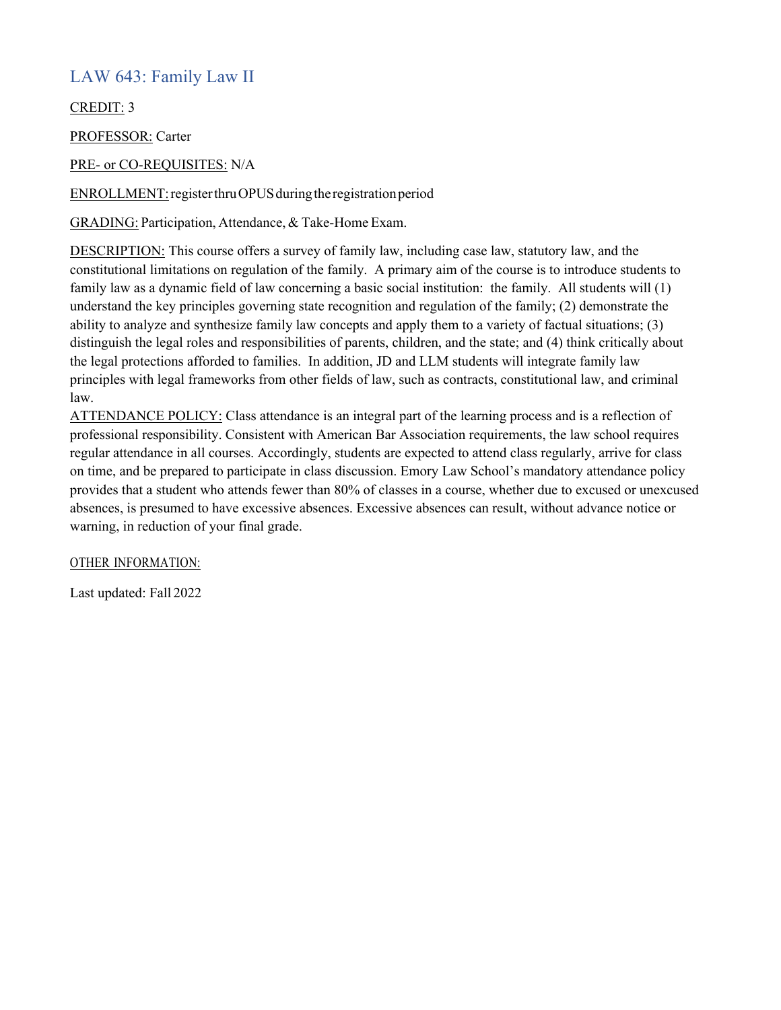### LAW 643: Family Law II

CREDIT: 3

PROFESSOR: Carter

PRE- or CO-REQUISITES: N/A

ENROLLMENT: register thru OPUS during the registration period

GRADING: Participation, Attendance, & Take-Home Exam.

DESCRIPTION: This course offers a survey of family law, including case law, statutory law, and the constitutional limitations on regulation of the family. A primary aim of the course is to introduce students to family law as a dynamic field of law concerning a basic social institution: the family. All students will (1) understand the key principles governing state recognition and regulation of the family; (2) demonstrate the ability to analyze and synthesize family law concepts and apply them to a variety of factual situations; (3) distinguish the legal roles and responsibilities of parents, children, and the state; and (4) think critically about the legal protections afforded to families. In addition, JD and LLM students will integrate family law principles with legal frameworks from other fields of law, such as contracts, constitutional law, and criminal law.

ATTENDANCE POLICY: Class attendance is an integral part of the learning process and is a reflection of professional responsibility. Consistent with American Bar Association requirements, the law school requires regular attendance in all courses. Accordingly, students are expected to attend class regularly, arrive for class on time, and be prepared to participate in class discussion. Emory Law School's mandatory attendance policy provides that a student who attends fewer than 80% of classes in a course, whether due to excused or unexcused absences, is presumed to have excessive absences. Excessive absences can result, without advance notice or warning, in reduction of your final grade.

OTHER INFORMATION: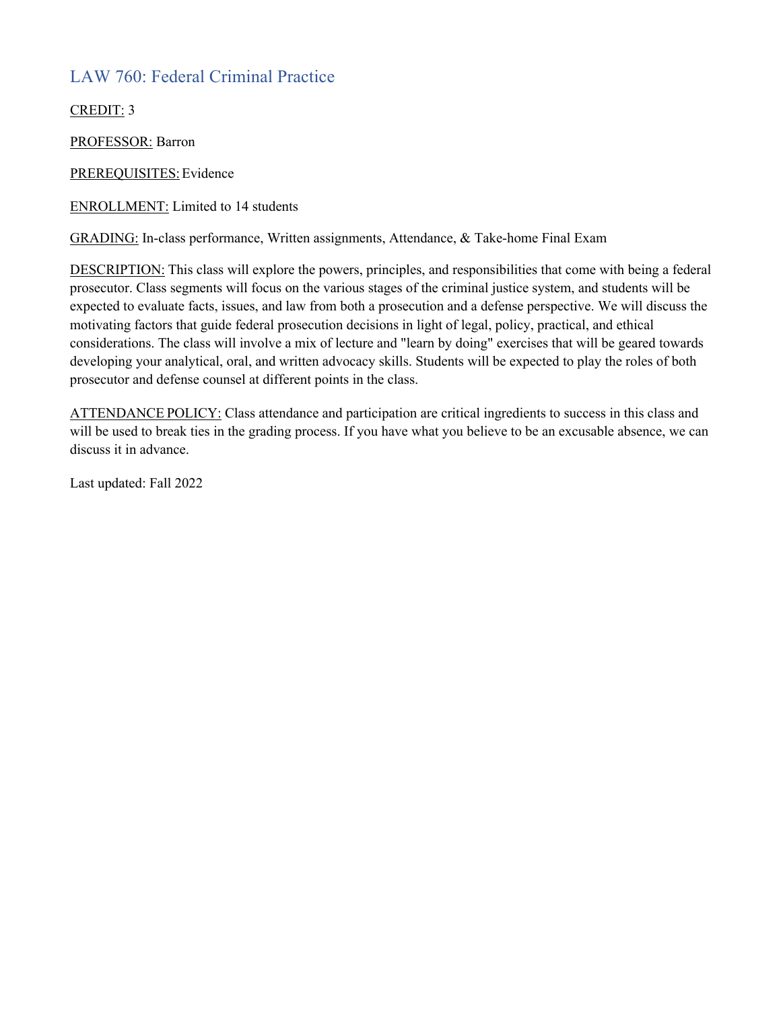## LAW 760: Federal Criminal Practice

CREDIT: 3

PROFESSOR: Barron

PREREQUISITES: Evidence

ENROLLMENT: Limited to 14 students

GRADING: In-class performance, Written assignments, Attendance, & Take-home Final Exam

DESCRIPTION: This class will explore the powers, principles, and responsibilities that come with being a federal prosecutor. Class segments will focus on the various stages of the criminal justice system, and students will be expected to evaluate facts, issues, and law from both a prosecution and a defense perspective. We will discuss the motivating factors that guide federal prosecution decisions in light of legal, policy, practical, and ethical considerations. The class will involve a mix of lecture and "learn by doing" exercises that will be geared towards developing your analytical, oral, and written advocacy skills. Students will be expected to play the roles of both prosecutor and defense counsel at different points in the class.

ATTENDANCE POLICY: Class attendance and participation are critical ingredients to success in this class and will be used to break ties in the grading process. If you have what you believe to be an excusable absence, we can discuss it in advance.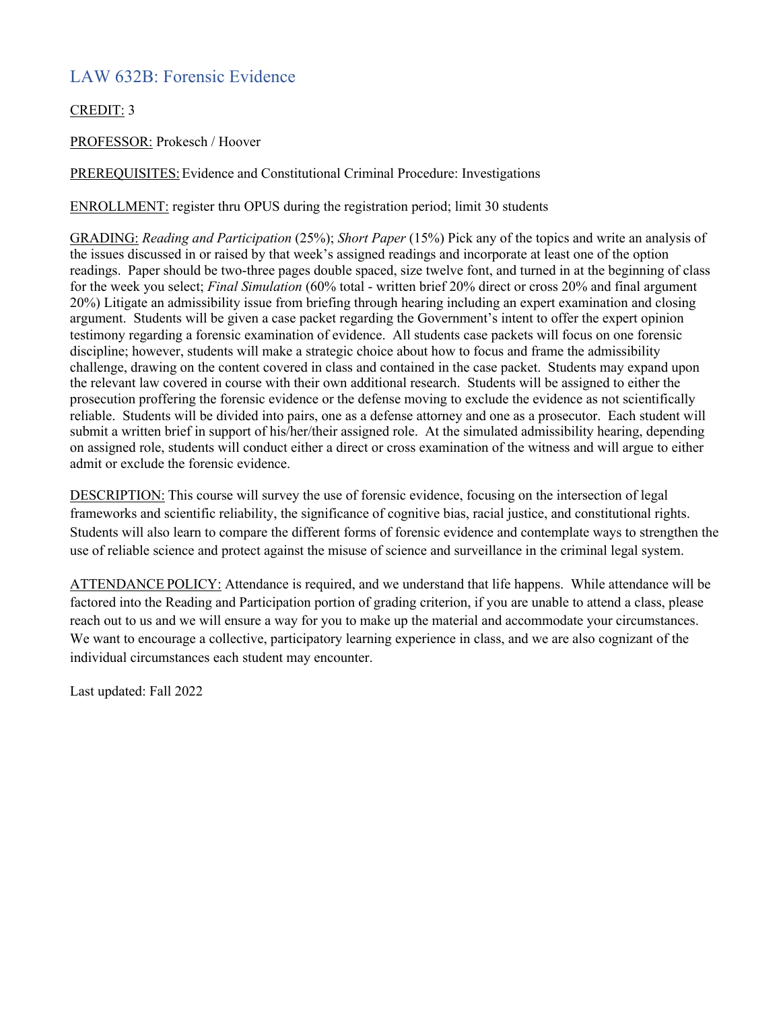## LAW 632B: Forensic Evidence

CREDIT: 3

PROFESSOR: Prokesch / Hoover

PREREQUISITES:Evidence and Constitutional Criminal Procedure: Investigations

ENROLLMENT: register thru OPUS during the registration period; limit 30 students

GRADING: *Reading and Participation* (25%); *Short Paper* (15%) Pick any of the topics and write an analysis of the issues discussed in or raised by that week's assigned readings and incorporate at least one of the option readings. Paper should be two-three pages double spaced, size twelve font, and turned in at the beginning of class for the week you select; *Final Simulation* (60% total - written brief 20% direct or cross 20% and final argument 20%) Litigate an admissibility issue from briefing through hearing including an expert examination and closing argument. Students will be given a case packet regarding the Government's intent to offer the expert opinion testimony regarding a forensic examination of evidence. All students case packets will focus on one forensic discipline; however, students will make a strategic choice about how to focus and frame the admissibility challenge, drawing on the content covered in class and contained in the case packet. Students may expand upon the relevant law covered in course with their own additional research. Students will be assigned to either the prosecution proffering the forensic evidence or the defense moving to exclude the evidence as not scientifically reliable. Students will be divided into pairs, one as a defense attorney and one as a prosecutor. Each student will submit a written brief in support of his/her/their assigned role. At the simulated admissibility hearing, depending on assigned role, students will conduct either a direct or cross examination of the witness and will argue to either admit or exclude the forensic evidence.

DESCRIPTION: This course will survey the use of forensic evidence, focusing on the intersection of legal frameworks and scientific reliability, the significance of cognitive bias, racial justice, and constitutional rights. Students will also learn to compare the different forms of forensic evidence and contemplate ways to strengthen the use of reliable science and protect against the misuse of science and surveillance in the criminal legal system.

ATTENDANCE POLICY: Attendance is required, and we understand that life happens. While attendance will be factored into the Reading and Participation portion of grading criterion, if you are unable to attend a class, please reach out to us and we will ensure a way for you to make up the material and accommodate your circumstances. We want to encourage a collective, participatory learning experience in class, and we are also cognizant of the individual circumstances each student may encounter.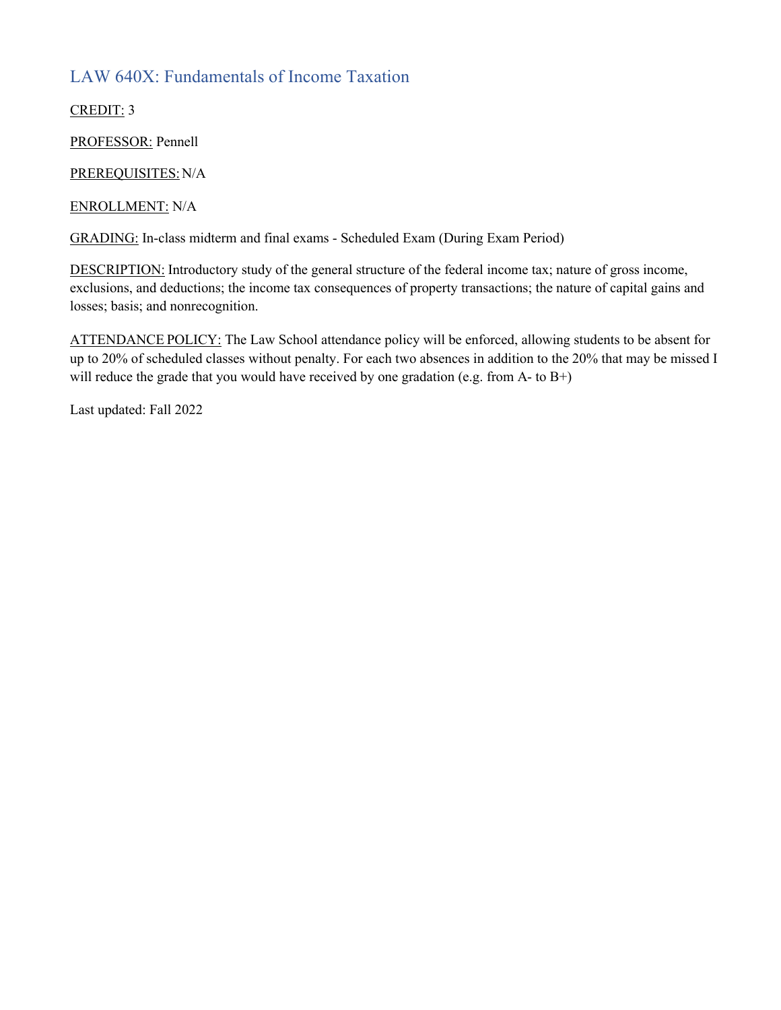## LAW 640X: Fundamentals of Income Taxation

CREDIT: 3

PROFESSOR: Pennell

PREREQUISITES:N/A

ENROLLMENT: N/A

GRADING: In-class midterm and final exams - Scheduled Exam (During Exam Period)

DESCRIPTION: Introductory study of the general structure of the federal income tax; nature of gross income, exclusions, and deductions; the income tax consequences of property transactions; the nature of capital gains and losses; basis; and nonrecognition.

ATTENDANCE POLICY: The Law School attendance policy will be enforced, allowing students to be absent for up to 20% of scheduled classes without penalty. For each two absences in addition to the 20% that may be missed I will reduce the grade that you would have received by one gradation (e.g. from A- to  $B+$ )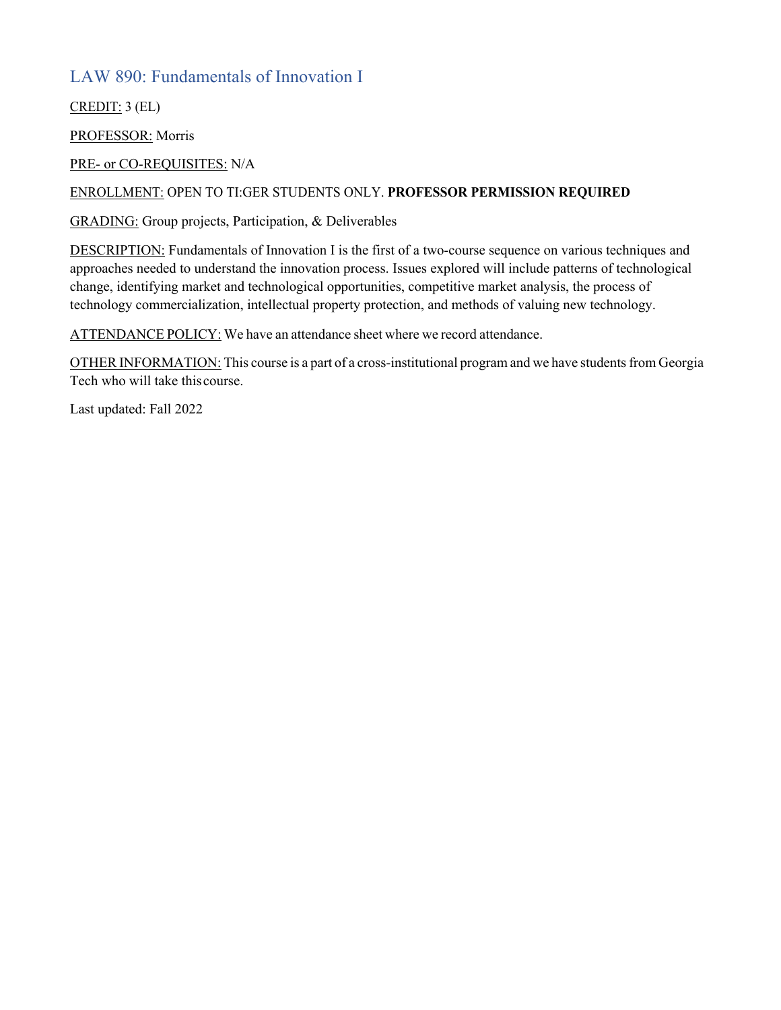### LAW 890: Fundamentals of Innovation I

CREDIT: 3 (EL)

PROFESSOR: Morris

PRE- or CO-REQUISITES: N/A

#### ENROLLMENT: OPEN TO TI:GER STUDENTS ONLY. **PROFESSOR PERMISSION REQUIRED**

GRADING: Group projects, Participation, & Deliverables

DESCRIPTION: Fundamentals of Innovation I is the first of a two-course sequence on various techniques and approaches needed to understand the innovation process. Issues explored will include patterns of technological change, identifying market and technological opportunities, competitive market analysis, the process of technology commercialization, intellectual property protection, and methods of valuing new technology.

ATTENDANCE POLICY: We have an attendance sheet where we record attendance.

OTHER INFORMATION: This course is a part of a cross-institutional program and we have students from Georgia Tech who will take thiscourse.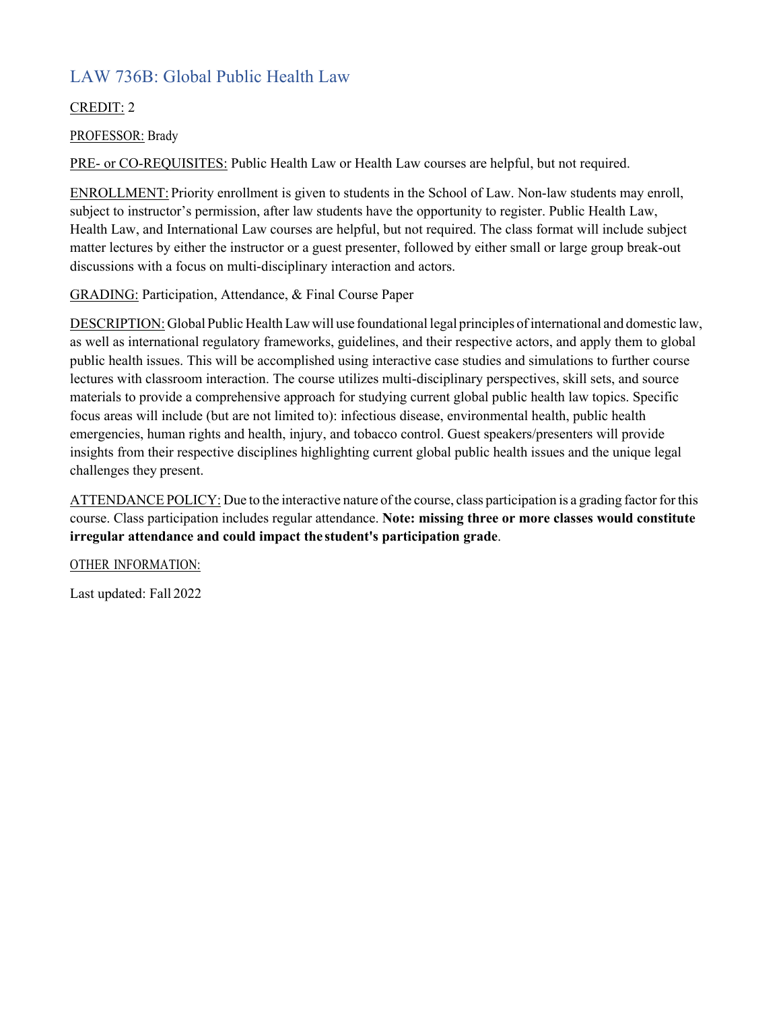# LAW 736B: Global Public Health Law

#### CREDIT: 2

PROFESSOR: Brady

PRE- or CO-REQUISITES: Public Health Law or Health Law courses are helpful, but not required.

ENROLLMENT: Priority enrollment is given to students in the School of Law. Non-law students may enroll, subject to instructor's permission, after law students have the opportunity to register. Public Health Law, Health Law, and International Law courses are helpful, but not required. The class format will include subject matter lectures by either the instructor or a guest presenter, followed by either small or large group break-out discussions with a focus on multi-disciplinary interaction and actors.

GRADING: Participation, Attendance, & Final Course Paper

DESCRIPTION: Global Public HealthLaw will use foundational legal principles ofinternational and domestic law, as well as international regulatory frameworks, guidelines, and their respective actors, and apply them to global public health issues. This will be accomplished using interactive case studies and simulations to further course lectures with classroom interaction. The course utilizes multi-disciplinary perspectives, skill sets, and source materials to provide a comprehensive approach for studying current global public health law topics. Specific focus areas will include (but are not limited to): infectious disease, environmental health, public health emergencies, human rights and health, injury, and tobacco control. Guest speakers/presenters will provide insights from their respective disciplines highlighting current global public health issues and the unique legal challenges they present.

ATTENDANCE POLICY: Due to the interactive nature of the course, class participation is a grading factor for this course. Class participation includes regular attendance. **Note: missing three or more classes would constitute irregular attendance and could impact the student's participation grade**.

OTHER INFORMATION: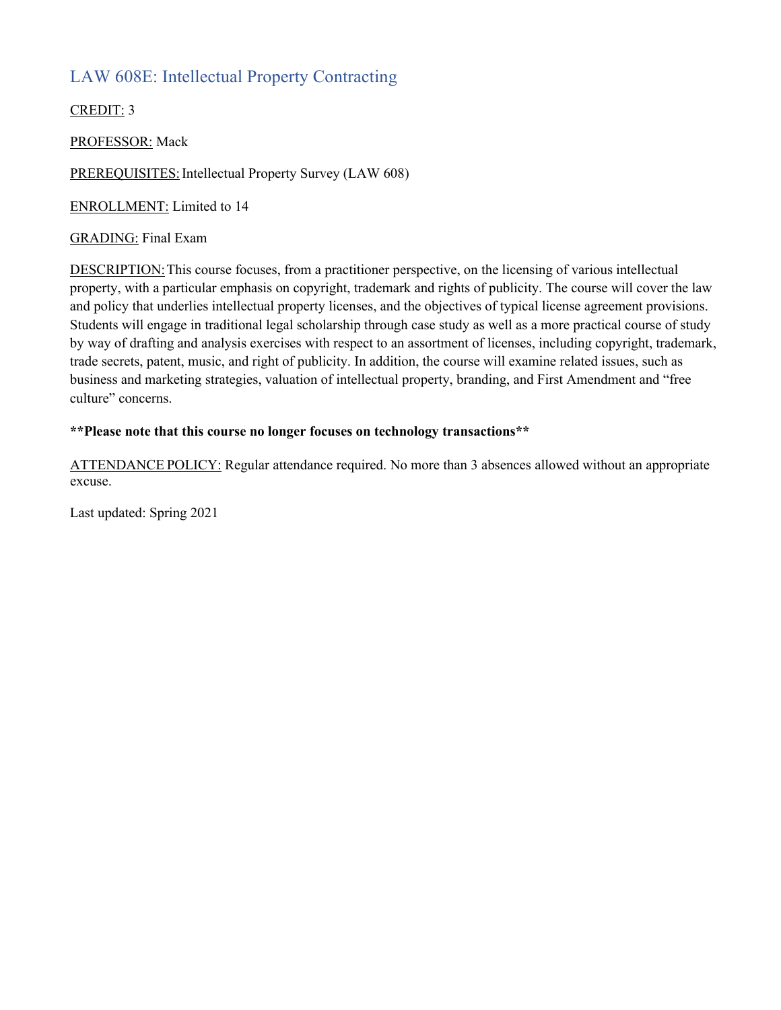## LAW 608E: Intellectual Property Contracting

CREDIT: 3

PROFESSOR: Mack

PREREQUISITES: Intellectual Property Survey (LAW 608)

ENROLLMENT: Limited to 14

#### GRADING: Final Exam

DESCRIPTION: This course focuses, from a practitioner perspective, on the licensing of various intellectual property, with a particular emphasis on copyright, trademark and rights of publicity. The course will cover the law and policy that underlies intellectual property licenses, and the objectives of typical license agreement provisions. Students will engage in traditional legal scholarship through case study as well as a more practical course of study by way of drafting and analysis exercises with respect to an assortment of licenses, including copyright, trademark, trade secrets, patent, music, and right of publicity. In addition, the course will examine related issues, such as business and marketing strategies, valuation of intellectual property, branding, and First Amendment and "free culture" concerns.

#### **\*\*Please note that this course no longer focuses on technology transactions\*\***

ATTENDANCE POLICY: Regular attendance required. No more than 3 absences allowed without an appropriate excuse.

Last updated: Spring 2021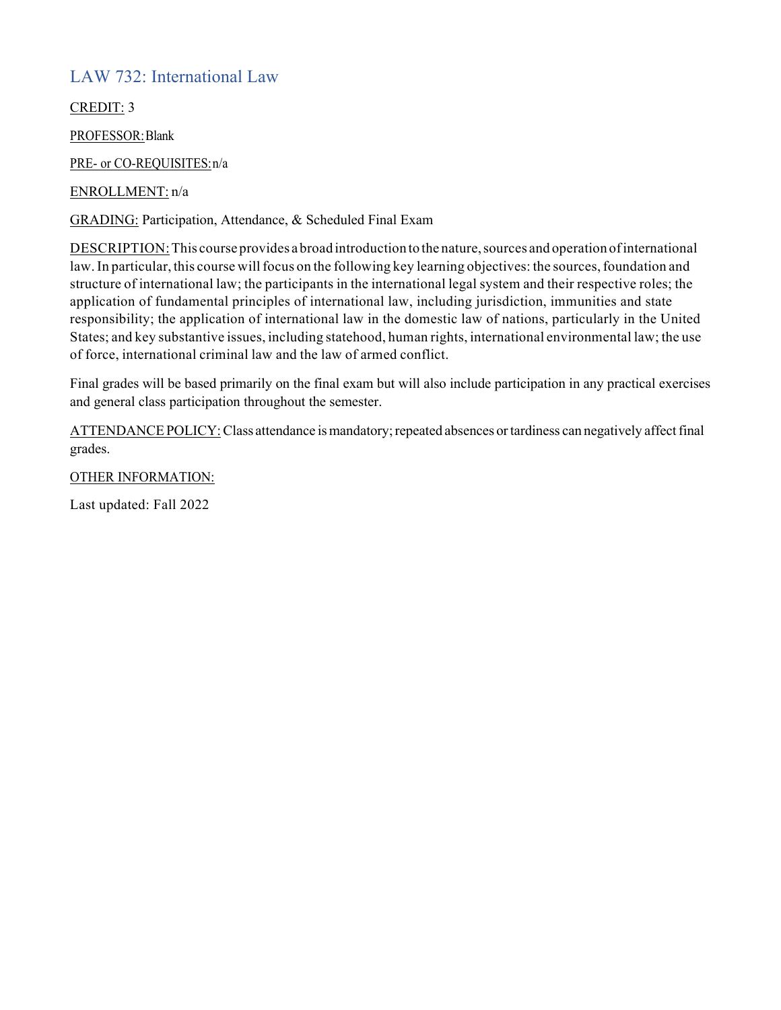## LAW 732: International Law

CREDIT: 3

PROFESSOR:Blank

PRE- or CO-REQUISITES:n/a

ENROLLMENT: n/a

GRADING: Participation, Attendance, & Scheduled Final Exam

DESCRIPTION: This course provides a broad introduction to the nature, sources and operation of international law. In particular, this course will focus on the following key learning objectives: the sources, foundation and structure of international law; the participants in the international legal system and their respective roles; the application of fundamental principles of international law, including jurisdiction, immunities and state responsibility; the application of international law in the domestic law of nations, particularly in the United States; and key substantive issues, including statehood, human rights, international environmental law; the use of force, international criminal law and the law of armed conflict.

Final grades will be based primarily on the final exam but will also include participation in any practical exercises and general class participation throughout the semester.

ATTENDANCE POLICY: Class attendance is mandatory; repeated absences or tardiness can negatively affect final grades.

#### OTHER INFORMATION: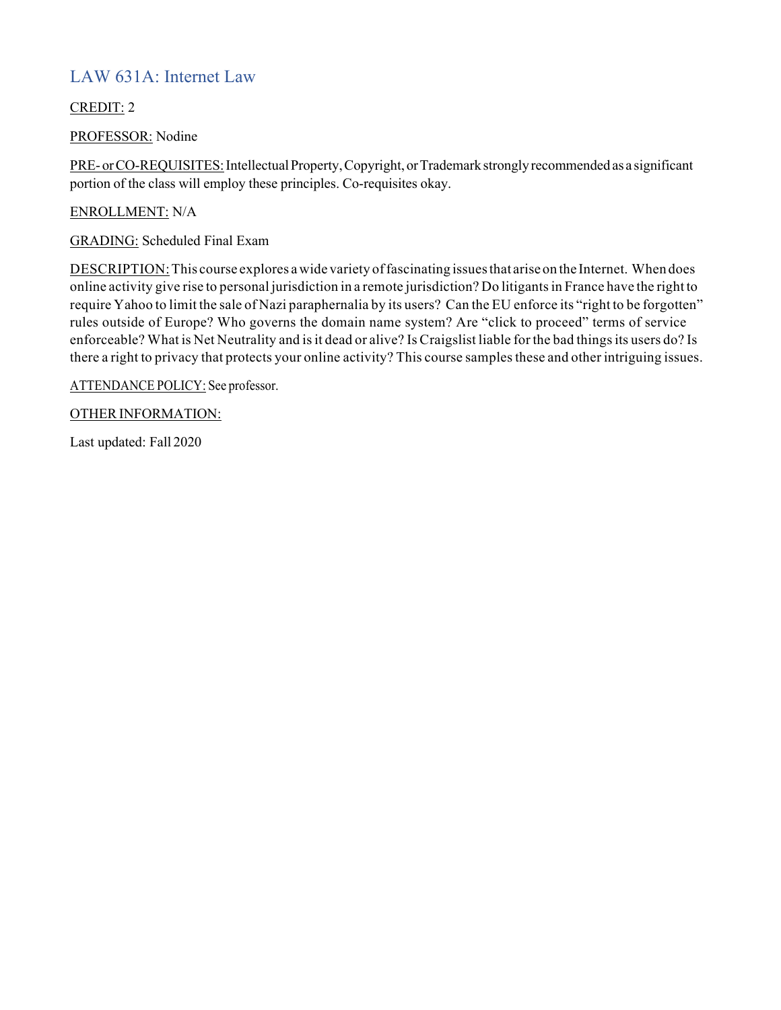## LAW 631A: Internet Law

CREDIT: 2

PROFESSOR: Nodine

PRE- or CO-REQUISITES: Intellectual Property, Copyright, or Trademark strongly recommended as a significant portion of the class will employ these principles. Co-requisites okay.

ENROLLMENT: N/A

GRADING: Scheduled Final Exam

DESCRIPTION: This course explores a wide variety of fascinating issues that arise on the Internet. When does online activity give rise to personal jurisdiction in a remote jurisdiction? Do litigantsin France have the right to require Yahoo to limit the sale of Nazi paraphernalia by its users? Can the EU enforce its "right to be forgotten" rules outside of Europe? Who governs the domain name system? Are "click to proceed" terms of service enforceable? What is Net Neutrality and is it dead or alive? Is Craigslist liable for the bad things its users do? Is there a right to privacy that protects your online activity? This course samples these and other intriguing issues.

ATTENDANCE POLICY: See professor.

OTHER INFORMATION: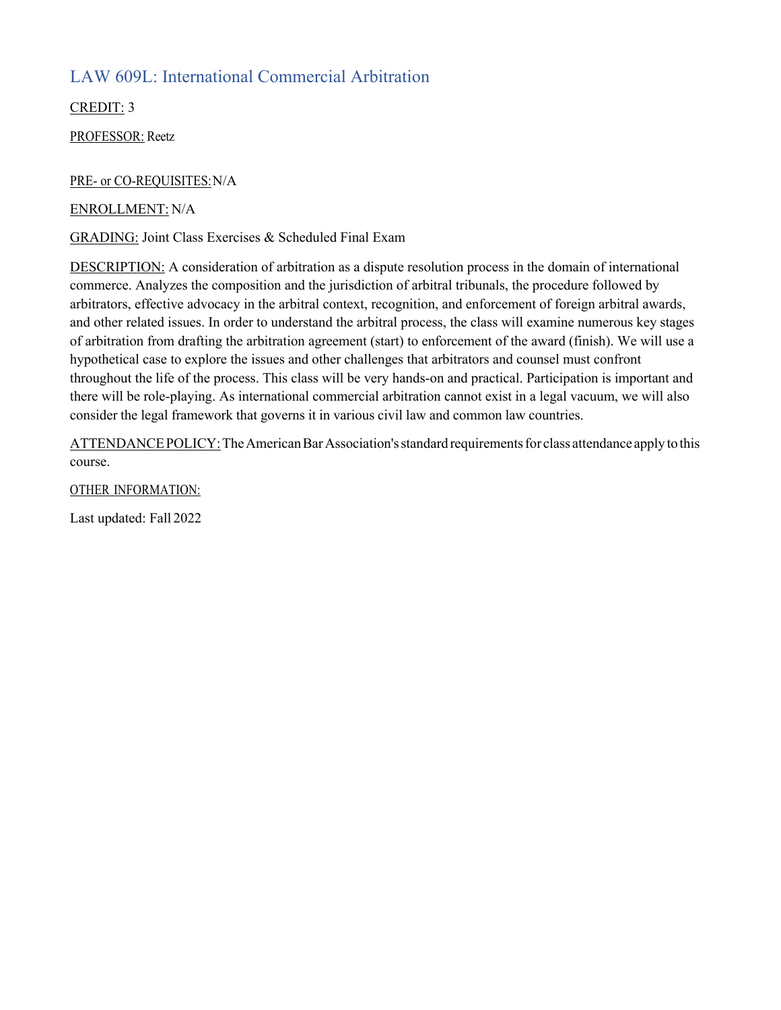## LAW 609L: International Commercial Arbitration

CREDIT: 3

PROFESSOR: Reetz

#### PRE- or CO-REQUISITES:N/A

ENROLLMENT: N/A

GRADING: Joint Class Exercises & Scheduled Final Exam

DESCRIPTION: A consideration of arbitration as a dispute resolution process in the domain of international commerce. Analyzes the composition and the jurisdiction of arbitral tribunals, the procedure followed by arbitrators, effective advocacy in the arbitral context, recognition, and enforcement of foreign arbitral awards, and other related issues. In order to understand the arbitral process, the class will examine numerous key stages of arbitration from drafting the arbitration agreement (start) to enforcement of the award (finish). We will use a hypothetical case to explore the issues and other challenges that arbitrators and counsel must confront throughout the life of the process. This class will be very hands-on and practical. Participation is important and there will be role-playing. As international commercial arbitration cannot exist in a legal vacuum, we will also consider the legal framework that governs it in various civil law and common law countries.

ATTENDANCE POLICY: The American Bar Association's standard requirements for class attendance apply to this course.

OTHER INFORMATION: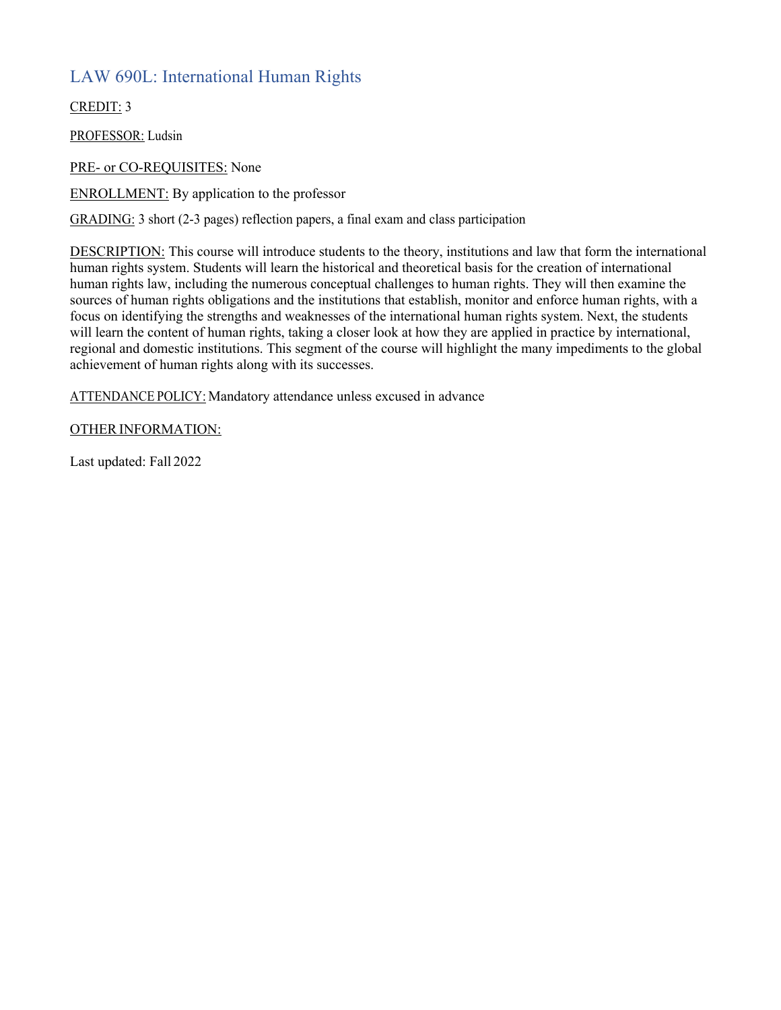## LAW 690L: International Human Rights

CREDIT: 3

PROFESSOR: Ludsin

PRE- or CO-REQUISITES: None

ENROLLMENT: By application to the professor

GRADING: 3 short (2-3 pages) reflection papers, a final exam and class participation

DESCRIPTION: This course will introduce students to the theory, institutions and law that form the international human rights system. Students will learn the historical and theoretical basis for the creation of international human rights law, including the numerous conceptual challenges to human rights. They will then examine the sources of human rights obligations and the institutions that establish, monitor and enforce human rights, with a focus on identifying the strengths and weaknesses of the international human rights system. Next, the students will learn the content of human rights, taking a closer look at how they are applied in practice by international, regional and domestic institutions. This segment of the course will highlight the many impediments to the global achievement of human rights along with its successes.

ATTENDANCE POLICY: Mandatory attendance unless excused in advance

#### OTHER INFORMATION: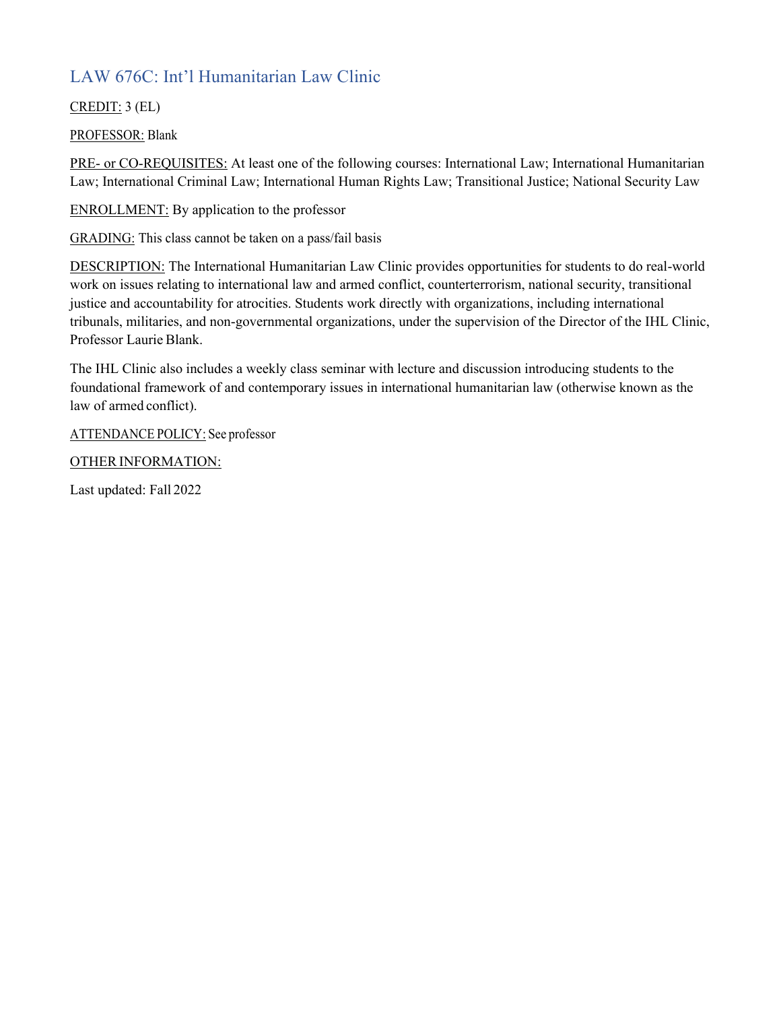# LAW 676C: Int'l Humanitarian Law Clinic

#### CREDIT: 3 (EL)

#### PROFESSOR: Blank

PRE- or CO-REQUISITES: At least one of the following courses: International Law; International Humanitarian Law; International Criminal Law; International Human Rights Law; Transitional Justice; National Security Law

ENROLLMENT: By application to the professor

GRADING: This class cannot be taken on a pass/fail basis

DESCRIPTION: The International Humanitarian Law Clinic provides opportunities for students to do real-world work on issues relating to international law and armed conflict, counterterrorism, national security, transitional justice and accountability for atrocities. Students work directly with organizations, including international tribunals, militaries, and non-governmental organizations, under the supervision of the Director of the IHL Clinic, Professor Laurie Blank.

The IHL Clinic also includes a weekly class seminar with lecture and discussion introducing students to the foundational framework of and contemporary issues in international humanitarian law (otherwise known as the law of armed conflict).

ATTENDANCE POLICY: See professor

OTHER INFORMATION: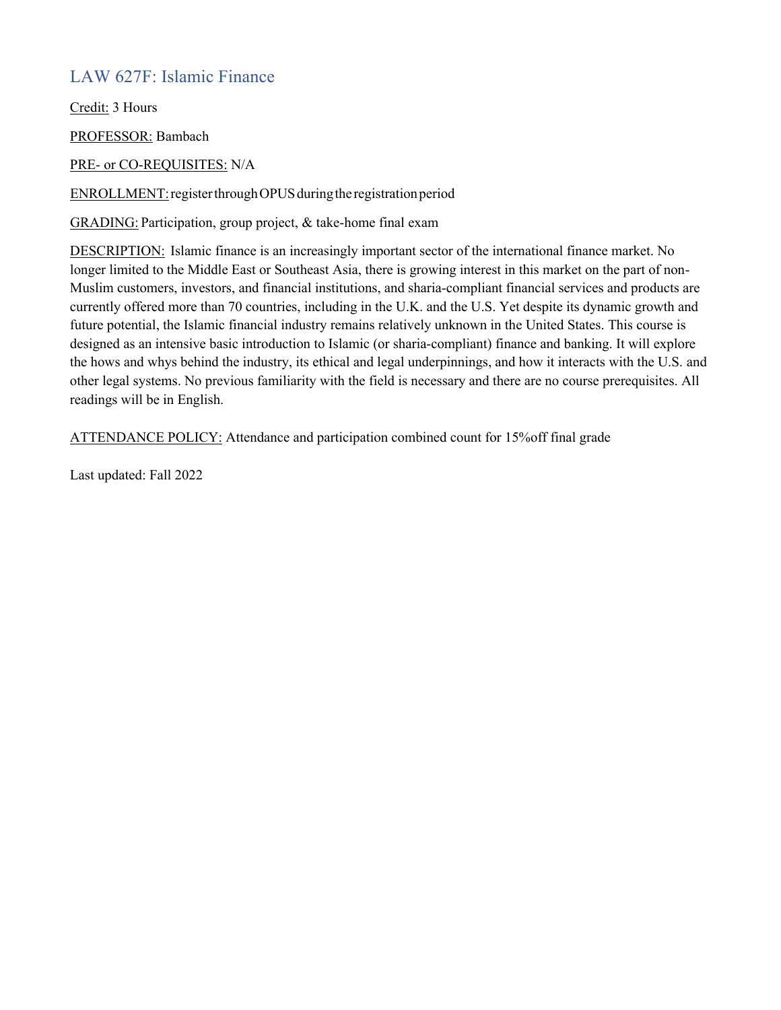## LAW 627F: Islamic Finance

Credit: 3 Hours

PROFESSOR: Bambach

PRE- or CO-REQUISITES: N/A

ENROLLMENT:registerthroughOPUSduringthe registrationperiod

GRADING: Participation, group project, & take-home final exam

DESCRIPTION: Islamic finance is an increasingly important sector of the international finance market. No longer limited to the Middle East or Southeast Asia, there is growing interest in this market on the part of non-Muslim customers, investors, and financial institutions, and sharia-compliant financial services and products are currently offered more than 70 countries, including in the U.K. and the U.S. Yet despite its dynamic growth and future potential, the Islamic financial industry remains relatively unknown in the United States. This course is designed as an intensive basic introduction to Islamic (or sharia-compliant) finance and banking. It will explore the hows and whys behind the industry, its ethical and legal underpinnings, and how it interacts with the U.S. and other legal systems. No previous familiarity with the field is necessary and there are no course prerequisites. All readings will be in English.

ATTENDANCE POLICY: Attendance and participation combined count for 15%off final grade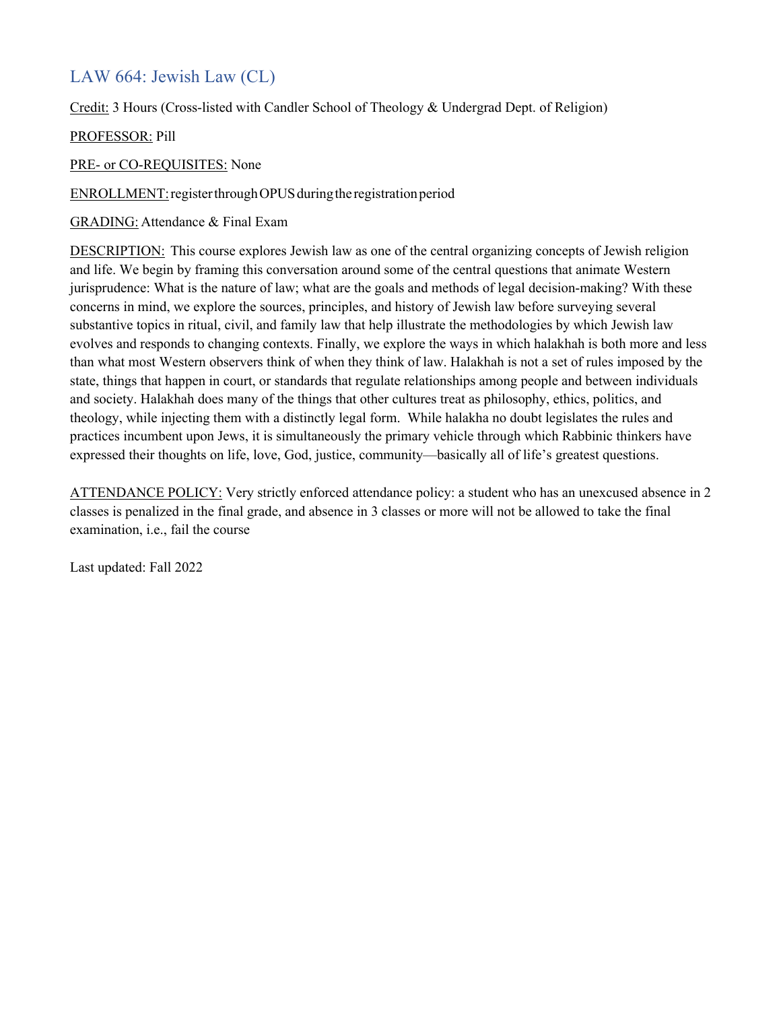## LAW 664: Jewish Law (CL)

Credit: 3 Hours (Cross-listed with Candler School of Theology & Undergrad Dept. of Religion)

#### PROFESSOR: Pill

PRE- or CO-REQUISITES: None

ENROLLMENT:registerthroughOPUSduringthe registrationperiod

GRADING: Attendance & Final Exam

DESCRIPTION: This course explores Jewish law as one of the central organizing concepts of Jewish religion and life. We begin by framing this conversation around some of the central questions that animate Western jurisprudence: What is the nature of law; what are the goals and methods of legal decision-making? With these concerns in mind, we explore the sources, principles, and history of Jewish law before surveying several substantive topics in ritual, civil, and family law that help illustrate the methodologies by which Jewish law evolves and responds to changing contexts. Finally, we explore the ways in which halakhah is both more and less than what most Western observers think of when they think of law. Halakhah is not a set of rules imposed by the state, things that happen in court, or standards that regulate relationships among people and between individuals and society. Halakhah does many of the things that other cultures treat as philosophy, ethics, politics, and theology, while injecting them with a distinctly legal form. While halakha no doubt legislates the rules and practices incumbent upon Jews, it is simultaneously the primary vehicle through which Rabbinic thinkers have expressed their thoughts on life, love, God, justice, community—basically all of life's greatest questions.

ATTENDANCE POLICY: Very strictly enforced attendance policy: a student who has an unexcused absence in 2 classes is penalized in the final grade, and absence in 3 classes or more will not be allowed to take the final examination, i.e., fail the course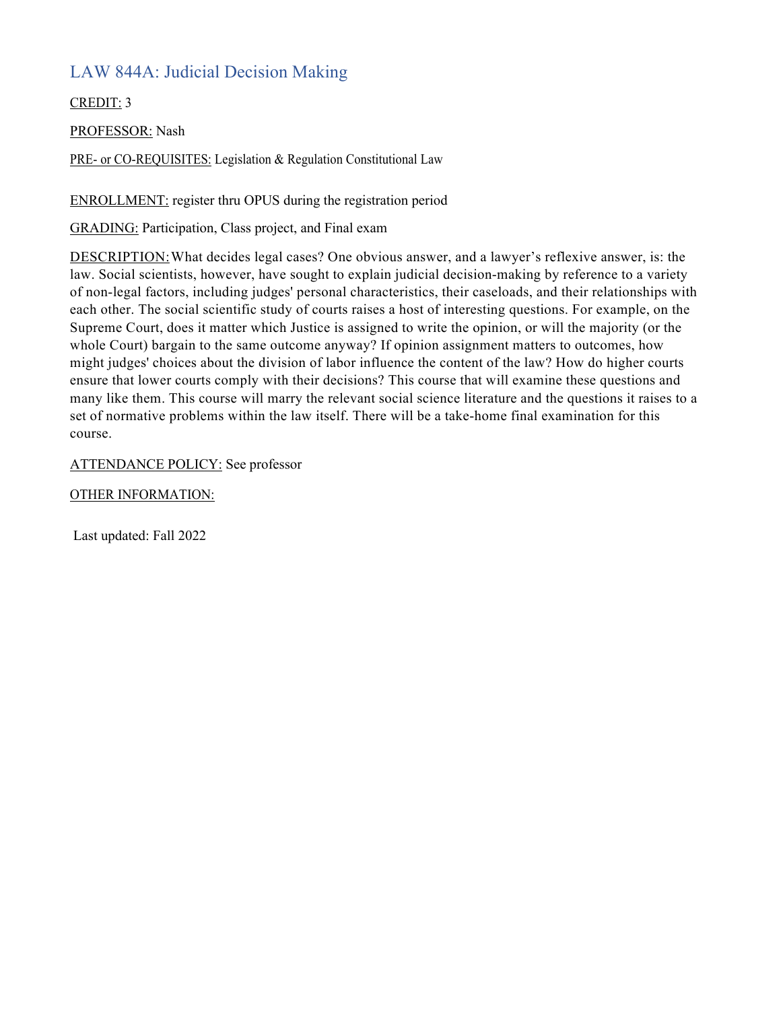## LAW 844A: Judicial Decision Making

CREDIT: 3

PROFESSOR: Nash

PRE- or CO-REQUISITES: Legislation & Regulation Constitutional Law

ENROLLMENT: register thru OPUS during the registration period

GRADING: Participation, Class project, and Final exam

DESCRIPTION:What decides legal cases? One obvious answer, and a lawyer's reflexive answer, is: the law. Social scientists, however, have sought to explain judicial decision-making by reference to a variety of non-legal factors, including judges' personal characteristics, their caseloads, and their relationships with each other. The social scientific study of courts raises a host of interesting questions. For example, on the Supreme Court, does it matter which Justice is assigned to write the opinion, or will the majority (or the whole Court) bargain to the same outcome anyway? If opinion assignment matters to outcomes, how might judges' choices about the division of labor influence the content of the law? How do higher courts ensure that lower courts comply with their decisions? This course that will examine these questions and many like them. This course will marry the relevant social science literature and the questions it raises to a set of normative problems within the law itself. There will be a take-home final examination for this course.

ATTENDANCE POLICY: See professor

OTHER INFORMATION: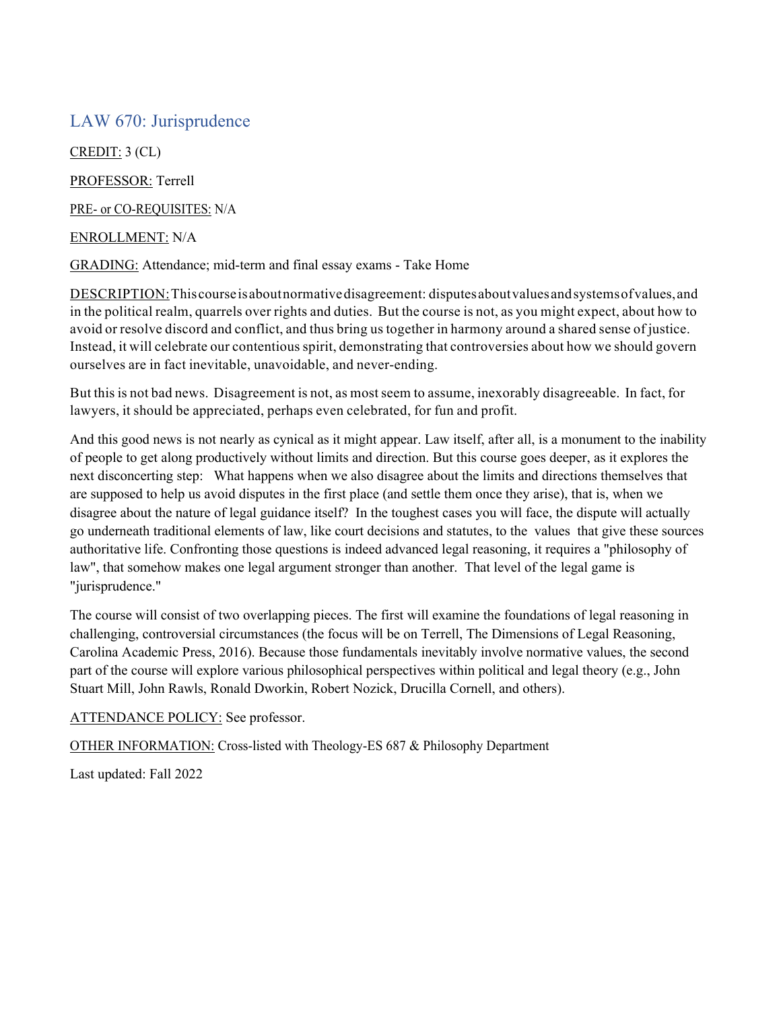### LAW 670: Jurisprudence

CREDIT: 3 (CL)

PROFESSOR: Terrell

PRE- or CO-REQUISITES: N/A

ENROLLMENT: N/A

GRADING: Attendance; mid-term and final essay exams - Take Home

DESCRIPTION:Thiscourseisaboutnormativedisagreement: disputesaboutvaluesandsystemsofvalues,and in the political realm, quarrels over rights and duties. But the course is not, as you might expect, about how to avoid or resolve discord and conflict, and thus bring us together in harmony around a shared sense of justice. Instead, it will celebrate our contentious spirit, demonstrating that controversies about how we should govern ourselves are in fact inevitable, unavoidable, and never-ending.

But this is not bad news. Disagreement is not, as mostseem to assume, inexorably disagreeable. In fact, for lawyers, it should be appreciated, perhaps even celebrated, for fun and profit.

And this good news is not nearly as cynical as it might appear. Law itself, after all, is a monument to the inability of people to get along productively without limits and direction. But this course goes deeper, as it explores the next disconcerting step: What happens when we also disagree about the limits and directions themselves that are supposed to help us avoid disputes in the first place (and settle them once they arise), that is, when we disagree about the nature of legal guidance itself? In the toughest cases you will face, the dispute will actually go underneath traditional elements of law, like court decisions and statutes, to the values that give these sources authoritative life. Confronting those questions is indeed advanced legal reasoning, it requires a "philosophy of law", that somehow makes one legal argument stronger than another. That level of the legal game is "jurisprudence."

The course will consist of two overlapping pieces. The first will examine the foundations of legal reasoning in challenging, controversial circumstances (the focus will be on Terrell, The Dimensions of Legal Reasoning, Carolina Academic Press, 2016). Because those fundamentals inevitably involve normative values, the second part of the course will explore various philosophical perspectives within political and legal theory (e.g., John Stuart Mill, John Rawls, Ronald Dworkin, Robert Nozick, Drucilla Cornell, and others).

ATTENDANCE POLICY: See professor.

OTHER INFORMATION: Cross-listed with Theology-ES 687 & Philosophy Department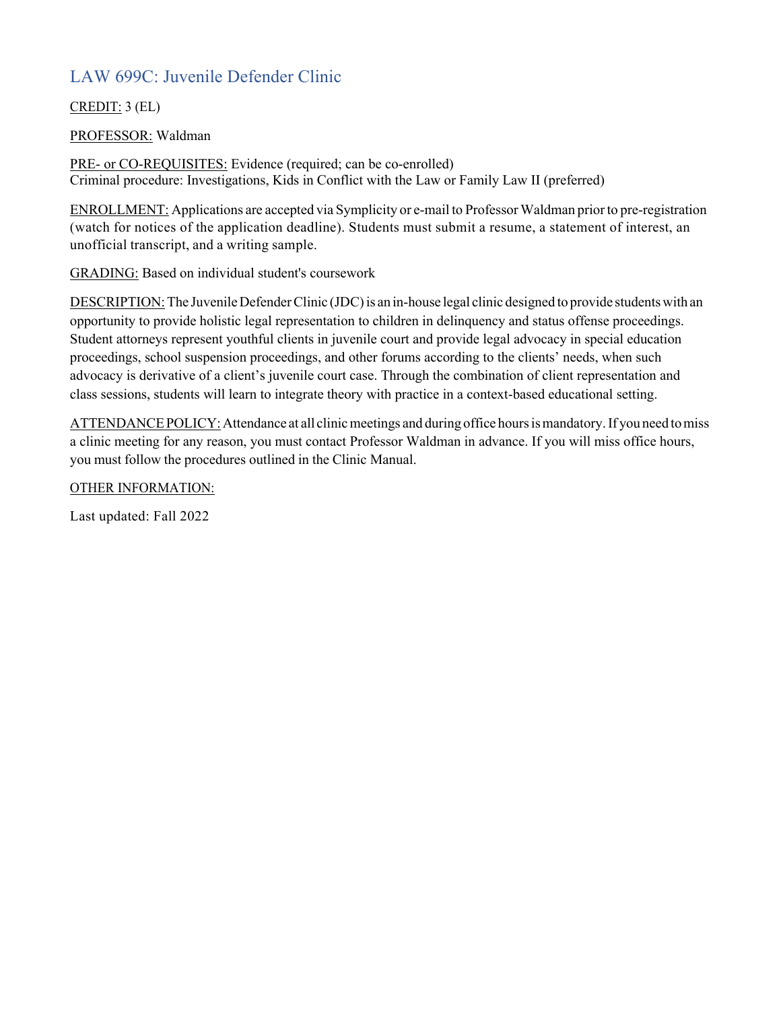# LAW 699C: Juvenile Defender Clinic

### CREDIT: 3 (EL)

### PROFESSOR: Waldman

PRE- or CO-REQUISITES: Evidence (required; can be co-enrolled) Criminal procedure: Investigations, Kids in Conflict with the Law or Family Law II (preferred)

ENROLLMENT: Applications are accepted via Symplicity or e-mail to Professor Waldman priorto pre-registration (watch for notices of the application deadline). Students must submit a resume, a statement of interest, an unofficial transcript, and a writing sample.

GRADING: Based on individual student's coursework

DESCRIPTION: The Juvenile Defender Clinic (JDC) is an in-house legal clinic designed to provide students with an opportunity to provide holistic legal representation to children in delinquency and status offense proceedings. Student attorneys represent youthful clients in juvenile court and provide legal advocacy in special education proceedings, school suspension proceedings, and other forums according to the clients' needs, when such advocacy is derivative of a client's juvenile court case. Through the combination of client representation and class sessions, students will learn to integrate theory with practice in a context-based educational setting.

ATTENDANCE POLICY: Attendance at all clinic meetings and during office hours is mandatory. If you need to miss a clinic meeting for any reason, you must contact Professor Waldman in advance. If you will miss office hours, you must follow the procedures outlined in the Clinic Manual.

OTHER INFORMATION: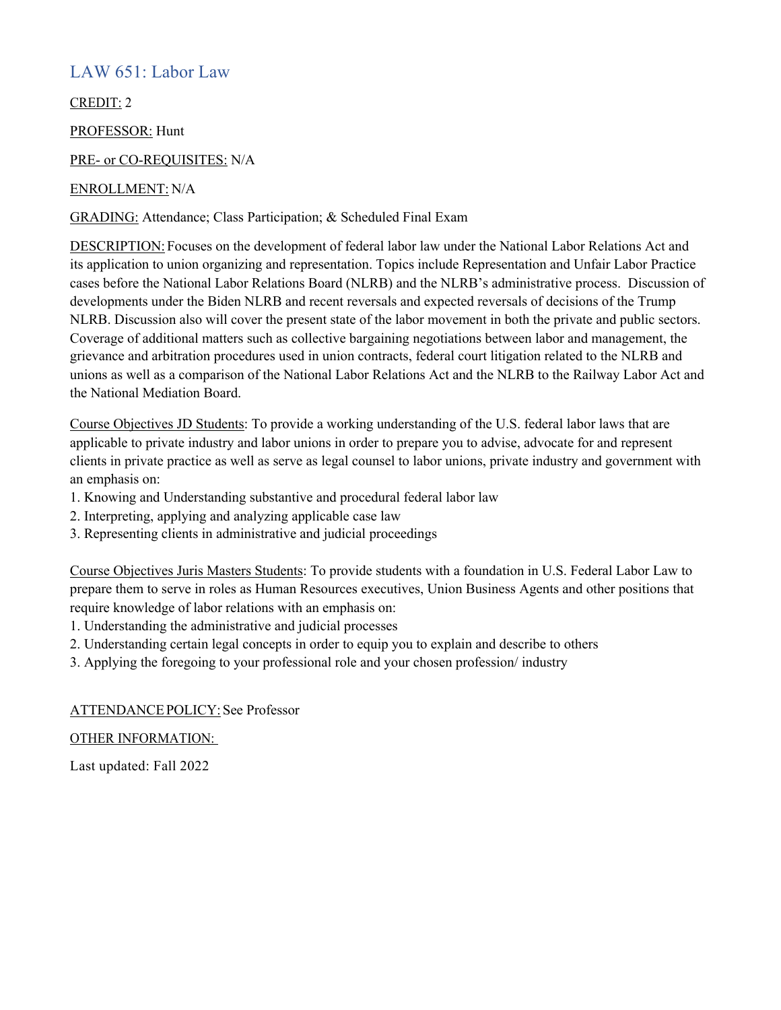## LAW 651: Labor Law

CREDIT: 2

PROFESSOR: Hunt

PRE- or CO-REQUISITES: N/A

### ENROLLMENT: N/A

GRADING: Attendance; Class Participation; & Scheduled Final Exam

DESCRIPTION: Focuses on the development of federal labor law under the National Labor Relations Act and its application to union organizing and representation. Topics include Representation and Unfair Labor Practice cases before the National Labor Relations Board (NLRB) and the NLRB's administrative process. Discussion of developments under the Biden NLRB and recent reversals and expected reversals of decisions of the Trump NLRB. Discussion also will cover the present state of the labor movement in both the private and public sectors. Coverage of additional matters such as collective bargaining negotiations between labor and management, the grievance and arbitration procedures used in union contracts, federal court litigation related to the NLRB and unions as well as a comparison of the National Labor Relations Act and the NLRB to the Railway Labor Act and the National Mediation Board.

Course Objectives JD Students: To provide a working understanding of the U.S. federal labor laws that are applicable to private industry and labor unions in order to prepare you to advise, advocate for and represent clients in private practice as well as serve as legal counsel to labor unions, private industry and government with an emphasis on:

- 1. Knowing and Understanding substantive and procedural federal labor law
- 2. Interpreting, applying and analyzing applicable case law
- 3. Representing clients in administrative and judicial proceedings

Course Objectives Juris Masters Students: To provide students with a foundation in U.S. Federal Labor Law to prepare them to serve in roles as Human Resources executives, Union Business Agents and other positions that require knowledge of labor relations with an emphasis on:

- 1. Understanding the administrative and judicial processes
- 2. Understanding certain legal concepts in order to equip you to explain and describe to others
- 3. Applying the foregoing to your professional role and your chosen profession/ industry

#### ATTENDANCEPOLICY: See Professor

OTHER INFORMATION: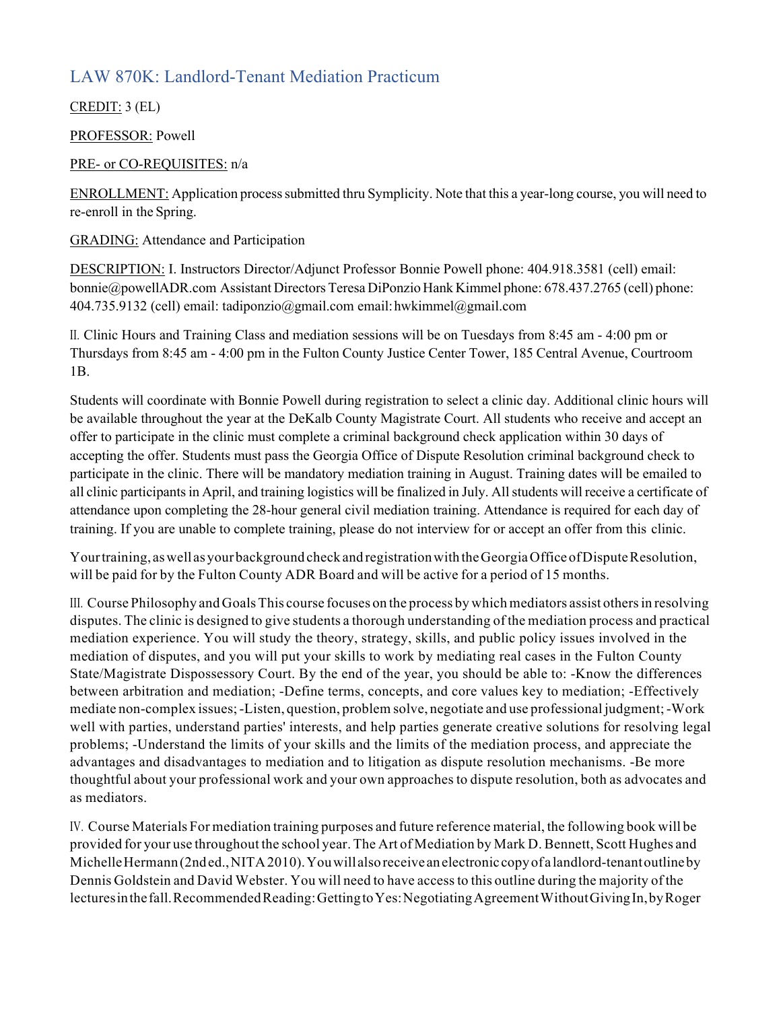# LAW 870K: Landlord-Tenant Mediation Practicum

CREDIT: 3 (EL)

PROFESSOR: Powell

### PRE- or CO-REQUISITES: n/a

ENROLLMENT: Application processsubmitted thru Symplicity. Note that this a year-long course, you will need to re-enroll in the Spring.

GRADING: Attendance and Participation

DESCRIPTION: I. Instructors Director/Adjunct Professor Bonnie Powell phone: 404.918.3581 (cell) email: bonnie@powellADR.com Assistant Directors Teresa DiPonzio Hank Kimmel phone: 678.437.2765 (cell) phone: 404.735.9132 (cell) email: tadiponzio@gmail.com email:hwkimmel@gmail.com

II. Clinic Hours and Training Class and mediation sessions will be on Tuesdays from 8:45 am - 4:00 pm or Thursdays from 8:45 am - 4:00 pm in the Fulton County Justice Center Tower, 185 Central Avenue, Courtroom 1B.

Students will coordinate with Bonnie Powell during registration to select a clinic day. Additional clinic hours will be available throughout the year at the DeKalb County Magistrate Court. All students who receive and accept an offer to participate in the clinic must complete a criminal background check application within 30 days of accepting the offer. Students must pass the Georgia Office of Dispute Resolution criminal background check to participate in the clinic. There will be mandatory mediation training in August. Training dates will be emailed to all clinic participants in April, and training logistics will be finalized in July. All students will receive a certificate of attendance upon completing the 28-hour general civil mediation training. Attendance is required for each day of training. If you are unable to complete training, please do not interview for or accept an offer from this clinic.

Your training, as well as your background check and registration with the Georgia Office of Dispute Resolution, will be paid for by the Fulton County ADR Board and will be active for a period of 15 months.

III. Course Philosophy and Goals This course focuses on the process by which mediators assist others in resolving disputes. The clinic is designed to give students a thorough understanding of the mediation process and practical mediation experience. You will study the theory, strategy, skills, and public policy issues involved in the mediation of disputes, and you will put your skills to work by mediating real cases in the Fulton County State/Magistrate Dispossessory Court. By the end of the year, you should be able to: -Know the differences between arbitration and mediation; -Define terms, concepts, and core values key to mediation; -Effectively mediate non-complex issues;-Listen, question, problem solve, negotiate and use professional judgment;-Work well with parties, understand parties' interests, and help parties generate creative solutions for resolving legal problems; -Understand the limits of your skills and the limits of the mediation process, and appreciate the advantages and disadvantages to mediation and to litigation as dispute resolution mechanisms. -Be more thoughtful about your professional work and your own approaches to dispute resolution, both as advocates and as mediators.

IV. Course Materials For mediation training purposes and future reference material, the following book will be provided for your use throughout the school year. The Art of Mediation by Mark D. Bennett, Scott Hughes and MichelleHermann(2nded.,NITA2010).Youwillalso receive anelectronic copyofa landlord-tenantoutlineby Dennis Goldstein and David Webster. You will need to have accessto this outline during the majority of the lecturesinthefall.RecommendedReading:GettingtoYes:NegotiatingAgreementWithoutGivingIn,byRoger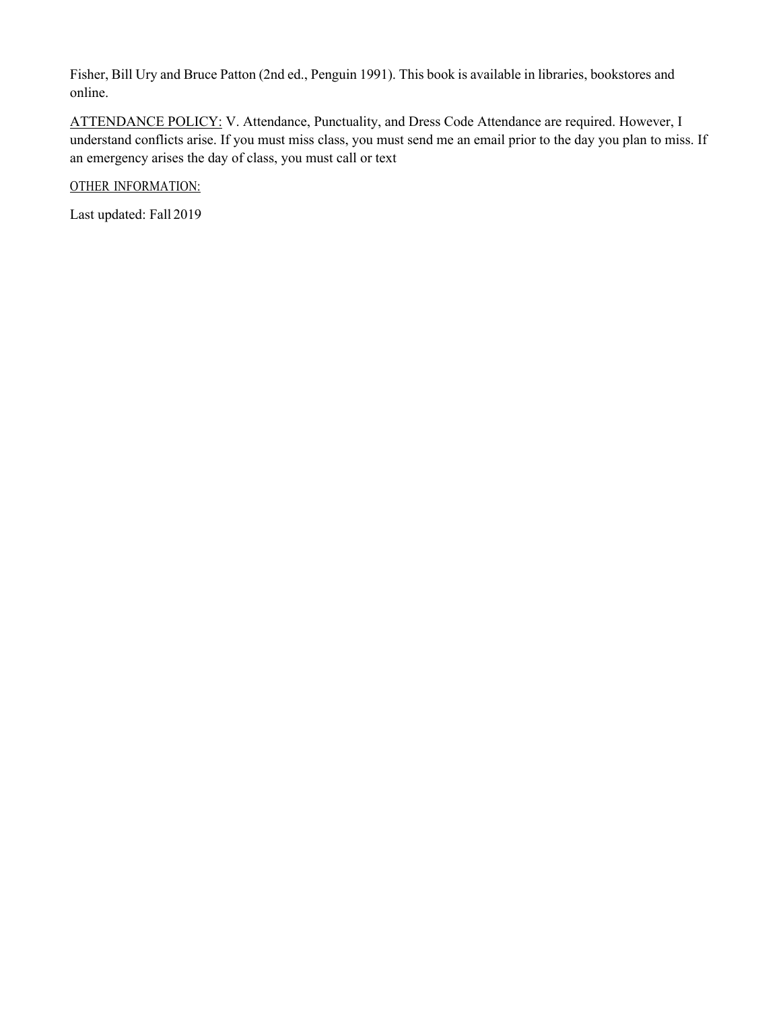Fisher, Bill Ury and Bruce Patton (2nd ed., Penguin 1991). This book is available in libraries, bookstores and online.

ATTENDANCE POLICY: V. Attendance, Punctuality, and Dress Code Attendance are required. However, I understand conflicts arise. If you must miss class, you must send me an email prior to the day you plan to miss. If an emergency arises the day of class, you must call or text

OTHER INFORMATION: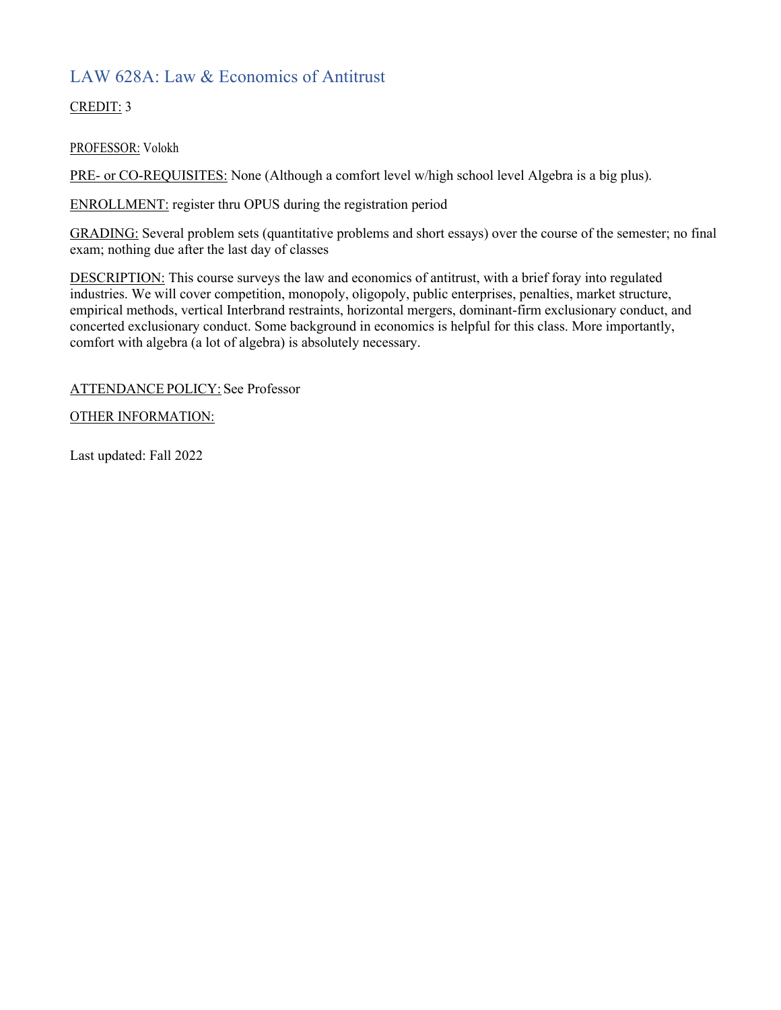# LAW 628A: Law & Economics of Antitrust

CREDIT: 3

PROFESSOR: Volokh

PRE- or CO-REQUISITES: None (Although a comfort level w/high school level Algebra is a big plus).

ENROLLMENT: register thru OPUS during the registration period

GRADING: Several problem sets (quantitative problems and short essays) over the course of the semester; no final exam; nothing due after the last day of classes

DESCRIPTION: This course surveys the law and economics of antitrust, with a brief foray into regulated industries. We will cover competition, monopoly, oligopoly, public enterprises, penalties, market structure, empirical methods, vertical Interbrand restraints, horizontal mergers, dominant-firm exclusionary conduct, and concerted exclusionary conduct. Some background in economics is helpful for this class. More importantly, comfort with algebra (a lot of algebra) is absolutely necessary.

### ATTENDANCE POLICY: See Professor

### OTHER INFORMATION: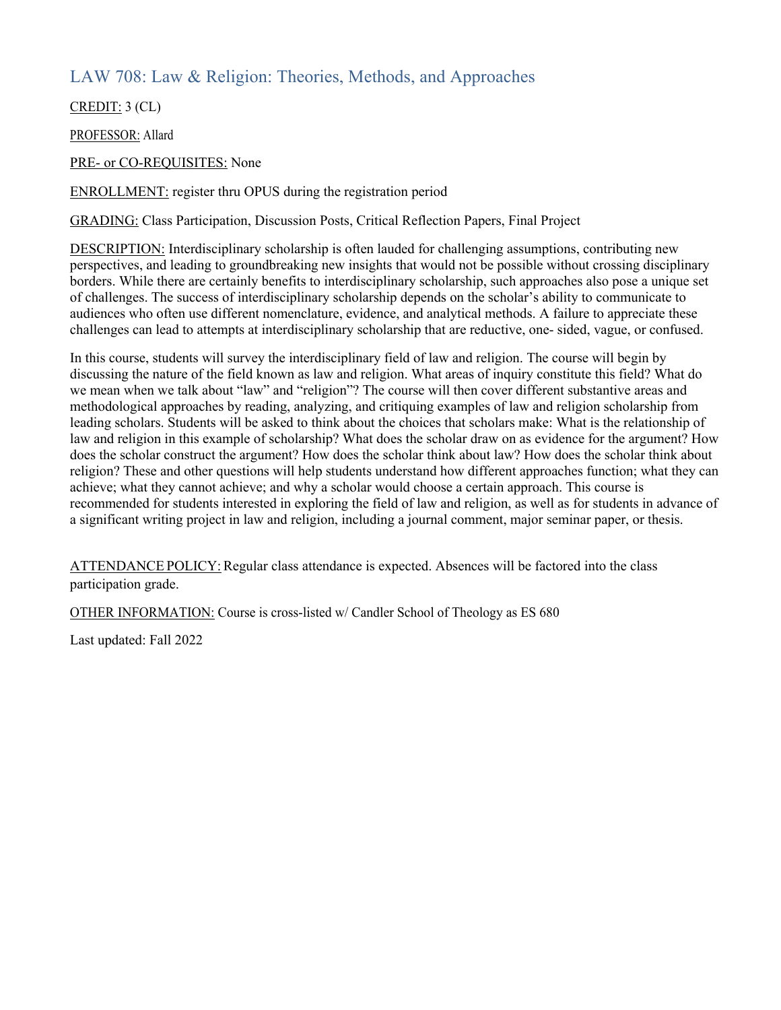## LAW 708: Law & Religion: Theories, Methods, and Approaches

CREDIT: 3 (CL)

PROFESSOR: Allard

PRE- or CO-REQUISITES: None

ENROLLMENT: register thru OPUS during the registration period

GRADING: Class Participation, Discussion Posts, Critical Reflection Papers, Final Project

DESCRIPTION: Interdisciplinary scholarship is often lauded for challenging assumptions, contributing new perspectives, and leading to groundbreaking new insights that would not be possible without crossing disciplinary borders. While there are certainly benefits to interdisciplinary scholarship, such approaches also pose a unique set of challenges. The success of interdisciplinary scholarship depends on the scholar's ability to communicate to audiences who often use different nomenclature, evidence, and analytical methods. A failure to appreciate these challenges can lead to attempts at interdisciplinary scholarship that are reductive, one- sided, vague, or confused.

In this course, students will survey the interdisciplinary field of law and religion. The course will begin by discussing the nature of the field known as law and religion. What areas of inquiry constitute this field? What do we mean when we talk about "law" and "religion"? The course will then cover different substantive areas and methodological approaches by reading, analyzing, and critiquing examples of law and religion scholarship from leading scholars. Students will be asked to think about the choices that scholars make: What is the relationship of law and religion in this example of scholarship? What does the scholar draw on as evidence for the argument? How does the scholar construct the argument? How does the scholar think about law? How does the scholar think about religion? These and other questions will help students understand how different approaches function; what they can achieve; what they cannot achieve; and why a scholar would choose a certain approach. This course is recommended for students interested in exploring the field of law and religion, as well as for students in advance of a significant writing project in law and religion, including a journal comment, major seminar paper, or thesis.

ATTENDANCE POLICY: Regular class attendance is expected. Absences will be factored into the class participation grade.

OTHER INFORMATION: Course is cross-listed w/ Candler School of Theology as ES 680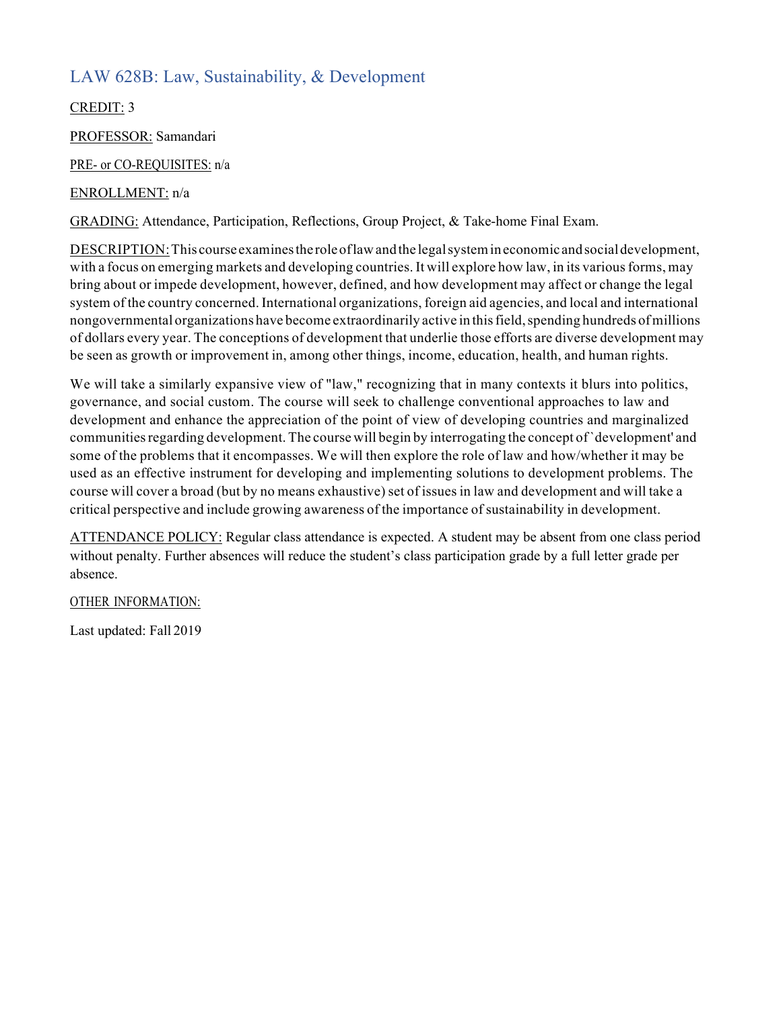# LAW 628B: Law, Sustainability, & Development

CREDIT: 3

PROFESSOR: Samandari

PRE- or CO-REQUISITES: n/a

### ENROLLMENT: n/a

GRADING: Attendance, Participation, Reflections, Group Project, & Take-home Final Exam.

DESCRIPTION:This course examinesthe roleoflawandthe legalsystemin economic andsocialdevelopment, with a focus on emerging markets and developing countries. It will explore how law, in its various forms, may bring about or impede development, however, defined, and how development may affect or change the legal system of the country concerned. International organizations, foreign aid agencies, and local and international nongovernmental organizations have become extraordinarily active in thisfield,spending hundreds ofmillions of dollars every year. The conceptions of development that underlie those efforts are diverse development may be seen as growth or improvement in, among other things, income, education, health, and human rights.

We will take a similarly expansive view of "law," recognizing that in many contexts it blurs into politics, governance, and social custom. The course will seek to challenge conventional approaches to law and development and enhance the appreciation of the point of view of developing countries and marginalized communitiesregarding development. The course will begin by interrogating the concept of`development' and some of the problems that it encompasses. We will then explore the role of law and how/whether it may be used as an effective instrument for developing and implementing solutions to development problems. The course will cover a broad (but by no means exhaustive) set of issues in law and development and will take a critical perspective and include growing awareness of the importance of sustainability in development.

ATTENDANCE POLICY: Regular class attendance is expected. A student may be absent from one class period without penalty. Further absences will reduce the student's class participation grade by a full letter grade per absence.

OTHER INFORMATION: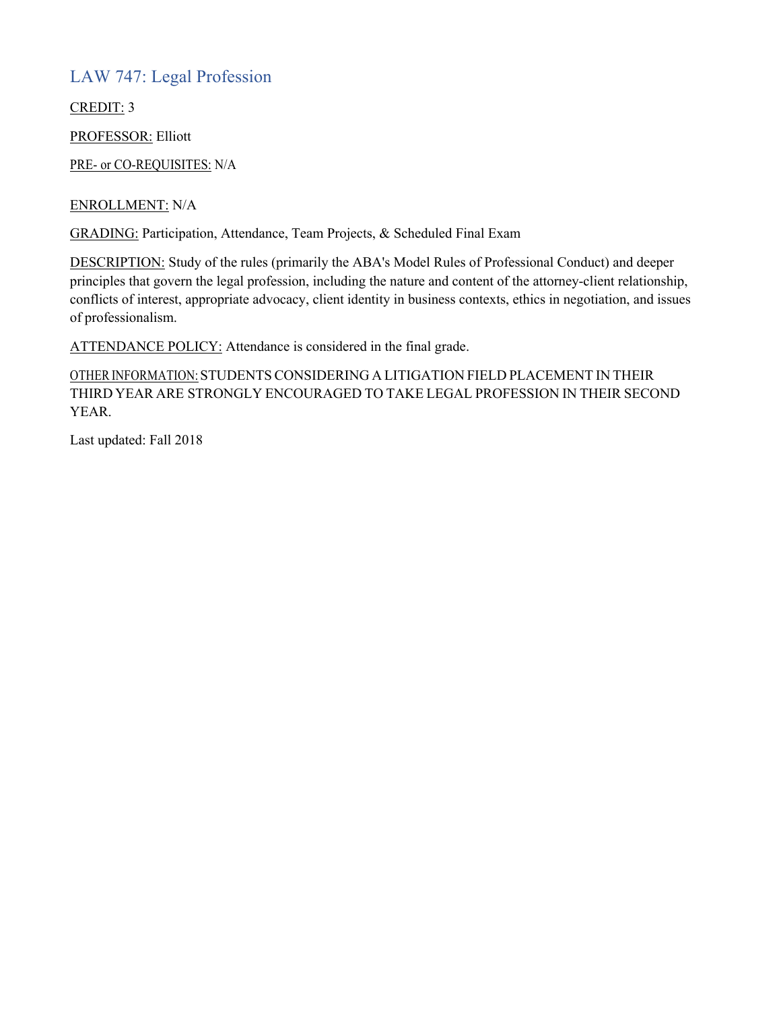## LAW 747: Legal Profession

CREDIT: 3

PROFESSOR: Elliott

PRE- or CO-REQUISITES: N/A

ENROLLMENT: N/A

GRADING: Participation, Attendance, Team Projects, & Scheduled Final Exam

DESCRIPTION: Study of the rules (primarily the ABA's Model Rules of Professional Conduct) and deeper principles that govern the legal profession, including the nature and content of the attorney-client relationship, conflicts of interest, appropriate advocacy, client identity in business contexts, ethics in negotiation, and issues of professionalism.

ATTENDANCE POLICY: Attendance is considered in the final grade.

OTHER INFORMATION: STUDENTS CONSIDERING A LITIGATION FIELD PLACEMENT IN THEIR THIRD YEAR ARE STRONGLY ENCOURAGED TO TAKE LEGAL PROFESSION IN THEIR SECOND YEAR.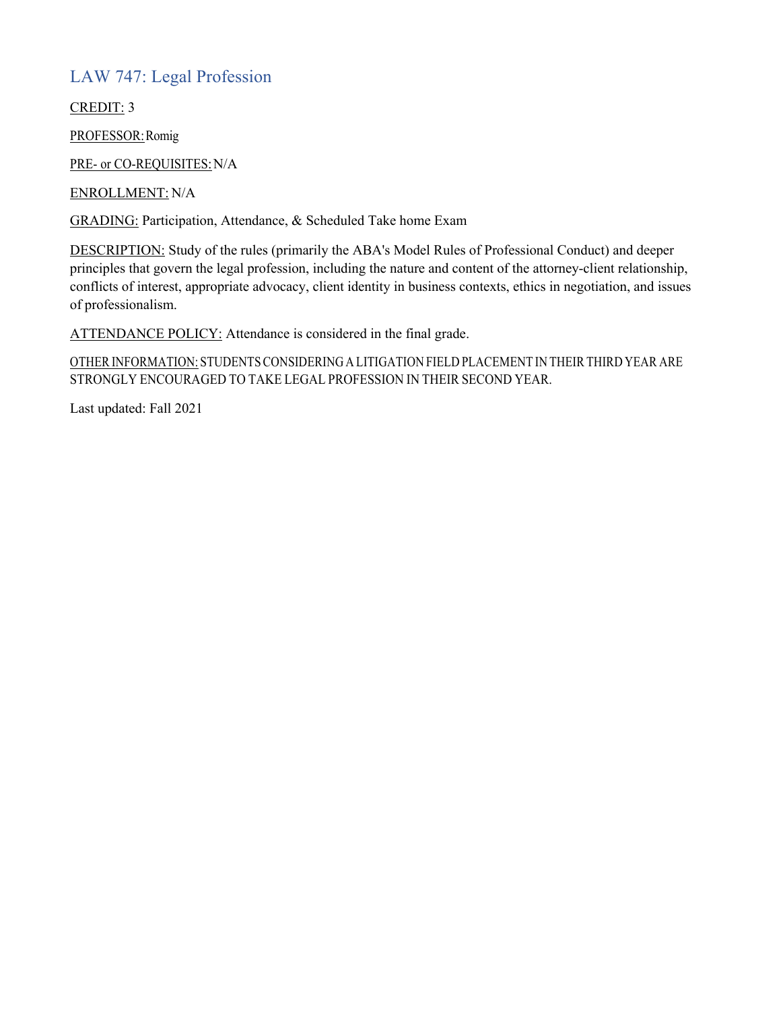# LAW 747: Legal Profession

CREDIT: 3

PROFESSOR: Romig

PRE- or CO-REQUISITES: N/A

ENROLLMENT: N/A

GRADING: Participation, Attendance, & Scheduled Take home Exam

DESCRIPTION: Study of the rules (primarily the ABA's Model Rules of Professional Conduct) and deeper principles that govern the legal profession, including the nature and content of the attorney-client relationship, conflicts of interest, appropriate advocacy, client identity in business contexts, ethics in negotiation, and issues of professionalism.

ATTENDANCE POLICY: Attendance is considered in the final grade.

OTHER INFORMATION: STUDENTSCONSIDERING A LITIGATION FIELD PLACEMENT IN THEIR THIRD YEAR ARE STRONGLY ENCOURAGED TO TAKE LEGAL PROFESSION IN THEIR SECOND YEAR.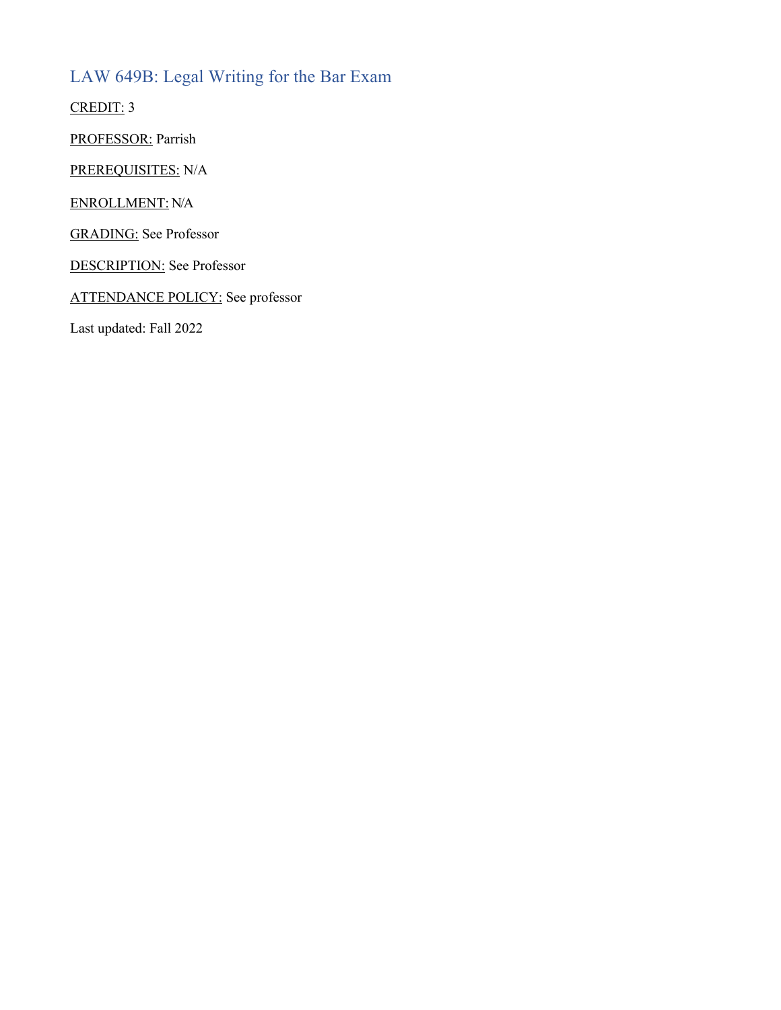# LAW 649B: Legal Writing for the Bar Exam

CREDIT: 3

PROFESSOR: Parrish

PREREQUISITES: N/A

ENROLLMENT: N/A

GRADING: See Professor

DESCRIPTION: See Professor

ATTENDANCE POLICY: See professor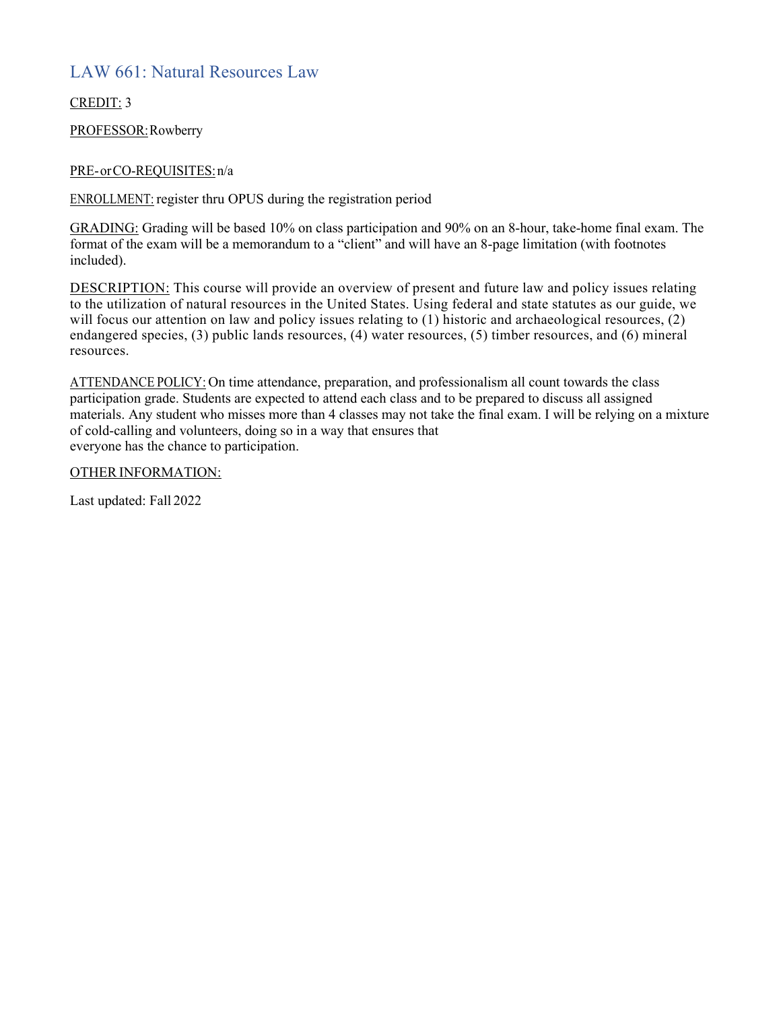## LAW 661: Natural Resources Law

CREDIT: 3

PROFESSOR:Rowberry

### PRE-orCO-REQUISITES:n/a

ENROLLMENT: register thru OPUS during the registration period

GRADING: Grading will be based 10% on class participation and 90% on an 8-hour, take-home final exam. The format of the exam will be a memorandum to a "client" and will have an 8-page limitation (with footnotes included).

DESCRIPTION: This course will provide an overview of present and future law and policy issues relating to the utilization of natural resources in the United States. Using federal and state statutes as our guide, we will focus our attention on law and policy issues relating to (1) historic and archaeological resources, (2) endangered species, (3) public lands resources, (4) water resources, (5) timber resources, and (6) mineral resources.

ATTENDANCE POLICY: On time attendance, preparation, and professionalism all count towards the class participation grade. Students are expected to attend each class and to be prepared to discuss all assigned materials. Any student who misses more than 4 classes may not take the final exam. I will be relying on a mixture of cold-calling and volunteers, doing so in a way that ensures that everyone has the chance to participation.

OTHER INFORMATION: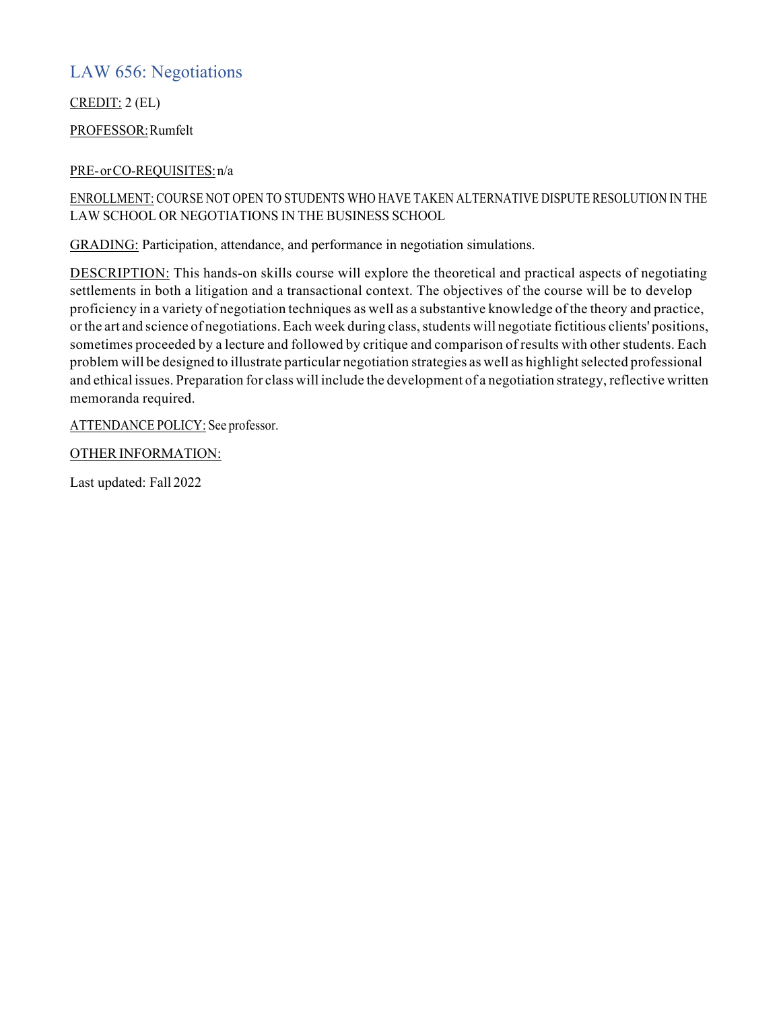# LAW 656: Negotiations

CREDIT: 2 (EL)

PROFESSOR:Rumfelt

### PRE-orCO-REQUISITES:n/a

### ENROLLMENT: COURSE NOT OPEN TO STUDENTS WHO HAVE TAKEN ALTERNATIVE DISPUTE RESOLUTION IN THE LAW SCHOOL OR NEGOTIATIONS IN THE BUSINESS SCHOOL

GRADING: Participation, attendance, and performance in negotiation simulations.

DESCRIPTION: This hands-on skills course will explore the theoretical and practical aspects of negotiating settlements in both a litigation and a transactional context. The objectives of the course will be to develop proficiency in a variety of negotiation techniques as well as a substantive knowledge of the theory and practice, or the art and science of negotiations. Each week during class, students will negotiate fictitious clients' positions, sometimes proceeded by a lecture and followed by critique and comparison of results with other students. Each problem will be designed to illustrate particular negotiation strategies as well as highlightselected professional and ethical issues. Preparation for class will include the development of a negotiation strategy, reflective written memoranda required.

ATTENDANCE POLICY: See professor.

OTHER INFORMATION: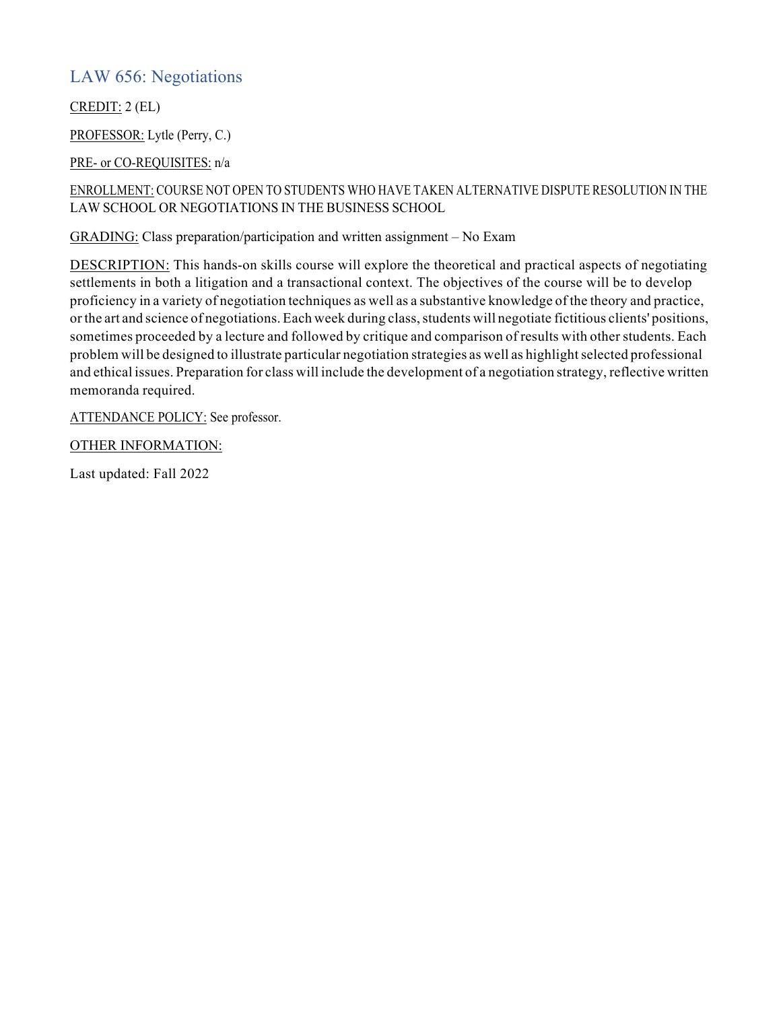## LAW 656: Negotiations

CREDIT: 2 (EL)

PROFESSOR: Lytle (Perry, C.)

PRE- or CO-REQUISITES: n/a

ENROLLMENT: COURSE NOT OPEN TO STUDENTS WHO HAVE TAKEN ALTERNATIVE DISPUTE RESOLUTION IN THE LAW SCHOOL OR NEGOTIATIONS IN THE BUSINESS SCHOOL

GRADING: Class preparation/participation and written assignment – No Exam

DESCRIPTION: This hands-on skills course will explore the theoretical and practical aspects of negotiating settlements in both a litigation and a transactional context. The objectives of the course will be to develop proficiency in a variety of negotiation techniques as well as a substantive knowledge of the theory and practice, or the art and science of negotiations. Each week during class, students will negotiate fictitious clients' positions, sometimes proceeded by a lecture and followed by critique and comparison of results with other students. Each problem will be designed to illustrate particular negotiation strategies as well as highlight selected professional and ethical issues. Preparation for class will include the development of a negotiation strategy, reflective written memoranda required.

ATTENDANCE POLICY: See professor.

OTHER INFORMATION: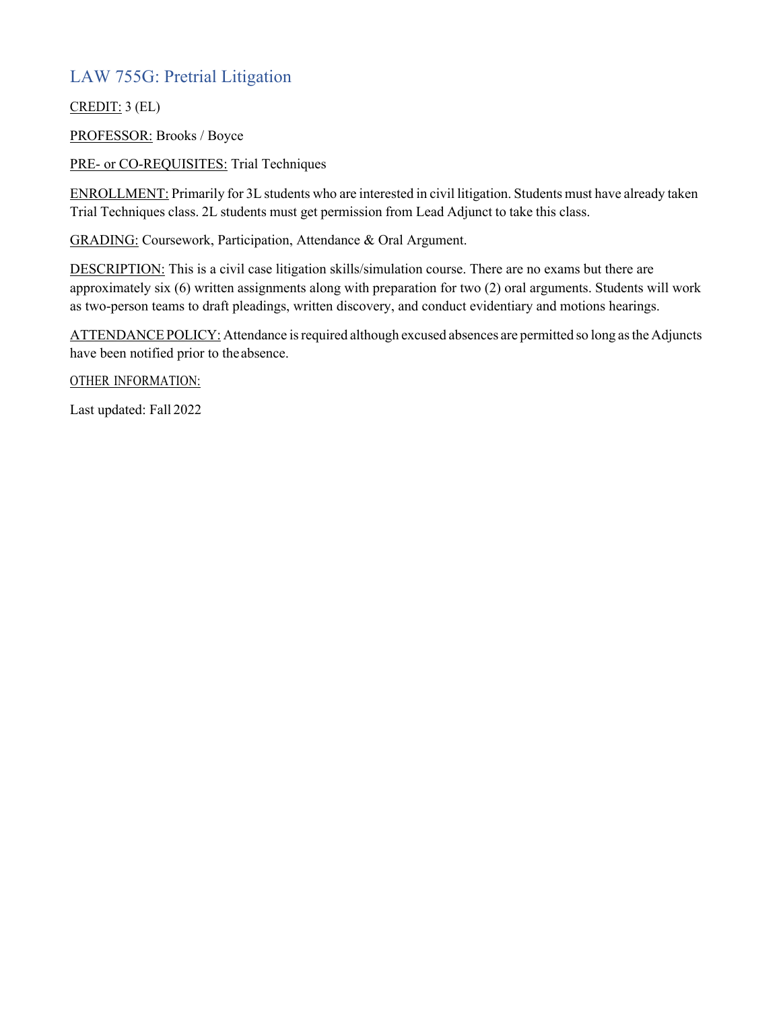# LAW 755G: Pretrial Litigation

CREDIT: 3 (EL)

PROFESSOR: Brooks / Boyce

PRE- or CO-REQUISITES: Trial Techniques

ENROLLMENT: Primarily for 3L students who are interested in civil litigation. Students must have already taken Trial Techniques class. 2L students must get permission from Lead Adjunct to take this class.

GRADING: Coursework, Participation, Attendance & Oral Argument.

DESCRIPTION: This is a civil case litigation skills/simulation course. There are no exams but there are approximately six (6) written assignments along with preparation for two (2) oral arguments. Students will work as two-person teams to draft pleadings, written discovery, and conduct evidentiary and motions hearings.

ATTENDANCE POLICY: Attendance is required although excused absences are permitted so long as the Adjuncts have been notified prior to theabsence.

OTHER INFORMATION: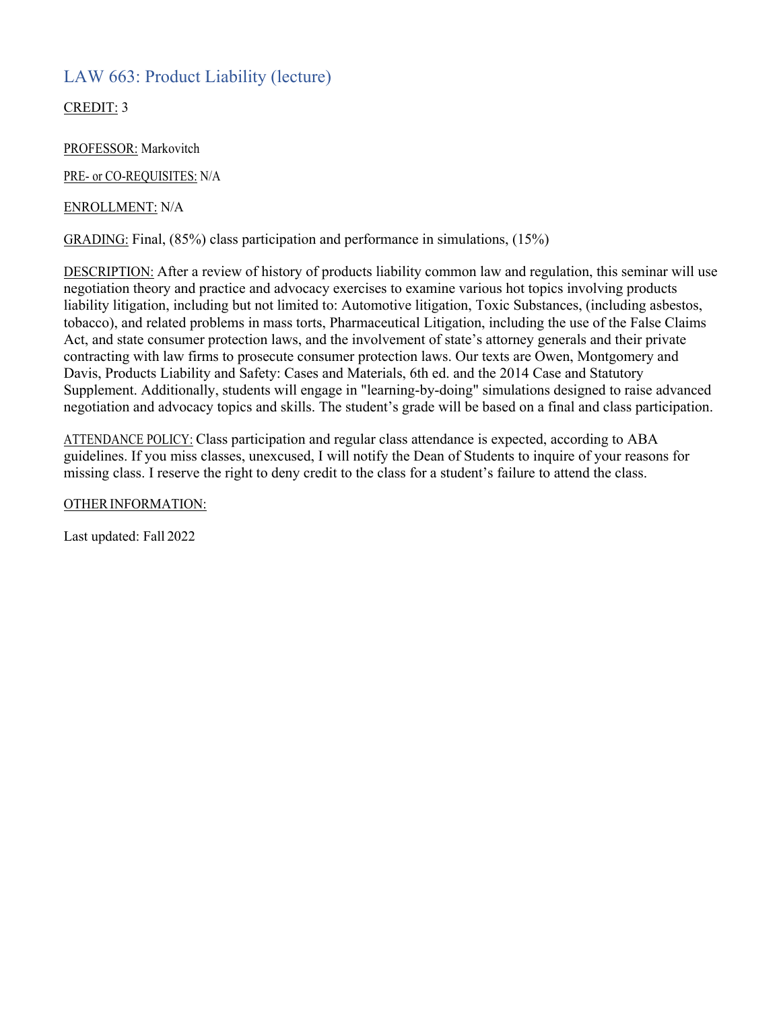## LAW 663: Product Liability (lecture)

CREDIT: 3

PROFESSOR: Markovitch

PRE- or CO-REQUISITES: N/A

### ENROLLMENT: N/A

GRADING: Final, (85%) class participation and performance in simulations, (15%)

DESCRIPTION: After a review of history of products liability common law and regulation, this seminar will use negotiation theory and practice and advocacy exercises to examine various hot topics involving products liability litigation, including but not limited to: Automotive litigation, Toxic Substances, (including asbestos, tobacco), and related problems in mass torts, Pharmaceutical Litigation, including the use of the False Claims Act, and state consumer protection laws, and the involvement of state's attorney generals and their private contracting with law firms to prosecute consumer protection laws. Our texts are Owen, Montgomery and Davis, Products Liability and Safety: Cases and Materials, 6th ed. and the 2014 Case and Statutory Supplement. Additionally, students will engage in "learning-by-doing" simulations designed to raise advanced negotiation and advocacy topics and skills. The student's grade will be based on a final and class participation.

ATTENDANCE POLICY: Class participation and regular class attendance is expected, according to ABA guidelines. If you miss classes, unexcused, I will notify the Dean of Students to inquire of your reasons for missing class. I reserve the right to deny credit to the class for a student's failure to attend the class.

OTHERINFORMATION: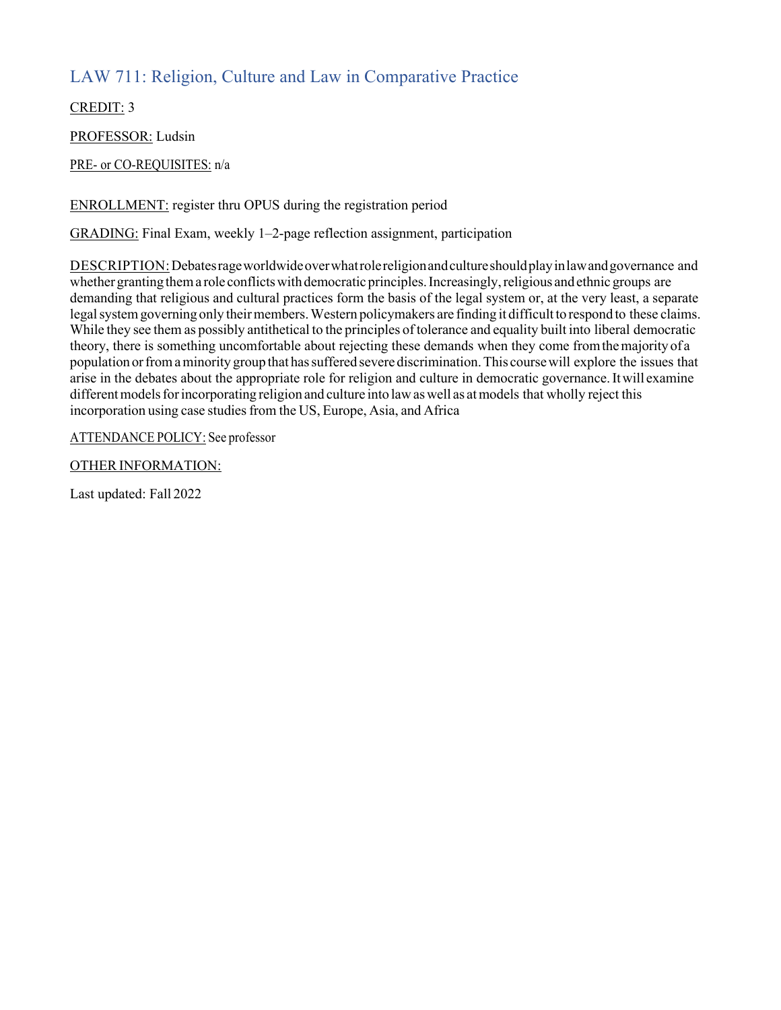# LAW 711: Religion, Culture and Law in Comparative Practice

CREDIT: 3

PROFESSOR: Ludsin

PRE- or CO-REQUISITES: n/a

ENROLLMENT: register thru OPUS during the registration period

GRADING: Final Exam, weekly 1–2-page reflection assignment, participation

DESCRIPTION: Debates rage worldwide over what role religion and culture should play in law and governance and whether granting them a role conflicts with democratic principles. Increasingly, religious and ethnic groups are demanding that religious and cultural practices form the basis of the legal system or, at the very least, a separate legal system governing only their members. Western policymakers are finding it difficult to respond to these claims. While they see them as possibly antithetical to the principles of tolerance and equality built into liberal democratic theory, there is something uncomfortable about rejecting these demands when they come fromthemajority of a population or from a minority group that has suffered severe discrimination. This course will explore the issues that arise in the debates about the appropriate role for religion and culture in democratic governance.Itwill examine different models for incorporating religion and culture into law as well as at models that wholly reject this incorporation using case studies from the US, Europe, Asia, and Africa

ATTENDANCE POLICY: See professor

OTHER INFORMATION: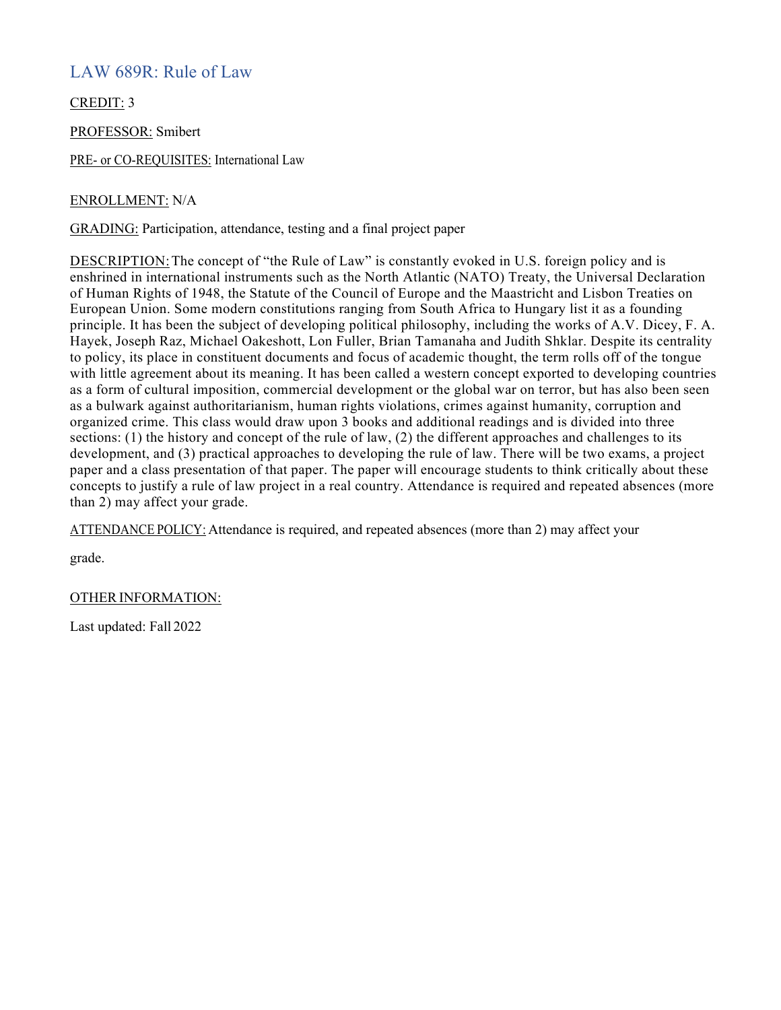## LAW 689R: Rule of Law

CREDIT: 3

PROFESSOR: Smibert

PRE- or CO-REQUISITES: International Law

#### ENROLLMENT: N/A

GRADING: Participation, attendance, testing and a final project paper

DESCRIPTION:The concept of "the Rule of Law" is constantly evoked in U.S. foreign policy and is enshrined in international instruments such as the North Atlantic (NATO) Treaty, the Universal Declaration of Human Rights of 1948, the Statute of the Council of Europe and the Maastricht and Lisbon Treaties on European Union. Some modern constitutions ranging from South Africa to Hungary list it as a founding principle. It has been the subject of developing political philosophy, including the works of A.V. Dicey, F. A. Hayek, Joseph Raz, Michael Oakeshott, Lon Fuller, Brian Tamanaha and Judith Shklar. Despite its centrality to policy, its place in constituent documents and focus of academic thought, the term rolls off of the tongue with little agreement about its meaning. It has been called a western concept exported to developing countries as a form of cultural imposition, commercial development or the global war on terror, but has also been seen as a bulwark against authoritarianism, human rights violations, crimes against humanity, corruption and organized crime. This class would draw upon 3 books and additional readings and is divided into three sections: (1) the history and concept of the rule of law, (2) the different approaches and challenges to its development, and (3) practical approaches to developing the rule of law. There will be two exams, a project paper and a class presentation of that paper. The paper will encourage students to think critically about these concepts to justify a rule of law project in a real country. Attendance is required and repeated absences (more than 2) may affect your grade.

ATTENDANCE POLICY: Attendance is required, and repeated absences (more than 2) may affect your

grade.

#### OTHER INFORMATION: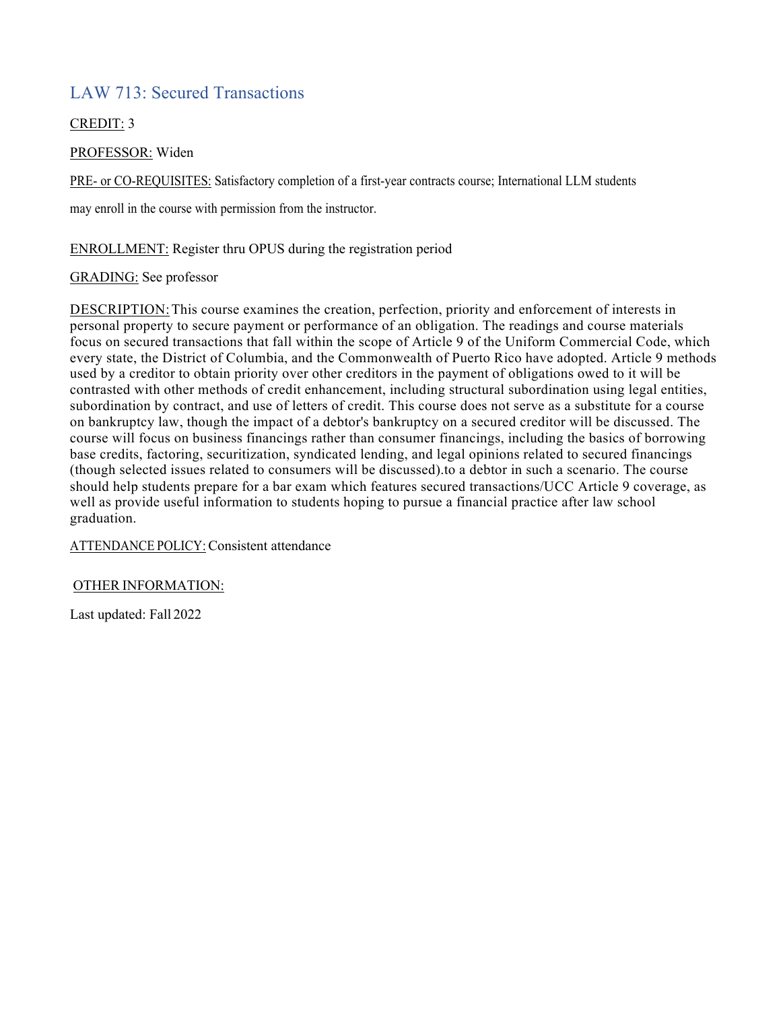## LAW 713: Secured Transactions

### CREDIT: 3

### PROFESSOR: Widen

PRE- or CO-REQUISITES: Satisfactory completion of a first-year contracts course; International LLM students

may enroll in the course with permission from the instructor.

ENROLLMENT: Register thru OPUS during the registration period

### GRADING: See professor

DESCRIPTION:This course examines the creation, perfection, priority and enforcement of interests in personal property to secure payment or performance of an obligation. The readings and course materials focus on secured transactions that fall within the scope of Article 9 of the Uniform Commercial Code, which every state, the District of Columbia, and the Commonwealth of Puerto Rico have adopted. Article 9 methods used by a creditor to obtain priority over other creditors in the payment of obligations owed to it will be contrasted with other methods of credit enhancement, including structural subordination using legal entities, subordination by contract, and use of letters of credit. This course does not serve as a substitute for a course on bankruptcy law, though the impact of a debtor's bankruptcy on a secured creditor will be discussed. The course will focus on business financings rather than consumer financings, including the basics of borrowing base credits, factoring, securitization, syndicated lending, and legal opinions related to secured financings (though selected issues related to consumers will be discussed).to a debtor in such a scenario. The course should help students prepare for a bar exam which features secured transactions/UCC Article 9 coverage, as well as provide useful information to students hoping to pursue a financial practice after law school graduation.

ATTENDANCE POLICY: Consistent attendance

### OTHER INFORMATION: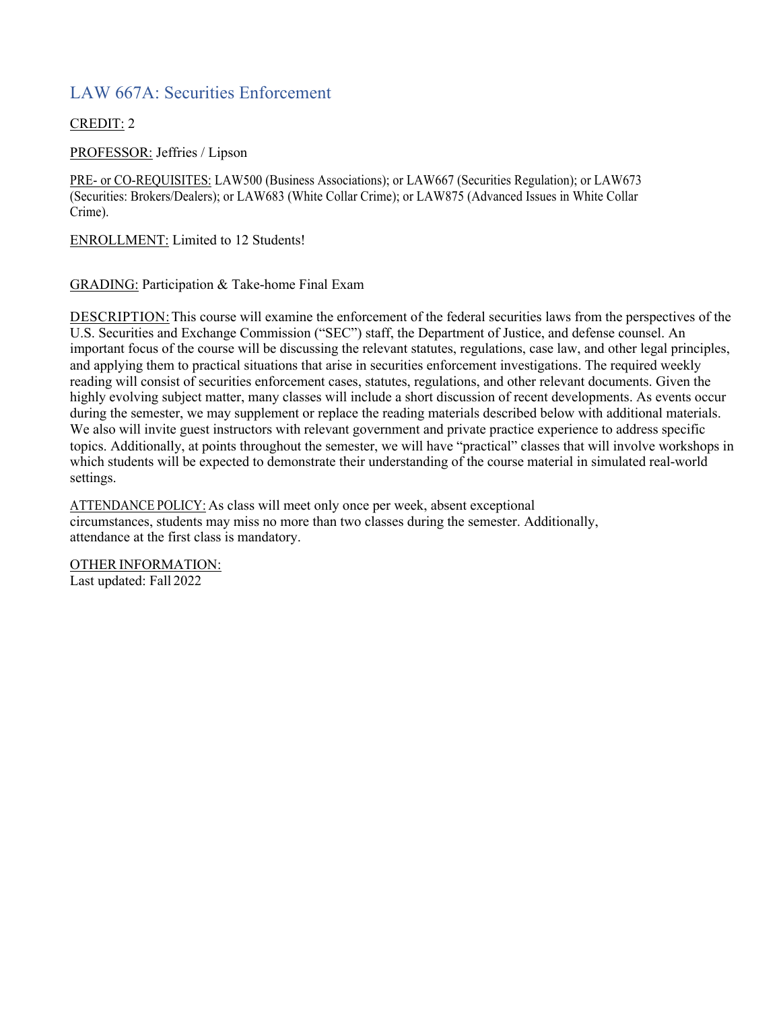# LAW 667A: Securities Enforcement

### CREDIT: 2

PROFESSOR: Jeffries / Lipson

PRE- or CO-REQUISITES: LAW500 (Business Associations); or LAW667 (Securities Regulation); or LAW673 (Securities: Brokers/Dealers); or LAW683 (White Collar Crime); or LAW875 (Advanced Issues in White Collar Crime).

ENROLLMENT: Limited to 12 Students!

GRADING: Participation & Take-home Final Exam

DESCRIPTION:This course will examine the enforcement of the federal securities laws from the perspectives of the U.S. Securities and Exchange Commission ("SEC") staff, the Department of Justice, and defense counsel. An important focus of the course will be discussing the relevant statutes, regulations, case law, and other legal principles, and applying them to practical situations that arise in securities enforcement investigations. The required weekly reading will consist of securities enforcement cases, statutes, regulations, and other relevant documents. Given the highly evolving subject matter, many classes will include a short discussion of recent developments. As events occur during the semester, we may supplement or replace the reading materials described below with additional materials. We also will invite guest instructors with relevant government and private practice experience to address specific topics. Additionally, at points throughout the semester, we will have "practical" classes that will involve workshops in which students will be expected to demonstrate their understanding of the course material in simulated real-world settings.

ATTENDANCE POLICY: As class will meet only once per week, absent exceptional circumstances, students may miss no more than two classes during the semester. Additionally, attendance at the first class is mandatory.

OTHER INFORMATION: Last updated: Fall 2022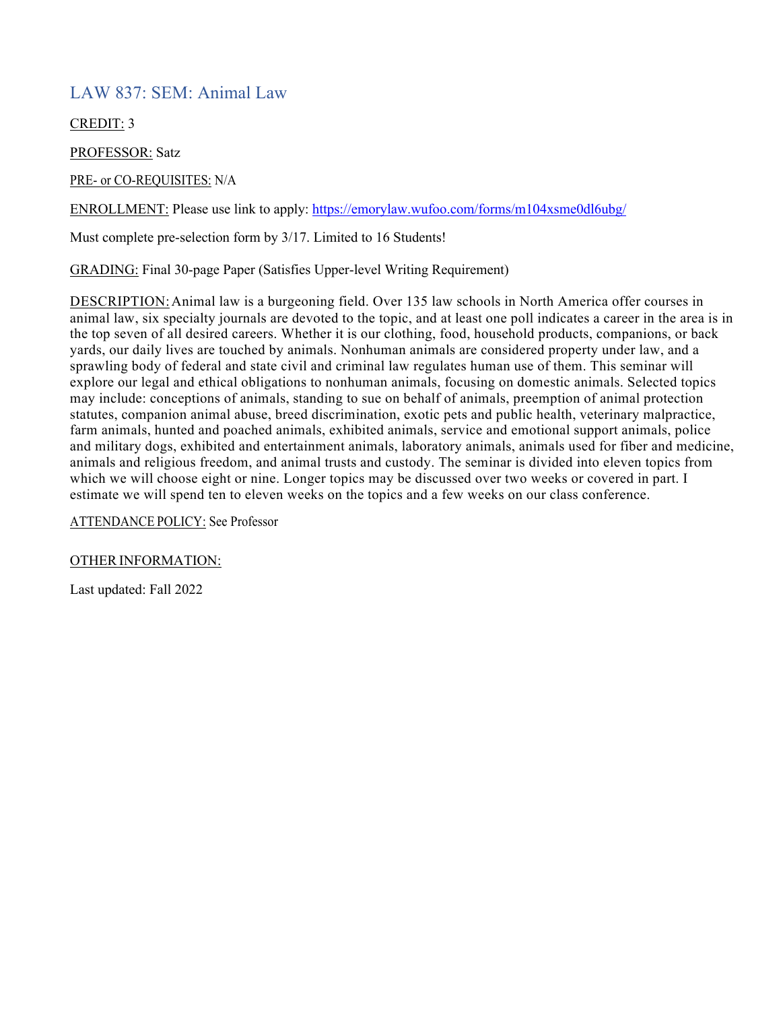### LAW 837: SEM: Animal Law

CREDIT: 3

PROFESSOR: Satz

PRE- or CO-REQUISITES: N/A

ENROLLMENT: Please use link to apply: https://emorylaw.wufoo.com/forms/m104xsme0dl6ubg/

Must complete pre-selection form by 3/17. Limited to 16 Students!

GRADING: Final 30-page Paper (Satisfies Upper-level Writing Requirement)

DESCRIPTION:Animal law is a burgeoning field. Over 135 law schools in North America offer courses in animal law, six specialty journals are devoted to the topic, and at least one poll indicates a career in the area is in the top seven of all desired careers. Whether it is our clothing, food, household products, companions, or back yards, our daily lives are touched by animals. Nonhuman animals are considered property under law, and a sprawling body of federal and state civil and criminal law regulates human use of them. This seminar will explore our legal and ethical obligations to nonhuman animals, focusing on domestic animals. Selected topics may include: conceptions of animals, standing to sue on behalf of animals, preemption of animal protection statutes, companion animal abuse, breed discrimination, exotic pets and public health, veterinary malpractice, farm animals, hunted and poached animals, exhibited animals, service and emotional support animals, police and military dogs, exhibited and entertainment animals, laboratory animals, animals used for fiber and medicine, animals and religious freedom, and animal trusts and custody. The seminar is divided into eleven topics from which we will choose eight or nine. Longer topics may be discussed over two weeks or covered in part. I estimate we will spend ten to eleven weeks on the topics and a few weeks on our class conference.

ATTENDANCE POLICY: See Professor

OTHER INFORMATION: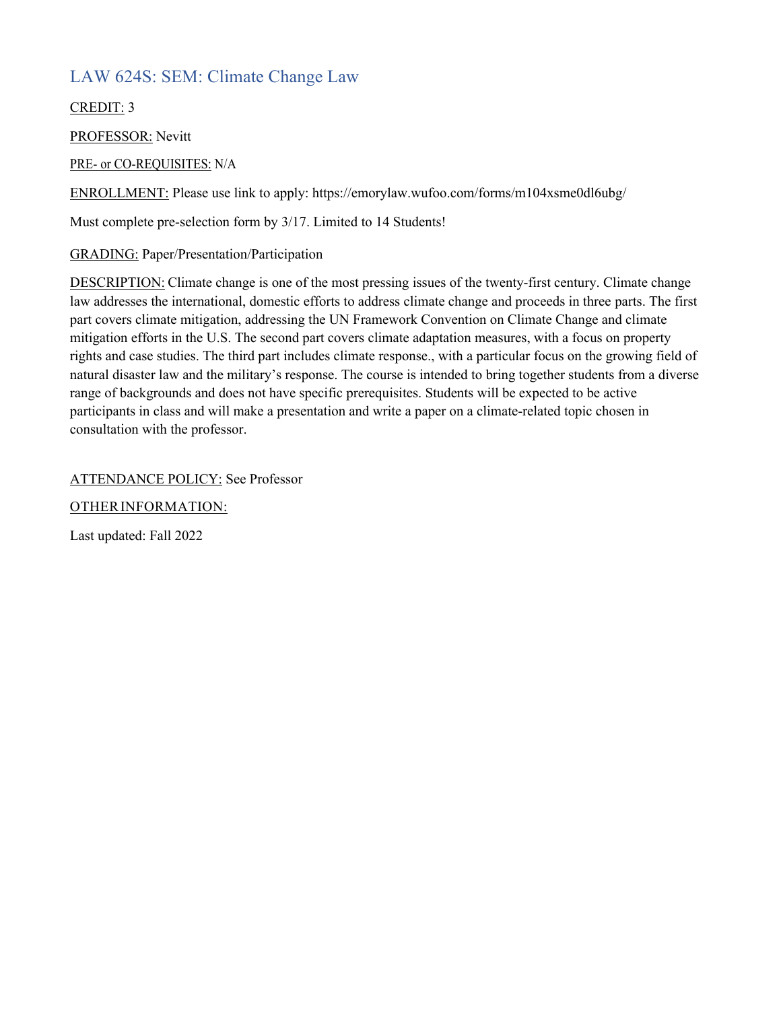# LAW 624S: SEM: Climate Change Law

CREDIT: 3

PROFESSOR: Nevitt

PRE- or CO-REQUISITES: N/A

ENROLLMENT: Please use link to apply: https://emorylaw.wufoo.com/forms/m104xsme0dl6ubg/

Must complete pre-selection form by 3/17. Limited to 14 Students!

GRADING: Paper/Presentation/Participation

DESCRIPTION: Climate change is one of the most pressing issues of the twenty-first century. Climate change law addresses the international, domestic efforts to address climate change and proceeds in three parts. The first part covers climate mitigation, addressing the UN Framework Convention on Climate Change and climate mitigation efforts in the U.S. The second part covers climate adaptation measures, with a focus on property rights and case studies. The third part includes climate response., with a particular focus on the growing field of natural disaster law and the military's response. The course is intended to bring together students from a diverse range of backgrounds and does not have specific prerequisites. Students will be expected to be active participants in class and will make a presentation and write a paper on a climate-related topic chosen in consultation with the professor.

ATTENDANCE POLICY: See Professor

OTHERINFORMATION: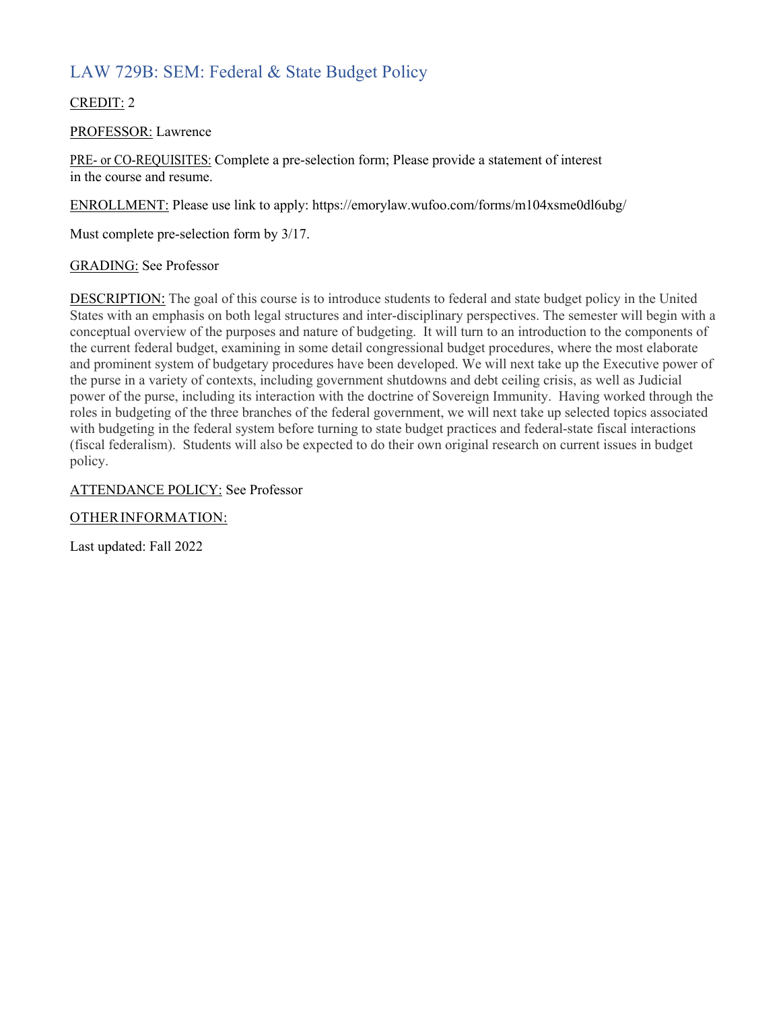# LAW 729B: SEM: Federal & State Budget Policy

### CREDIT: 2

### PROFESSOR: Lawrence

PRE- or CO-REQUISITES: Complete a pre-selection form; Please provide a statement of interest in the course and resume.

ENROLLMENT: Please use link to apply: https://emorylaw.wufoo.com/forms/m104xsme0dl6ubg/

Must complete pre-selection form by 3/17.

### GRADING: See Professor

DESCRIPTION: The goal of this course is to introduce students to federal and state budget policy in the United States with an emphasis on both legal structures and inter-disciplinary perspectives. The semester will begin with a conceptual overview of the purposes and nature of budgeting. It will turn to an introduction to the components of the current federal budget, examining in some detail congressional budget procedures, where the most elaborate and prominent system of budgetary procedures have been developed. We will next take up the Executive power of the purse in a variety of contexts, including government shutdowns and debt ceiling crisis, as well as Judicial power of the purse, including its interaction with the doctrine of Sovereign Immunity. Having worked through the roles in budgeting of the three branches of the federal government, we will next take up selected topics associated with budgeting in the federal system before turning to state budget practices and federal-state fiscal interactions (fiscal federalism). Students will also be expected to do their own original research on current issues in budget policy.

### ATTENDANCE POLICY: See Professor

### OTHERINFORMATION: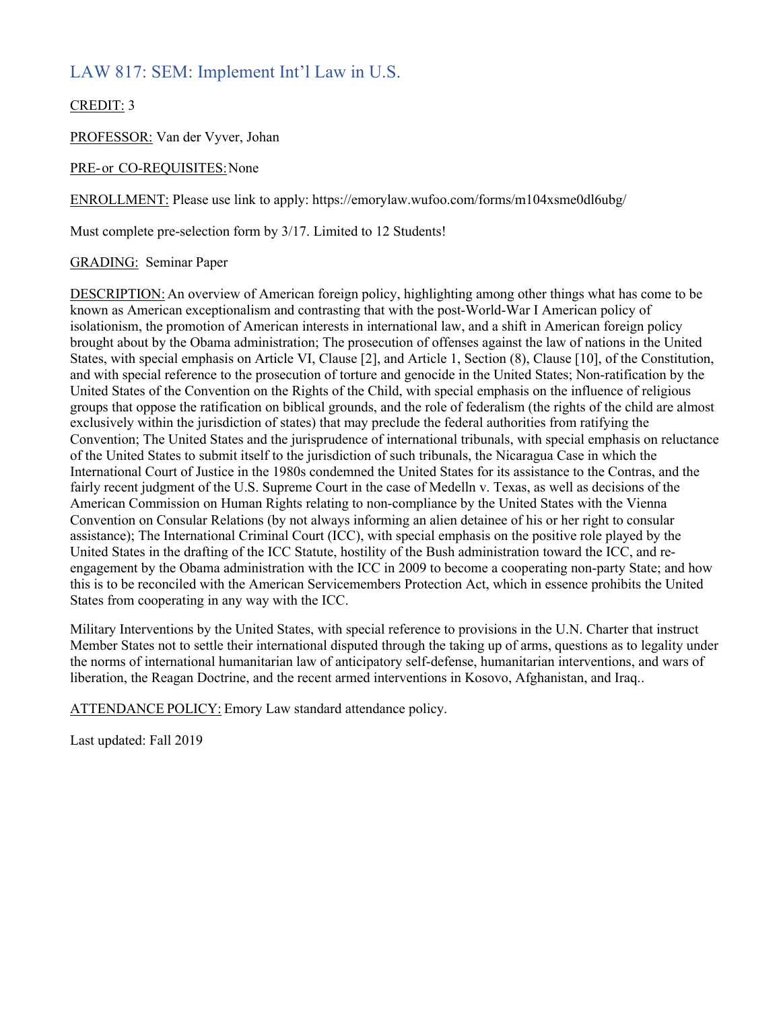## LAW 817: SEM: Implement Int'l Law in U.S.

### CREDIT: 3

PROFESSOR: Van der Vyver, Johan

### PRE-or CO-REQUISITES:None

ENROLLMENT: Please use link to apply: https://emorylaw.wufoo.com/forms/m104xsme0dl6ubg/

Must complete pre-selection form by 3/17. Limited to 12 Students!

### GRADING: Seminar Paper

DESCRIPTION: An overview of American foreign policy, highlighting among other things what has come to be known as American exceptionalism and contrasting that with the post-World-War I American policy of isolationism, the promotion of American interests in international law, and a shift in American foreign policy brought about by the Obama administration; The prosecution of offenses against the law of nations in the United States, with special emphasis on Article VI, Clause [2], and Article 1, Section (8), Clause [10], of the Constitution, and with special reference to the prosecution of torture and genocide in the United States; Non-ratification by the United States of the Convention on the Rights of the Child, with special emphasis on the influence of religious groups that oppose the ratification on biblical grounds, and the role of federalism (the rights of the child are almost exclusively within the jurisdiction of states) that may preclude the federal authorities from ratifying the Convention; The United States and the jurisprudence of international tribunals, with special emphasis on reluctance of the United States to submit itself to the jurisdiction of such tribunals, the Nicaragua Case in which the International Court of Justice in the 1980s condemned the United States for its assistance to the Contras, and the fairly recent judgment of the U.S. Supreme Court in the case of Medelln v. Texas, as well as decisions of the American Commission on Human Rights relating to non-compliance by the United States with the Vienna Convention on Consular Relations (by not always informing an alien detainee of his or her right to consular assistance); The International Criminal Court (ICC), with special emphasis on the positive role played by the United States in the drafting of the ICC Statute, hostility of the Bush administration toward the ICC, and reengagement by the Obama administration with the ICC in 2009 to become a cooperating non-party State; and how this is to be reconciled with the American Servicemembers Protection Act, which in essence prohibits the United States from cooperating in any way with the ICC.

Military Interventions by the United States, with special reference to provisions in the U.N. Charter that instruct Member States not to settle their international disputed through the taking up of arms, questions as to legality under the norms of international humanitarian law of anticipatory self-defense, humanitarian interventions, and wars of liberation, the Reagan Doctrine, and the recent armed interventions in Kosovo, Afghanistan, and Iraq..

ATTENDANCE POLICY: Emory Law standard attendance policy.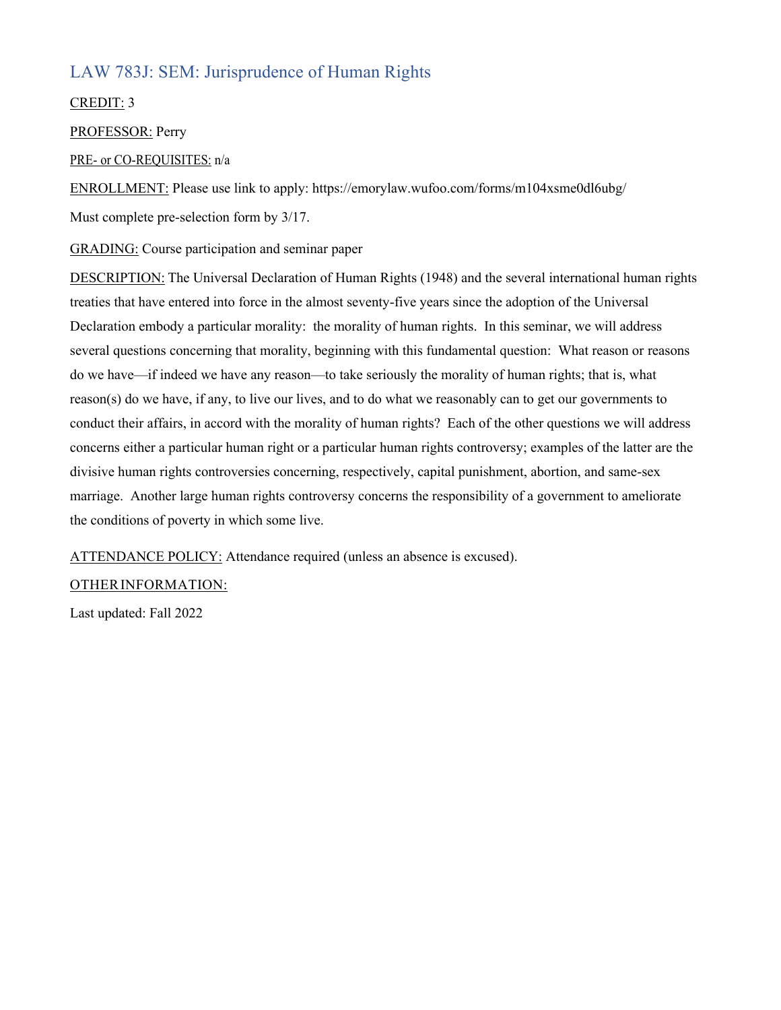# LAW 783J: SEM: Jurisprudence of Human Rights

### CREDIT: 3

PROFESSOR: Perry

### PRE- or CO-REQUISITES: n/a

ENROLLMENT: Please use link to apply: https://emorylaw.wufoo.com/forms/m104xsme0dl6ubg/ Must complete pre-selection form by 3/17.

GRADING: Course participation and seminar paper

DESCRIPTION: The Universal Declaration of Human Rights (1948) and the several international human rights treaties that have entered into force in the almost seventy-five years since the adoption of the Universal Declaration embody a particular morality: the morality of human rights. In this seminar, we will address several questions concerning that morality, beginning with this fundamental question: What reason or reasons do we have—if indeed we have any reason—to take seriously the morality of human rights; that is, what reason(s) do we have, if any, to live our lives, and to do what we reasonably can to get our governments to conduct their affairs, in accord with the morality of human rights? Each of the other questions we will address concerns either a particular human right or a particular human rights controversy; examples of the latter are the divisive human rights controversies concerning, respectively, capital punishment, abortion, and same-sex marriage. Another large human rights controversy concerns the responsibility of a government to ameliorate the conditions of poverty in which some live.

ATTENDANCE POLICY: Attendance required (unless an absence is excused).

### OTHERINFORMATION: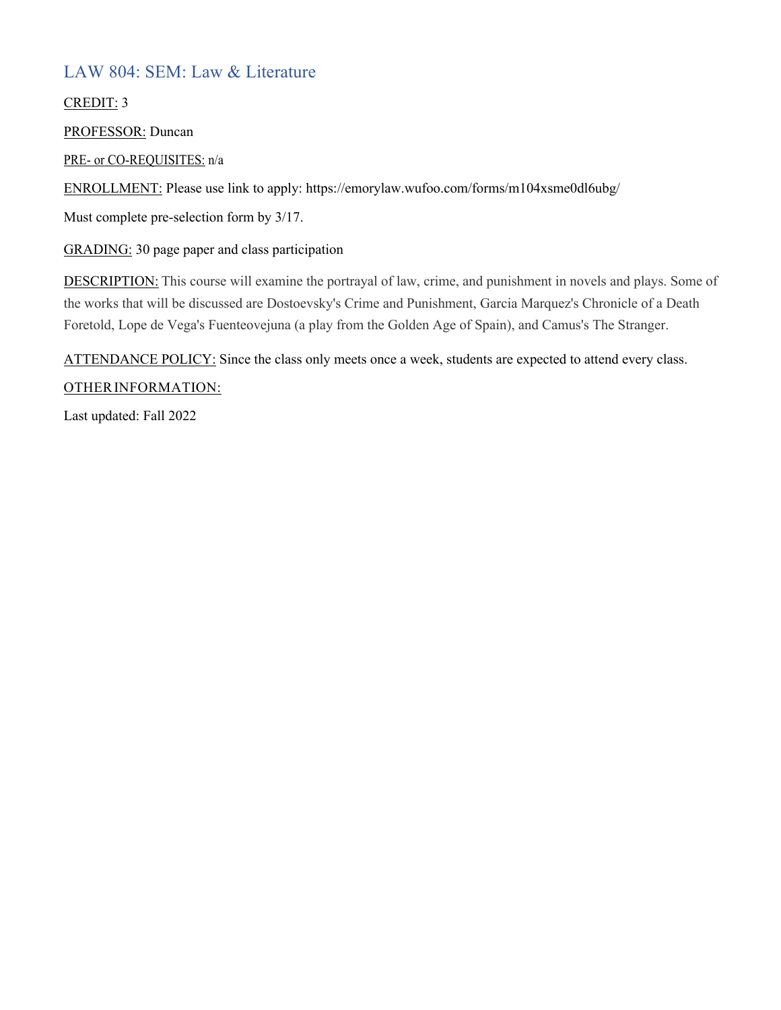# LAW 804: SEM: Law & Literature

### CREDIT: 3

PROFESSOR: Duncan

PRE- or CO-REQUISITES: n/a

ENROLLMENT: Please use link to apply: https://emorylaw.wufoo.com/forms/m104xsme0dl6ubg/

Must complete pre-selection form by 3/17.

GRADING: 30 page paper and class participation

DESCRIPTION: This course will examine the portrayal of law, crime, and punishment in novels and plays. Some of the works that will be discussed are Dostoevsky's Crime and Punishment, Garcia Marquez's Chronicle of a Death Foretold, Lope de Vega's Fuenteovejuna (a play from the Golden Age of Spain), and Camus's The Stranger.

ATTENDANCE POLICY: Since the class only meets once a week, students are expected to attend every class.

### OTHERINFORMATION: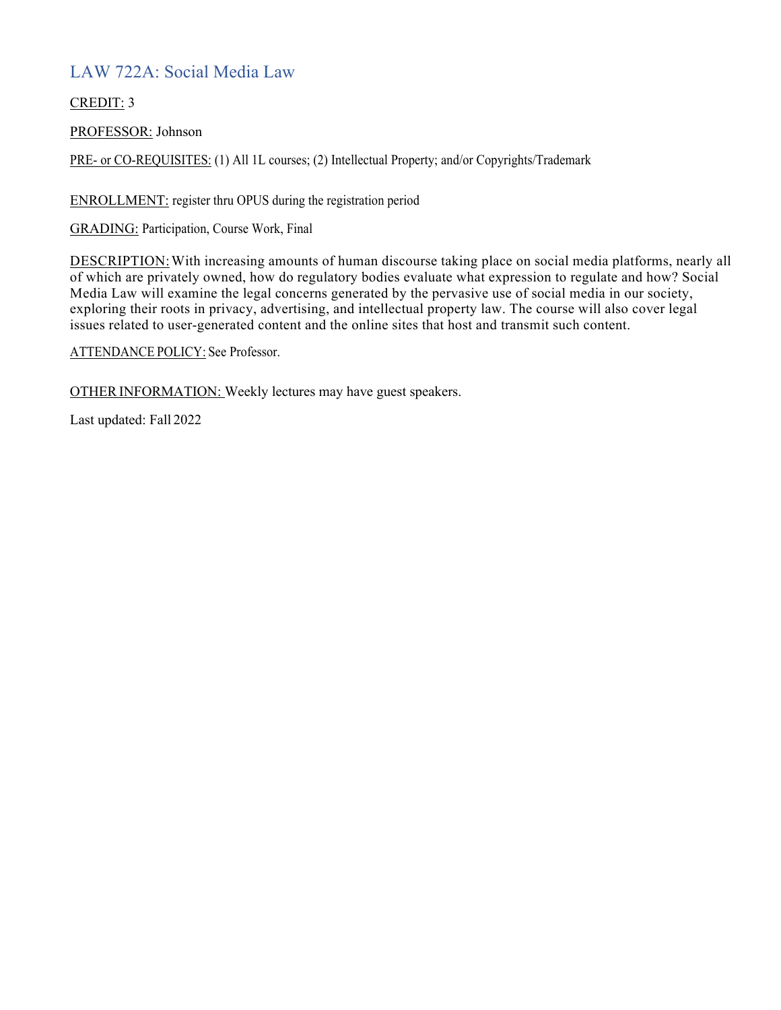# LAW 722A: Social Media Law

### CREDIT: 3

PROFESSOR: Johnson

PRE- or CO-REQUISITES: (1) All 1L courses; (2) Intellectual Property; and/or Copyrights/Trademark

ENROLLMENT: register thru OPUS during the registration period

GRADING: Participation, Course Work, Final

DESCRIPTION:With increasing amounts of human discourse taking place on social media platforms, nearly all of which are privately owned, how do regulatory bodies evaluate what expression to regulate and how? Social Media Law will examine the legal concerns generated by the pervasive use of social media in our society, exploring their roots in privacy, advertising, and intellectual property law. The course will also cover legal issues related to user-generated content and the online sites that host and transmit such content.

ATTENDANCE POLICY: See Professor.

OTHER INFORMATION: Weekly lectures may have guest speakers.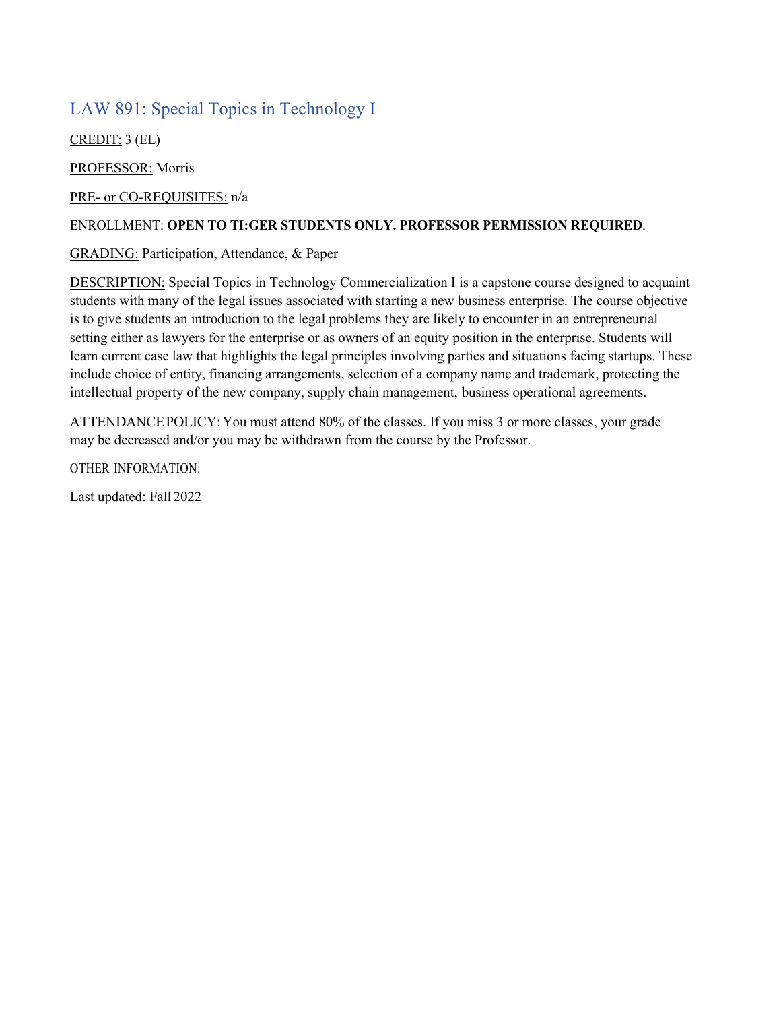## LAW 891: Special Topics in Technology I

CREDIT: 3 (EL)

PROFESSOR: Morris

PRE- or CO-REQUISITES: n/a

### ENROLLMENT: **OPEN TO TI:GER STUDENTS ONLY. PROFESSOR PERMISSION REQUIRED**.

### GRADING: Participation, Attendance, & Paper

DESCRIPTION: Special Topics in Technology Commercialization I is a capstone course designed to acquaint students with many of the legal issues associated with starting a new business enterprise. The course objective is to give students an introduction to the legal problems they are likely to encounter in an entrepreneurial setting either as lawyers for the enterprise or as owners of an equity position in the enterprise. Students will learn current case law that highlights the legal principles involving parties and situations facing startups. These include choice of entity, financing arrangements, selection of a company name and trademark, protecting the intellectual property of the new company, supply chain management, business operational agreements.

ATTENDANCEPOLICY:You must attend 80% of the classes. If you miss 3 or more classes, your grade may be decreased and/or you may be withdrawn from the course by the Professor.

OTHER INFORMATION: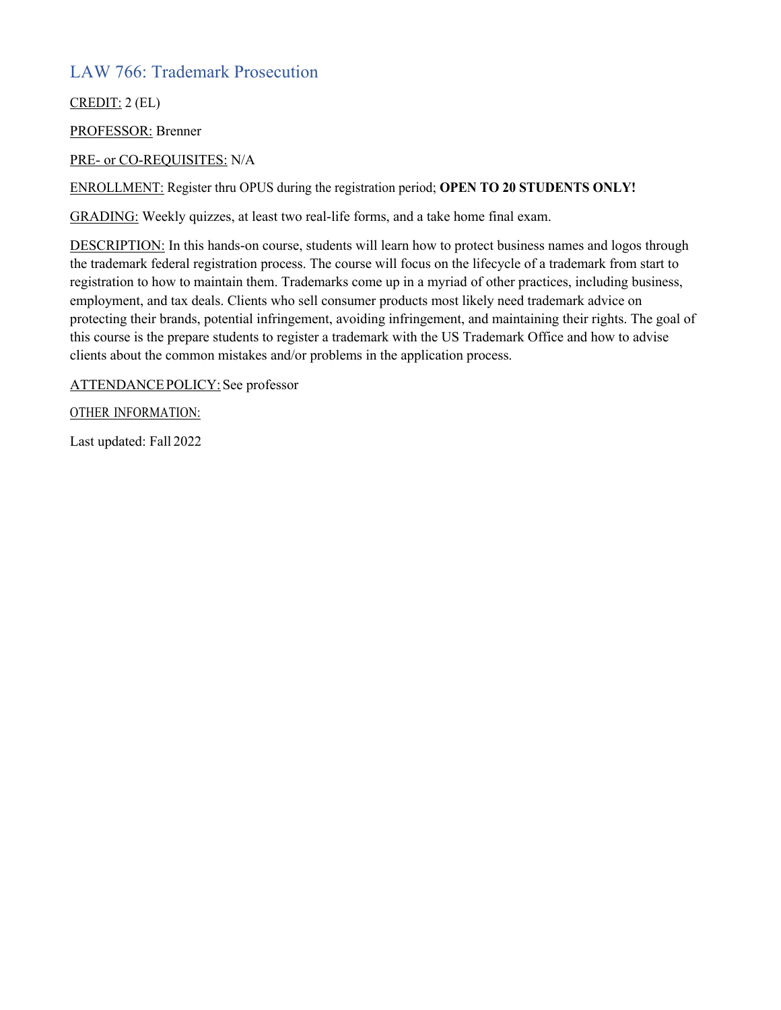## LAW 766: Trademark Prosecution

CREDIT: 2 (EL)

PROFESSOR: Brenner

### PRE- or CO-REQUISITES: N/A

ENROLLMENT: Register thru OPUS during the registration period; **OPEN TO 20 STUDENTS ONLY!**

GRADING: Weekly quizzes, at least two real-life forms, and a take home final exam.

DESCRIPTION: In this hands-on course, students will learn how to protect business names and logos through the trademark federal registration process. The course will focus on the lifecycle of a trademark from start to registration to how to maintain them. Trademarks come up in a myriad of other practices, including business, employment, and tax deals. Clients who sell consumer products most likely need trademark advice on protecting their brands, potential infringement, avoiding infringement, and maintaining their rights. The goal of this course is the prepare students to register a trademark with the US Trademark Office and how to advise clients about the common mistakes and/or problems in the application process.

ATTENDANCEPOLICY:See professor

OTHER INFORMATION: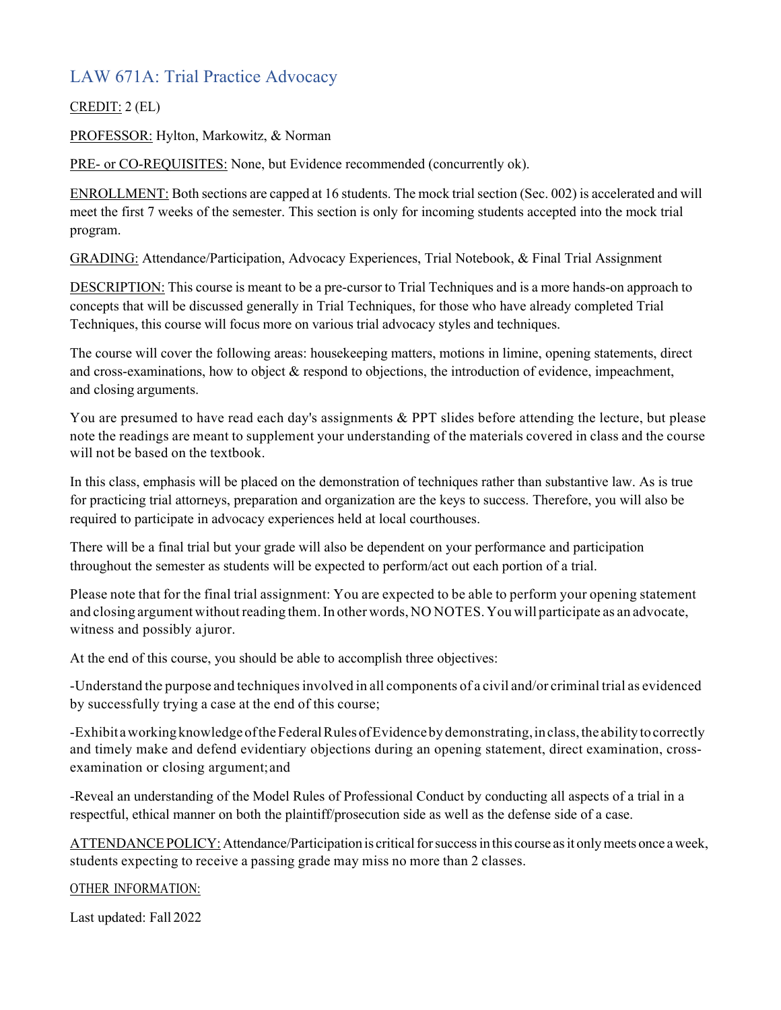# LAW 671A: Trial Practice Advocacy

### CREDIT: 2 (EL)

PROFESSOR: Hylton, Markowitz, & Norman

PRE- or CO-REQUISITES: None, but Evidence recommended (concurrently ok).

ENROLLMENT: Both sections are capped at 16 students. The mock trial section (Sec. 002) is accelerated and will meet the first 7 weeks of the semester. This section is only for incoming students accepted into the mock trial program.

GRADING: Attendance/Participation, Advocacy Experiences, Trial Notebook, & Final Trial Assignment

DESCRIPTION: This course is meant to be a pre-cursor to Trial Techniques and is a more hands-on approach to concepts that will be discussed generally in Trial Techniques, for those who have already completed Trial Techniques, this course will focus more on various trial advocacy styles and techniques.

The course will cover the following areas: housekeeping matters, motions in limine, opening statements, direct and cross-examinations, how to object & respond to objections, the introduction of evidence, impeachment, and closing arguments.

You are presumed to have read each day's assignments & PPT slides before attending the lecture, but please note the readings are meant to supplement your understanding of the materials covered in class and the course will not be based on the textbook.

In this class, emphasis will be placed on the demonstration of techniques rather than substantive law. As is true for practicing trial attorneys, preparation and organization are the keys to success. Therefore, you will also be required to participate in advocacy experiences held at local courthouses.

There will be a final trial but your grade will also be dependent on your performance and participation throughout the semester as students will be expected to perform/act out each portion of a trial.

Please note that for the final trial assignment: You are expected to be able to perform your opening statement and closing argument without reading them. In other words, NO NOTES. You will participate as an advocate, witness and possibly ajuror.

At the end of this course, you should be able to accomplish three objectives:

-Understand the purpose and techniquesinvolved in all components of a civil and/or criminal trial as evidenced by successfully trying a case at the end of this course;

-Exhibit aworking knowledge oftheFederalRules ofEvidenceby demonstrating,in class,the ability to correctly and timely make and defend evidentiary objections during an opening statement, direct examination, crossexamination or closing argument;and

-Reveal an understanding of the Model Rules of Professional Conduct by conducting all aspects of a trial in a respectful, ethical manner on both the plaintiff/prosecution side as well as the defense side of a case.

ATTENDANCE POLICY: Attendance/Participation is critical for success in this course as it only meets once a week, students expecting to receive a passing grade may miss no more than 2 classes.

### OTHER INFORMATION: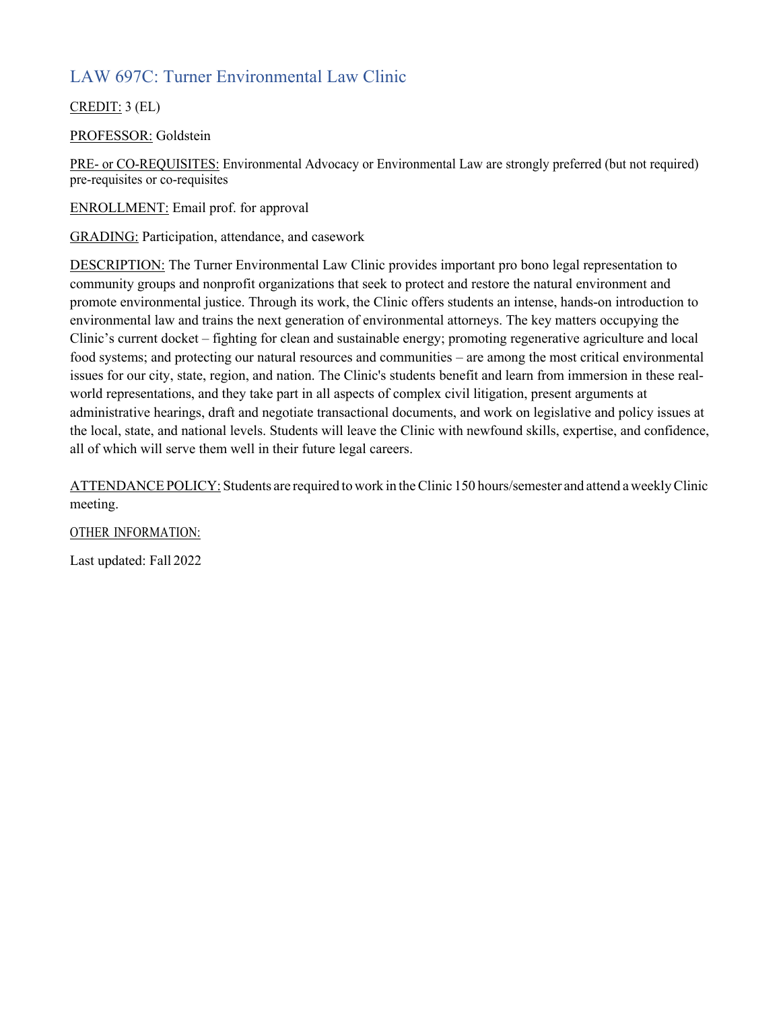# LAW 697C: Turner Environmental Law Clinic

### CREDIT: 3 (EL)

PROFESSOR: Goldstein

PRE- or CO-REQUISITES: Environmental Advocacy or Environmental Law are strongly preferred (but not required) pre-requisites or co-requisites

ENROLLMENT: Email prof. for approval

GRADING: Participation, attendance, and casework

DESCRIPTION: The Turner Environmental Law Clinic provides important pro bono legal representation to community groups and nonprofit organizations that seek to protect and restore the natural environment and promote environmental justice. Through its work, the Clinic offers students an intense, hands-on introduction to environmental law and trains the next generation of environmental attorneys. The key matters occupying the Clinic's current docket – fighting for clean and sustainable energy; promoting regenerative agriculture and local food systems; and protecting our natural resources and communities – are among the most critical environmental issues for our city, state, region, and nation. The Clinic's students benefit and learn from immersion in these realworld representations, and they take part in all aspects of complex civil litigation, present arguments at administrative hearings, draft and negotiate transactional documents, and work on legislative and policy issues at the local, state, and national levels. Students will leave the Clinic with newfound skills, expertise, and confidence, all of which will serve them well in their future legal careers.

ATTENDANCE POLICY: Students are required to work in the Clinic 150 hours/semester and attend a weekly Clinic meeting.

OTHER INFORMATION: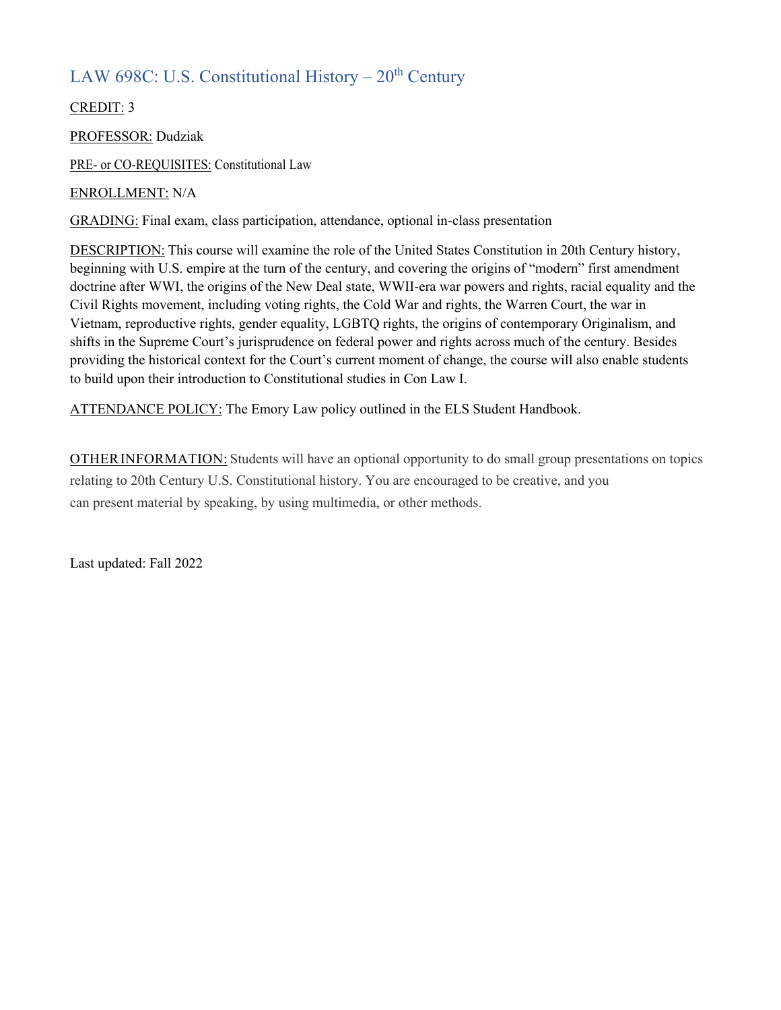# LAW 698C: U.S. Constitutional History –  $20<sup>th</sup>$  Century

CREDIT: 3

PROFESSOR: Dudziak PRE- or CO-REQUISITES: Constitutional Law

ENROLLMENT: N/A

GRADING: Final exam, class participation, attendance, optional in-class presentation

DESCRIPTION: This course will examine the role of the United States Constitution in 20th Century history, beginning with U.S. empire at the turn of the century, and covering the origins of "modern" first amendment doctrine after WWI, the origins of the New Deal state, WWII-era war powers and rights, racial equality and the Civil Rights movement, including voting rights, the Cold War and rights, the Warren Court, the war in Vietnam, reproductive rights, gender equality, LGBTQ rights, the origins of contemporary Originalism, and shifts in the Supreme Court's jurisprudence on federal power and rights across much of the century. Besides providing the historical context for the Court's current moment of change, the course will also enable students to build upon their introduction to Constitutional studies in Con Law I.

ATTENDANCE POLICY: The Emory Law policy outlined in the ELS Student Handbook.

OTHERINFORMATION: Students will have an optional opportunity to do small group presentations on topics relating to 20th Century U.S. Constitutional history. You are encouraged to be creative, and you can present material by speaking, by using multimedia, or other methods.